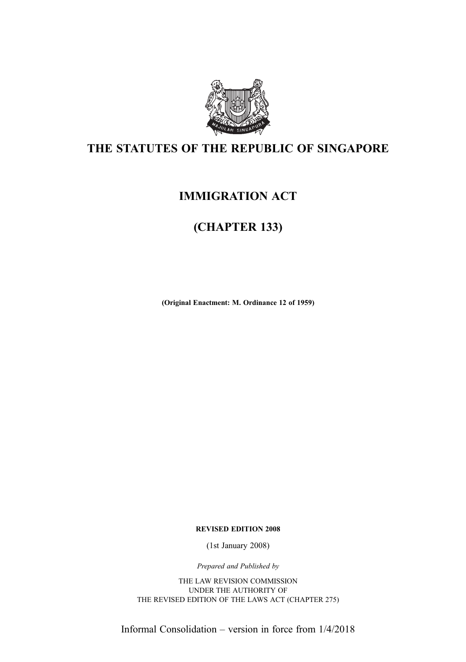

# THE STATUTES OF THE REPUBLIC OF SINGAPORE

# IMMIGRATION ACT

# (CHAPTER 133)

(Original Enactment: M. Ordinance 12 of 1959)

REVISED EDITION 2008

(1st January 2008)

Prepared and Published by

THE LAW REVISION COMMISSION UNDER THE AUTHORITY OF THE REVISED EDITION OF THE LAWS ACT (CHAPTER 275)

Informal Consolidation – version in force from 1/4/2018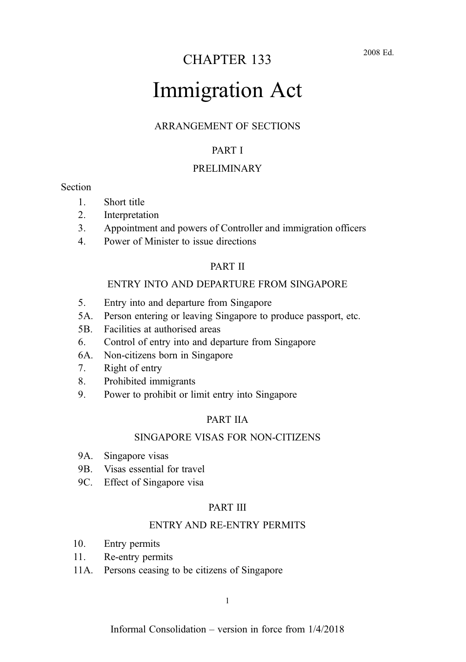# CHAPTER 133

# Immigration Act

#### ARRANGEMENT OF SECTIONS

#### PART I

#### PRELIMINARY

#### **Section**

- 1. Short title
- 2. Interpretation
- 3. Appointment and powers of Controller and immigration officers
- 4. Power of Minister to issue directions

#### PART II

#### ENTRY INTO AND DEPARTURE FROM SINGAPORE

- 5. Entry into and departure from Singapore
- 5A. Person entering or leaving Singapore to produce passport, etc.
- 5B. Facilities at authorised areas
- 6. Control of entry into and departure from Singapore
- 6A. Non-citizens born in Singapore
- 7. Right of entry
- 8. Prohibited immigrants
- 9. Power to prohibit or limit entry into Singapore

#### PART IIA

#### SINGAPORE VISAS FOR NON-CITIZENS

- 9A. Singapore visas
- 9B. Visas essential for travel
- 9C. Effect of Singapore visa

#### PART III

#### ENTRY AND RE-ENTRY PERMITS

- 10. Entry permits
- 11. Re-entry permits
- 11A. Persons ceasing to be citizens of Singapore

1

Informal Consolidation – version in force from 1/4/2018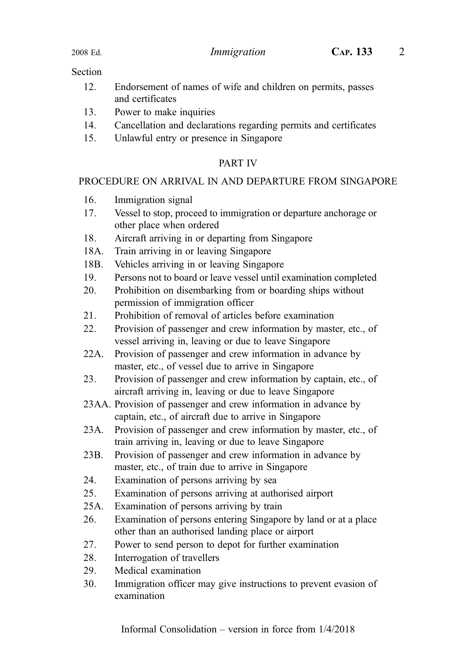#### Section

- 12. Endorsement of names of wife and children on permits, passes and certificates
- 13. Power to make inquiries
- 14. Cancellation and declarations regarding permits and certificates
- 15. Unlawful entry or presence in Singapore

#### PART IV

#### PROCEDURE ON ARRIVAL IN AND DEPARTURE FROM SINGAPORE

- 16. Immigration signal
- 17. Vessel to stop, proceed to immigration or departure anchorage or other place when ordered
- 18. Aircraft arriving in or departing from Singapore
- 18A. Train arriving in or leaving Singapore
- 18B. Vehicles arriving in or leaving Singapore
- 19. Persons not to board or leave vessel until examination completed
- 20. Prohibition on disembarking from or boarding ships without permission of immigration officer
- 21. Prohibition of removal of articles before examination
- 22. Provision of passenger and crew information by master, etc., of vessel arriving in, leaving or due to leave Singapore
- 22A. Provision of passenger and crew information in advance by master, etc., of vessel due to arrive in Singapore
- 23. Provision of passenger and crew information by captain, etc., of aircraft arriving in, leaving or due to leave Singapore
- 23AA. Provision of passenger and crew information in advance by captain, etc., of aircraft due to arrive in Singapore
- 23A. Provision of passenger and crew information by master, etc., of train arriving in, leaving or due to leave Singapore
- 23B. Provision of passenger and crew information in advance by master, etc., of train due to arrive in Singapore
- 24. Examination of persons arriving by sea
- 25. Examination of persons arriving at authorised airport
- 25A. Examination of persons arriving by train
- 26. Examination of persons entering Singapore by land or at a place other than an authorised landing place or airport
- 27. Power to send person to depot for further examination
- 28. Interrogation of travellers
- 29. Medical examination
- 30. Immigration officer may give instructions to prevent evasion of examination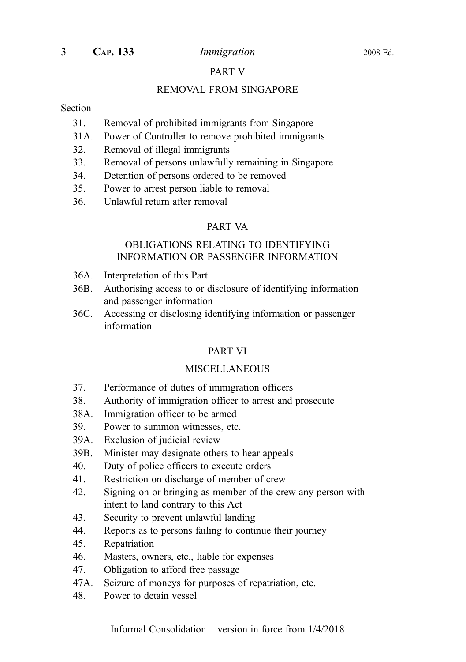#### PART V

#### REMOVAL FROM SINGAPORE

#### **Section**

- 31. Removal of prohibited immigrants from Singapore
- 31A. Power of Controller to remove prohibited immigrants
- 32. Removal of illegal immigrants
- 33. Removal of persons unlawfully remaining in Singapore
- 34. Detention of persons ordered to be removed
- 35. Power to arrest person liable to removal
- 36. Unlawful return after removal

### PART VA

#### OBLIGATIONS RELATING TO IDENTIFYING INFORMATION OR PASSENGER INFORMATION

- 36A. Interpretation of this Part
- 36B. Authorising access to or disclosure of identifying information and passenger information
- 36C. Accessing or disclosing identifying information or passenger information

#### PART VI

#### **MISCELLANEOUS**

- 37. Performance of duties of immigration officers
- 38. Authority of immigration officer to arrest and prosecute
- 38A. Immigration officer to be armed
- 39. Power to summon witnesses, etc.
- 39A. Exclusion of judicial review
- 39B. Minister may designate others to hear appeals
- 40. Duty of police officers to execute orders
- 41. Restriction on discharge of member of crew
- 42. Signing on or bringing as member of the crew any person with intent to land contrary to this Act
- 43. Security to prevent unlawful landing
- 44. Reports as to persons failing to continue their journey
- 45. Repatriation
- 46. Masters, owners, etc., liable for expenses
- 47. Obligation to afford free passage
- 47A. Seizure of moneys for purposes of repatriation, etc.
- 48. Power to detain vessel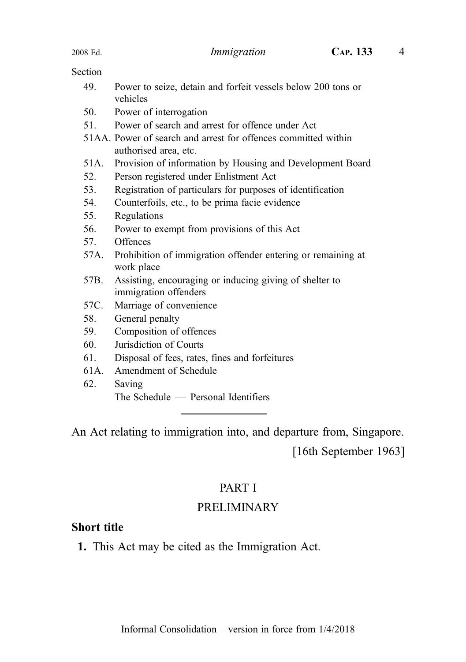| 2008 Ed. |  |
|----------|--|
|          |  |

#### Section

- 49. Power to seize, detain and forfeit vessels below 200 tons or vehicles
- 50. Power of interrogation
- 51. Power of search and arrest for offence under Act
- 51AA. Power of search and arrest for offences committed within authorised area, etc.
- 51A. Provision of information by Housing and Development Board
- 52. Person registered under Enlistment Act
- 53. Registration of particulars for purposes of identification
- 54. Counterfoils, etc., to be prima facie evidence
- 55. Regulations
- 56. Power to exempt from provisions of this Act
- 57. Offences
- 57A. Prohibition of immigration offender entering or remaining at work place
- 57B. Assisting, encouraging or inducing giving of shelter to immigration offenders
- 57C. Marriage of convenience
- 58. General penalty
- 59. Composition of offences
- 60. Jurisdiction of Courts
- 61. Disposal of fees, rates, fines and forfeitures
- 61A. Amendment of Schedule
- 62. Saving The Schedule — Personal Identifiers

An Act relating to immigration into, and departure from, Singapore.

[16th September 1963]

# PART I

### PRELIMINARY

### Short title

1. This Act may be cited as the Immigration Act.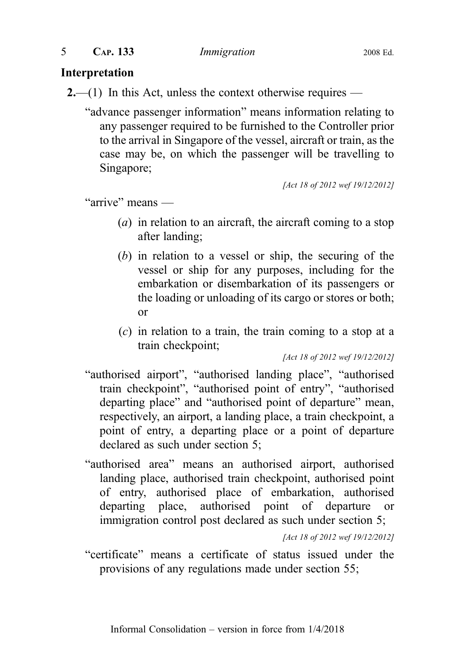# Interpretation

2.—(1) In this Act, unless the context otherwise requires —

"advance passenger information" means information relating to any passenger required to be furnished to the Controller prior to the arrival in Singapore of the vessel, aircraft or train, as the case may be, on which the passenger will be travelling to Singapore;

[Act 18 of 2012 wef 19/12/2012]

"arrive" means —

- $(a)$  in relation to an aircraft, the aircraft coming to a stop after landing;
- (b) in relation to a vessel or ship, the securing of the vessel or ship for any purposes, including for the embarkation or disembarkation of its passengers or the loading or unloading of its cargo or stores or both; or
- (c) in relation to a train, the train coming to a stop at a train checkpoint;

[Act 18 of 2012 wef 19/12/2012]

- "authorised airport", "authorised landing place", "authorised train checkpoint", "authorised point of entry", "authorised departing place" and "authorised point of departure" mean, respectively, an airport, a landing place, a train checkpoint, a point of entry, a departing place or a point of departure declared as such under section 5;
- "authorised area" means an authorised airport, authorised landing place, authorised train checkpoint, authorised point of entry, authorised place of embarkation, authorised departing place, authorised point of departure or immigration control post declared as such under section 5;

[Act 18 of 2012 wef 19/12/2012]

"certificate" means a certificate of status issued under the provisions of any regulations made under section 55;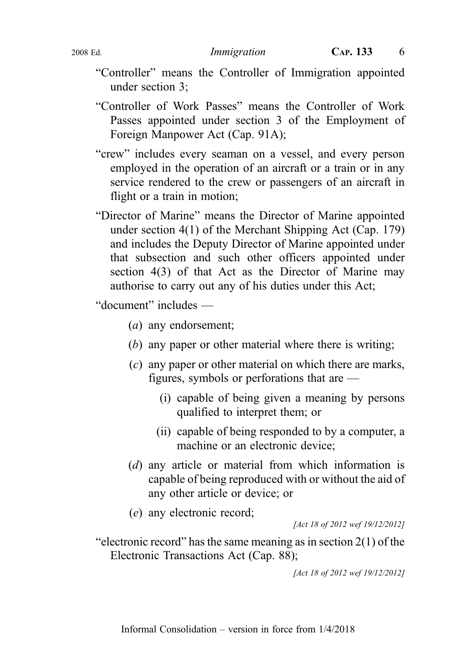- "Controller" means the Controller of Immigration appointed under section 3;
- "Controller of Work Passes" means the Controller of Work Passes appointed under section 3 of the Employment of Foreign Manpower Act (Cap. 91A);
- "crew" includes every seaman on a vessel, and every person employed in the operation of an aircraft or a train or in any service rendered to the crew or passengers of an aircraft in flight or a train in motion;
- "Director of Marine" means the Director of Marine appointed under section 4(1) of the Merchant Shipping Act (Cap. 179) and includes the Deputy Director of Marine appointed under that subsection and such other officers appointed under section 4(3) of that Act as the Director of Marine may authorise to carry out any of his duties under this Act;

"document" includes —

- (a) any endorsement;
- (b) any paper or other material where there is writing;
- (c) any paper or other material on which there are marks, figures, symbols or perforations that are —
	- (i) capable of being given a meaning by persons qualified to interpret them; or
	- (ii) capable of being responded to by a computer, a machine or an electronic device;
- (d) any article or material from which information is capable of being reproduced with or without the aid of any other article or device; or
- (e) any electronic record;

[Act 18 of 2012 wef 19/12/2012]

"electronic record" has the same meaning as in section 2(1) of the Electronic Transactions Act (Cap. 88);

[Act 18 of 2012 wef 19/12/2012]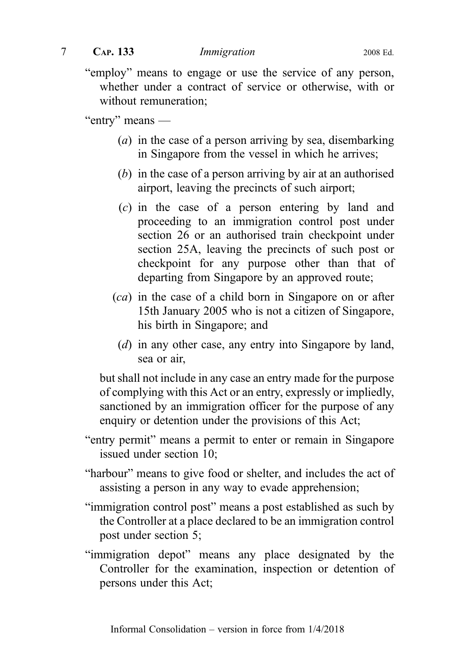"employ" means to engage or use the service of any person, whether under a contract of service or otherwise, with or without remuneration;

"entry" means —

- (a) in the case of a person arriving by sea, disembarking in Singapore from the vessel in which he arrives;
- (b) in the case of a person arriving by air at an authorised airport, leaving the precincts of such airport;
- (c) in the case of a person entering by land and proceeding to an immigration control post under section 26 or an authorised train checkpoint under section 25A, leaving the precincts of such post or checkpoint for any purpose other than that of departing from Singapore by an approved route;
- (ca) in the case of a child born in Singapore on or after 15th January 2005 who is not a citizen of Singapore, his birth in Singapore; and
	- (d) in any other case, any entry into Singapore by land, sea or air,

but shall not include in any case an entry made for the purpose of complying with this Act or an entry, expressly or impliedly, sanctioned by an immigration officer for the purpose of any enquiry or detention under the provisions of this Act;

- "entry permit" means a permit to enter or remain in Singapore issued under section 10;
- "harbour" means to give food or shelter, and includes the act of assisting a person in any way to evade apprehension;
- "immigration control post" means a post established as such by the Controller at a place declared to be an immigration control post under section 5;
- "immigration depot" means any place designated by the Controller for the examination, inspection or detention of persons under this Act;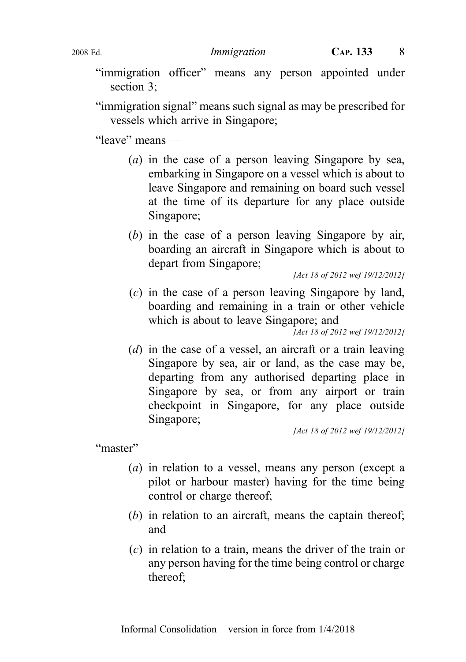- "immigration officer" means any person appointed under section 3;
- "immigration signal" means such signal as may be prescribed for vessels which arrive in Singapore;

"leave" means —

- (a) in the case of a person leaving Singapore by sea, embarking in Singapore on a vessel which is about to leave Singapore and remaining on board such vessel at the time of its departure for any place outside Singapore;
- (b) in the case of a person leaving Singapore by air, boarding an aircraft in Singapore which is about to depart from Singapore;

[Act 18 of 2012 wef 19/12/2012]

(c) in the case of a person leaving Singapore by land, boarding and remaining in a train or other vehicle which is about to leave Singapore; and

[Act 18 of 2012 wef 19/12/2012]

(d) in the case of a vessel, an aircraft or a train leaving Singapore by sea, air or land, as the case may be, departing from any authorised departing place in Singapore by sea, or from any airport or train checkpoint in Singapore, for any place outside Singapore;

[Act 18 of 2012 wef 19/12/2012]

"master" —

- (a) in relation to a vessel, means any person (except a pilot or harbour master) having for the time being control or charge thereof;
- (b) in relation to an aircraft, means the captain thereof; and
- $(c)$  in relation to a train, means the driver of the train or any person having for the time being control or charge thereof;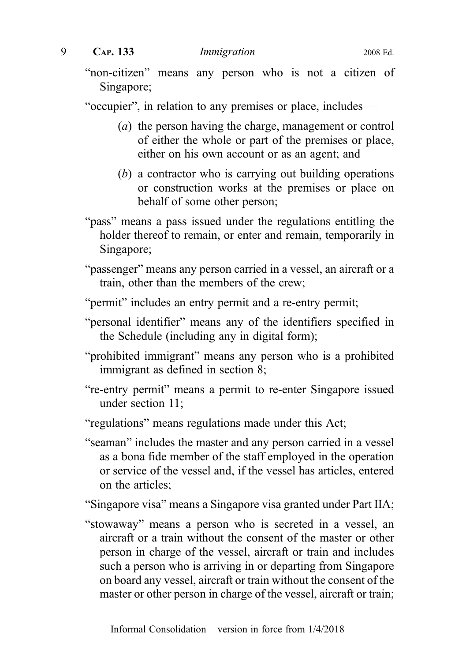"non-citizen" means any person who is not a citizen of Singapore;

"occupier", in relation to any premises or place, includes —

- (a) the person having the charge, management or control of either the whole or part of the premises or place, either on his own account or as an agent; and
- (b) a contractor who is carrying out building operations or construction works at the premises or place on behalf of some other person;
- "pass" means a pass issued under the regulations entitling the holder thereof to remain, or enter and remain, temporarily in Singapore;
- "passenger" means any person carried in a vessel, an aircraft or a train, other than the members of the crew;
- "permit" includes an entry permit and a re-entry permit;
- "personal identifier" means any of the identifiers specified in the Schedule (including any in digital form);
- "prohibited immigrant" means any person who is a prohibited immigrant as defined in section 8;
- "re-entry permit" means a permit to re-enter Singapore issued under section 11;
- "regulations" means regulations made under this Act;
- "seaman" includes the master and any person carried in a vessel as a bona fide member of the staff employed in the operation or service of the vessel and, if the vessel has articles, entered on the articles;

"Singapore visa" means a Singapore visa granted under Part IIA;

"stowaway" means a person who is secreted in a vessel, an aircraft or a train without the consent of the master or other person in charge of the vessel, aircraft or train and includes such a person who is arriving in or departing from Singapore on board any vessel, aircraft or train without the consent of the master or other person in charge of the vessel, aircraft or train;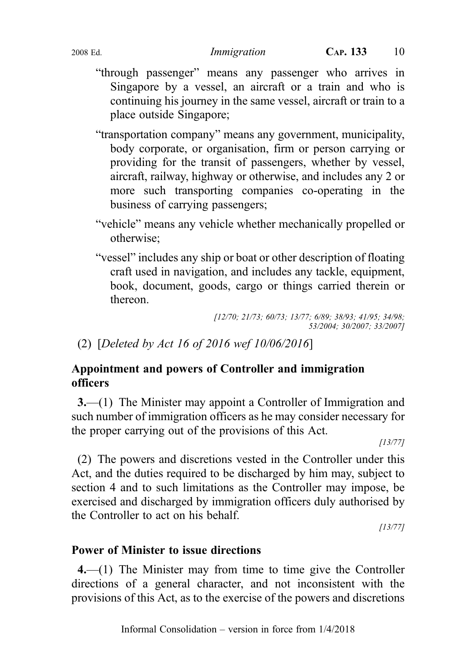- "through passenger" means any passenger who arrives in Singapore by a vessel, an aircraft or a train and who is continuing his journey in the same vessel, aircraft or train to a place outside Singapore;
- "transportation company" means any government, municipality, body corporate, or organisation, firm or person carrying or providing for the transit of passengers, whether by vessel, aircraft, railway, highway or otherwise, and includes any 2 or more such transporting companies co-operating in the business of carrying passengers;
- "vehicle" means any vehicle whether mechanically propelled or otherwise;
- "vessel" includes any ship or boat or other description of floating craft used in navigation, and includes any tackle, equipment, book, document, goods, cargo or things carried therein or thereon.

[12/70; 21/73; 60/73; 13/77; 6/89; 38/93; 41/95; 34/98; 53/2004; 30/2007; 33/2007]

(2) [Deleted by Act 16 of 2016 wef 10/06/2016]

# Appointment and powers of Controller and immigration officers

3.—(1) The Minister may appoint a Controller of Immigration and such number of immigration officers as he may consider necessary for the proper carrying out of the provisions of this Act.

[13/77]

(2) The powers and discretions vested in the Controller under this Act, and the duties required to be discharged by him may, subject to section 4 and to such limitations as the Controller may impose, be exercised and discharged by immigration officers duly authorised by the Controller to act on his behalf.

[13/77]

# Power of Minister to issue directions

4.—(1) The Minister may from time to time give the Controller directions of a general character, and not inconsistent with the provisions of this Act, as to the exercise of the powers and discretions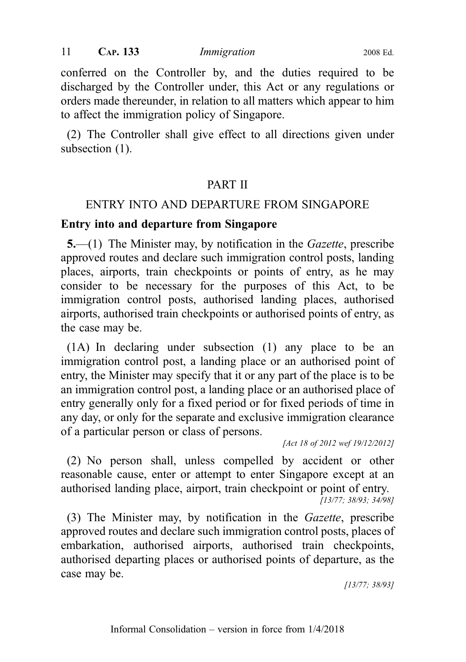conferred on the Controller by, and the duties required to be discharged by the Controller under, this Act or any regulations or orders made thereunder, in relation to all matters which appear to him to affect the immigration policy of Singapore.

(2) The Controller shall give effect to all directions given under subsection  $(1)$ .

# PART II

# ENTRY INTO AND DEPARTURE FROM SINGAPORE

### Entry into and departure from Singapore

5.—(1) The Minister may, by notification in the Gazette, prescribe approved routes and declare such immigration control posts, landing places, airports, train checkpoints or points of entry, as he may consider to be necessary for the purposes of this Act, to be immigration control posts, authorised landing places, authorised airports, authorised train checkpoints or authorised points of entry, as the case may be.

(1A) In declaring under subsection (1) any place to be an immigration control post, a landing place or an authorised point of entry, the Minister may specify that it or any part of the place is to be an immigration control post, a landing place or an authorised place of entry generally only for a fixed period or for fixed periods of time in any day, or only for the separate and exclusive immigration clearance of a particular person or class of persons.

[Act 18 of 2012 wef 19/12/2012]

(2) No person shall, unless compelled by accident or other reasonable cause, enter or attempt to enter Singapore except at an authorised landing place, airport, train checkpoint or point of entry.

[13/77; 38/93; 34/98]

(3) The Minister may, by notification in the Gazette, prescribe approved routes and declare such immigration control posts, places of embarkation, authorised airports, authorised train checkpoints, authorised departing places or authorised points of departure, as the case may be.

[13/77; 38/93]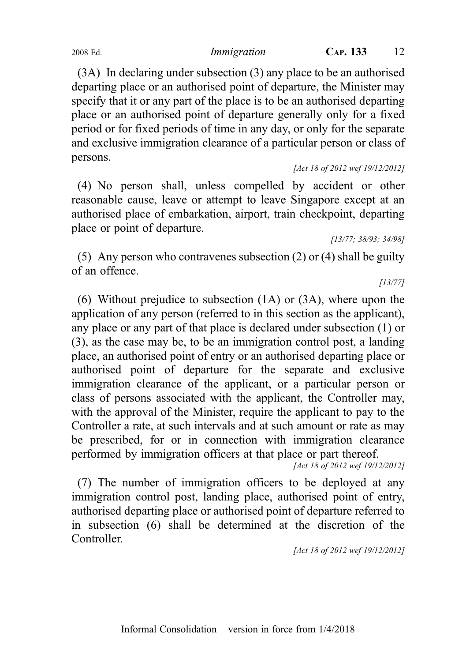departing place or an authorised point of departure, the Minister may specify that it or any part of the place is to be an authorised departing place or an authorised point of departure generally only for a fixed period or for fixed periods of time in any day, or only for the separate and exclusive immigration clearance of a particular person or class of persons.

(3A) In declaring under subsection (3) any place to be an authorised

[Act 18 of 2012 wef 19/12/2012]

(4) No person shall, unless compelled by accident or other reasonable cause, leave or attempt to leave Singapore except at an authorised place of embarkation, airport, train checkpoint, departing place or point of departure.

[13/77; 38/93; 34/98]

(5) Any person who contravenes subsection (2) or (4) shall be guilty of an offence.

[13/77]

(6) Without prejudice to subsection (1A) or (3A), where upon the application of any person (referred to in this section as the applicant), any place or any part of that place is declared under subsection (1) or (3), as the case may be, to be an immigration control post, a landing place, an authorised point of entry or an authorised departing place or authorised point of departure for the separate and exclusive immigration clearance of the applicant, or a particular person or class of persons associated with the applicant, the Controller may, with the approval of the Minister, require the applicant to pay to the Controller a rate, at such intervals and at such amount or rate as may be prescribed, for or in connection with immigration clearance performed by immigration officers at that place or part thereof.

[Act 18 of 2012 wef 19/12/2012]

(7) The number of immigration officers to be deployed at any immigration control post, landing place, authorised point of entry, authorised departing place or authorised point of departure referred to in subsection (6) shall be determined at the discretion of the Controller.

[Act 18 of 2012 wef 19/12/2012]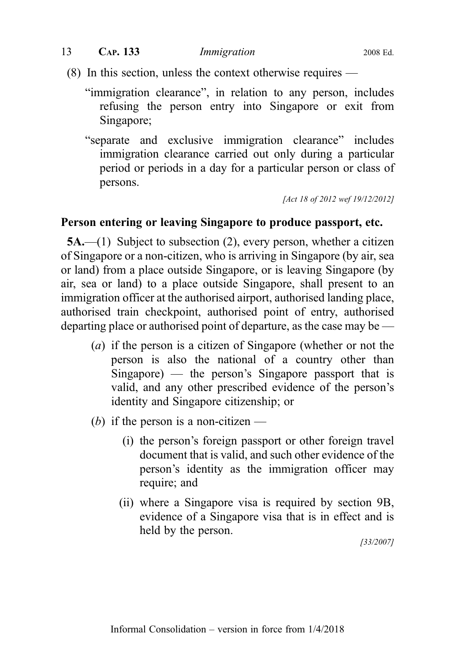- (8) In this section, unless the context otherwise requires
	- "immigration clearance", in relation to any person, includes refusing the person entry into Singapore or exit from Singapore;
	- "separate and exclusive immigration clearance" includes immigration clearance carried out only during a particular period or periods in a day for a particular person or class of persons.

[Act 18 of 2012 wef 19/12/2012]

#### Person entering or leaving Singapore to produce passport, etc.

5A.—(1) Subject to subsection (2), every person, whether a citizen of Singapore or a non-citizen, who is arriving in Singapore (by air, sea or land) from a place outside Singapore, or is leaving Singapore (by air, sea or land) to a place outside Singapore, shall present to an immigration officer at the authorised airport, authorised landing place, authorised train checkpoint, authorised point of entry, authorised departing place or authorised point of departure, as the case may be —

- (a) if the person is a citizen of Singapore (whether or not the person is also the national of a country other than Singapore) — the person's Singapore passport that is valid, and any other prescribed evidence of the person's identity and Singapore citizenship; or
- (b) if the person is a non-citizen
	- (i) the person's foreign passport or other foreign travel document that is valid, and such other evidence of the person's identity as the immigration officer may require; and
	- (ii) where a Singapore visa is required by section 9B, evidence of a Singapore visa that is in effect and is held by the person.

[33/2007]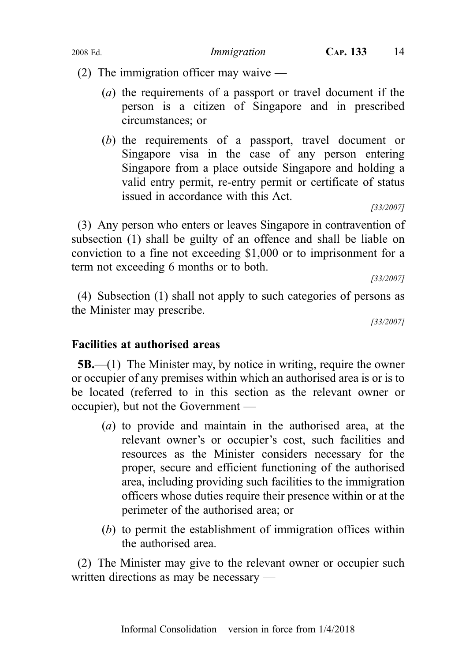(2) The immigration officer may waive —

- (a) the requirements of a passport or travel document if the person is a citizen of Singapore and in prescribed circumstances; or
- (b) the requirements of a passport, travel document or Singapore visa in the case of any person entering Singapore from a place outside Singapore and holding a valid entry permit, re-entry permit or certificate of status issued in accordance with this Act.

[33/2007]

(3) Any person who enters or leaves Singapore in contravention of subsection (1) shall be guilty of an offence and shall be liable on conviction to a fine not exceeding \$1,000 or to imprisonment for a term not exceeding 6 months or to both.

[33/2007]

(4) Subsection (1) shall not apply to such categories of persons as the Minister may prescribe.

[33/2007]

# Facilities at authorised areas

5B.—(1) The Minister may, by notice in writing, require the owner or occupier of any premises within which an authorised area is or is to be located (referred to in this section as the relevant owner or occupier), but not the Government —

- (a) to provide and maintain in the authorised area, at the relevant owner's or occupier's cost, such facilities and resources as the Minister considers necessary for the proper, secure and efficient functioning of the authorised area, including providing such facilities to the immigration officers whose duties require their presence within or at the perimeter of the authorised area; or
- (b) to permit the establishment of immigration offices within the authorised area.

(2) The Minister may give to the relevant owner or occupier such written directions as may be necessary —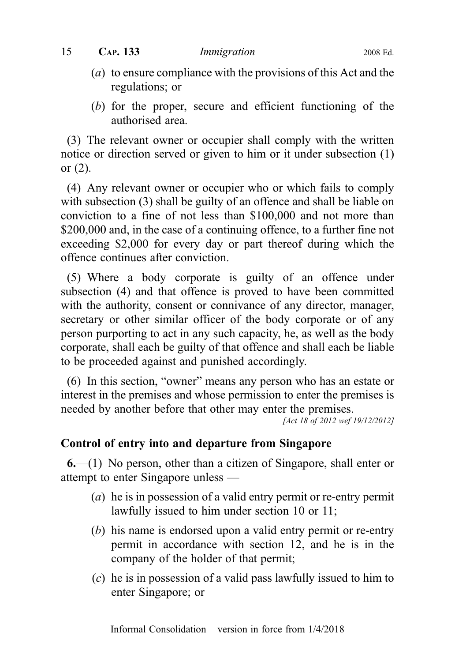- (a) to ensure compliance with the provisions of this Act and the regulations; or
- (b) for the proper, secure and efficient functioning of the authorised area.

(3) The relevant owner or occupier shall comply with the written notice or direction served or given to him or it under subsection (1) or (2).

(4) Any relevant owner or occupier who or which fails to comply with subsection (3) shall be guilty of an offence and shall be liable on conviction to a fine of not less than \$100,000 and not more than \$200,000 and, in the case of a continuing offence, to a further fine not exceeding \$2,000 for every day or part thereof during which the offence continues after conviction.

(5) Where a body corporate is guilty of an offence under subsection (4) and that offence is proved to have been committed with the authority, consent or connivance of any director, manager, secretary or other similar officer of the body corporate or of any person purporting to act in any such capacity, he, as well as the body corporate, shall each be guilty of that offence and shall each be liable to be proceeded against and punished accordingly.

(6) In this section, "owner" means any person who has an estate or interest in the premises and whose permission to enter the premises is needed by another before that other may enter the premises.

[Act 18 of 2012 wef 19/12/2012]

### Control of entry into and departure from Singapore

6.—(1) No person, other than a citizen of Singapore, shall enter or attempt to enter Singapore unless —

- (a) he is in possession of a valid entry permit or re-entry permit lawfully issued to him under section 10 or 11;
- (b) his name is endorsed upon a valid entry permit or re-entry permit in accordance with section 12, and he is in the company of the holder of that permit;
- (c) he is in possession of a valid pass lawfully issued to him to enter Singapore; or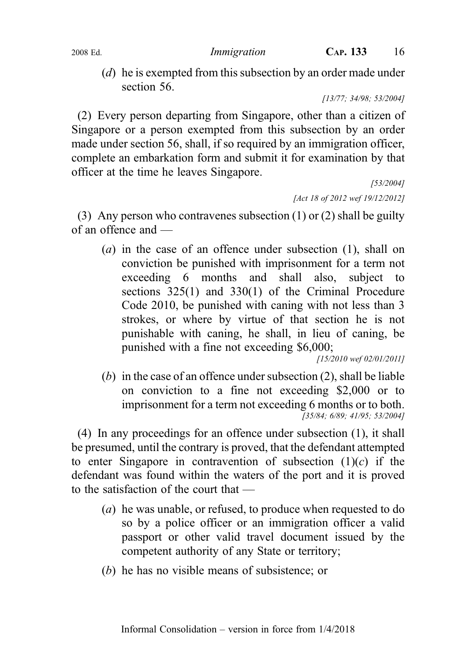(*d*) he is exempted from this subsection by an order made under section 56.

[13/77; 34/98; 53/2004]

(2) Every person departing from Singapore, other than a citizen of Singapore or a person exempted from this subsection by an order made under section 56, shall, if so required by an immigration officer, complete an embarkation form and submit it for examination by that officer at the time he leaves Singapore.

> [53/2004] [Act 18 of 2012 wef 19/12/2012]

(3) Any person who contravenes subsection (1) or (2) shall be guilty of an offence and —

(a) in the case of an offence under subsection (1), shall on conviction be punished with imprisonment for a term not exceeding 6 months and shall also, subject to sections 325(1) and 330(1) of the Criminal Procedure Code 2010, be punished with caning with not less than 3 strokes, or where by virtue of that section he is not punishable with caning, he shall, in lieu of caning, be punished with a fine not exceeding \$6,000;

[15/2010 wef 02/01/2011]

(b) in the case of an offence under subsection (2), shall be liable on conviction to a fine not exceeding \$2,000 or to imprisonment for a term not exceeding 6 months or to both. [35/84; 6/89; 41/95; 53/2004]

(4) In any proceedings for an offence under subsection (1), it shall be presumed, until the contrary is proved, that the defendant attempted to enter Singapore in contravention of subsection  $(1)(c)$  if the defendant was found within the waters of the port and it is proved to the satisfaction of the court that —

- (a) he was unable, or refused, to produce when requested to do so by a police officer or an immigration officer a valid passport or other valid travel document issued by the competent authority of any State or territory;
- (b) he has no visible means of subsistence; or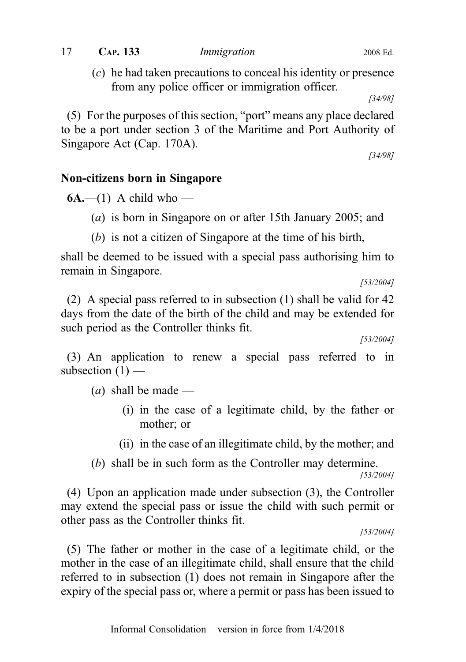(c) he had taken precautions to conceal his identity or presence from any police officer or immigration officer.

[34/98]

(5) For the purposes of this section, "port" means any place declared to be a port under section 3 of the Maritime and Port Authority of Singapore Act (Cap. 170A).

[34/98]

# Non-citizens born in Singapore

 $6A$ —(1) A child who —

- (a) is born in Singapore on or after 15th January 2005; and
- (b) is not a citizen of Singapore at the time of his birth,

shall be deemed to be issued with a special pass authorising him to remain in Singapore.

[53/2004]

(2) A special pass referred to in subsection (1) shall be valid for 42 days from the date of the birth of the child and may be extended for such period as the Controller thinks fit.

[53/2004]

(3) An application to renew a special pass referred to in subsection  $(1)$  —

(*a*) shall be made —

- (i) in the case of a legitimate child, by the father or mother; or
- (ii) in the case of an illegitimate child, by the mother; and

(b) shall be in such form as the Controller may determine.

[53/2004]

(4) Upon an application made under subsection (3), the Controller may extend the special pass or issue the child with such permit or other pass as the Controller thinks fit.

[53/2004]

(5) The father or mother in the case of a legitimate child, or the mother in the case of an illegitimate child, shall ensure that the child referred to in subsection (1) does not remain in Singapore after the expiry of the special pass or, where a permit or pass has been issued to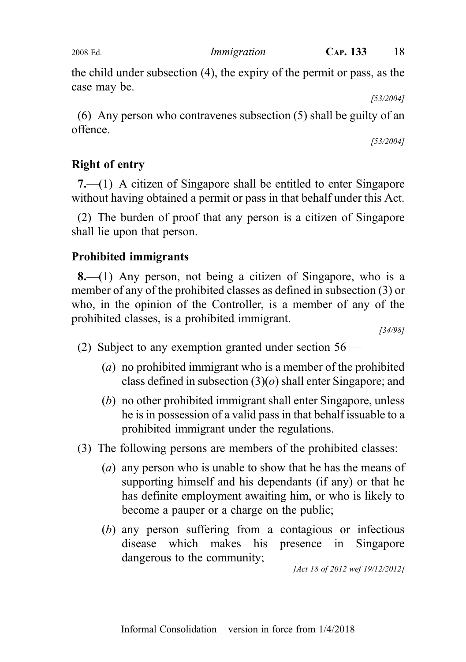the child under subsection (4), the expiry of the permit or pass, as the case may be.

[53/2004]

(6) Any person who contravenes subsection (5) shall be guilty of an offence.

[53/2004]

# Right of entry

7.—(1) A citizen of Singapore shall be entitled to enter Singapore without having obtained a permit or pass in that behalf under this Act.

(2) The burden of proof that any person is a citizen of Singapore shall lie upon that person.

# Prohibited immigrants

8.—(1) Any person, not being a citizen of Singapore, who is a member of any of the prohibited classes as defined in subsection (3) or who, in the opinion of the Controller, is a member of any of the prohibited classes, is a prohibited immigrant.

[34/98]

- (2) Subject to any exemption granted under section 56
	- (a) no prohibited immigrant who is a member of the prohibited class defined in subsection  $(3)(o)$  shall enter Singapore; and
	- (b) no other prohibited immigrant shall enter Singapore, unless he is in possession of a valid pass in that behalf issuable to a prohibited immigrant under the regulations.
- (3) The following persons are members of the prohibited classes:
	- (a) any person who is unable to show that he has the means of supporting himself and his dependants (if any) or that he has definite employment awaiting him, or who is likely to become a pauper or a charge on the public;
	- (b) any person suffering from a contagious or infectious disease which makes his presence in Singapore dangerous to the community;

[Act 18 of 2012 wef 19/12/2012]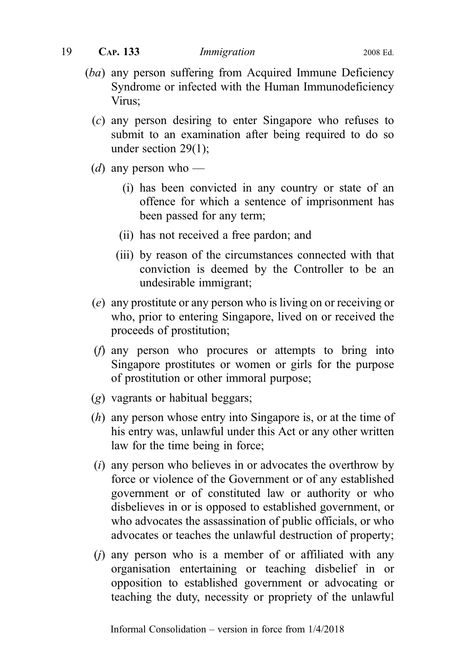- (ba) any person suffering from Acquired Immune Deficiency Syndrome or infected with the Human Immunodeficiency Virus;
	- (c) any person desiring to enter Singapore who refuses to submit to an examination after being required to do so under section 29(1);
	- (*d*) any person who
		- (i) has been convicted in any country or state of an offence for which a sentence of imprisonment has been passed for any term;
		- (ii) has not received a free pardon; and
		- (iii) by reason of the circumstances connected with that conviction is deemed by the Controller to be an undesirable immigrant;
	- (e) any prostitute or any person who is living on or receiving or who, prior to entering Singapore, lived on or received the proceeds of prostitution;
	- (f) any person who procures or attempts to bring into Singapore prostitutes or women or girls for the purpose of prostitution or other immoral purpose;
	- (g) vagrants or habitual beggars;
	- (h) any person whose entry into Singapore is, or at the time of his entry was, unlawful under this Act or any other written law for the time being in force;
	- (i) any person who believes in or advocates the overthrow by force or violence of the Government or of any established government or of constituted law or authority or who disbelieves in or is opposed to established government, or who advocates the assassination of public officials, or who advocates or teaches the unlawful destruction of property;
	- $(i)$  any person who is a member of or affiliated with any organisation entertaining or teaching disbelief in or opposition to established government or advocating or teaching the duty, necessity or propriety of the unlawful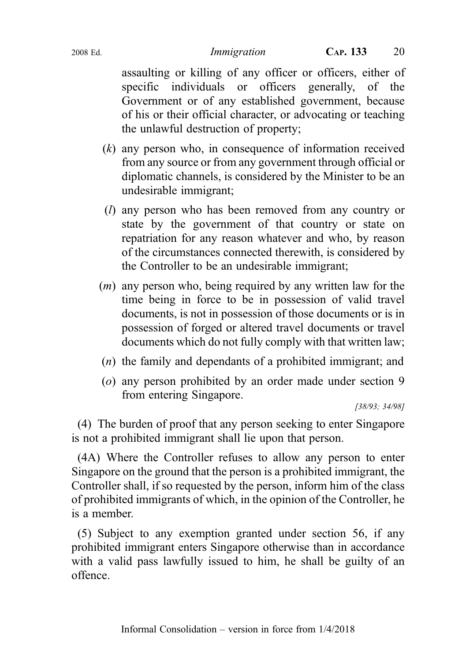assaulting or killing of any officer or officers, either of specific individuals or officers generally, of the Government or of any established government, because of his or their official character, or advocating or teaching the unlawful destruction of property;

- $(k)$  any person who, in consequence of information received from any source or from any government through official or diplomatic channels, is considered by the Minister to be an undesirable immigrant;
- (l) any person who has been removed from any country or state by the government of that country or state on repatriation for any reason whatever and who, by reason of the circumstances connected therewith, is considered by the Controller to be an undesirable immigrant;
- (m) any person who, being required by any written law for the time being in force to be in possession of valid travel documents, is not in possession of those documents or is in possession of forged or altered travel documents or travel documents which do not fully comply with that written law;
- (n) the family and dependants of a prohibited immigrant; and
- (o) any person prohibited by an order made under section 9 from entering Singapore.

[38/93; 34/98]

(4) The burden of proof that any person seeking to enter Singapore is not a prohibited immigrant shall lie upon that person.

(4A) Where the Controller refuses to allow any person to enter Singapore on the ground that the person is a prohibited immigrant, the Controller shall, if so requested by the person, inform him of the class of prohibited immigrants of which, in the opinion of the Controller, he is a member.

(5) Subject to any exemption granted under section 56, if any prohibited immigrant enters Singapore otherwise than in accordance with a valid pass lawfully issued to him, he shall be guilty of an offence.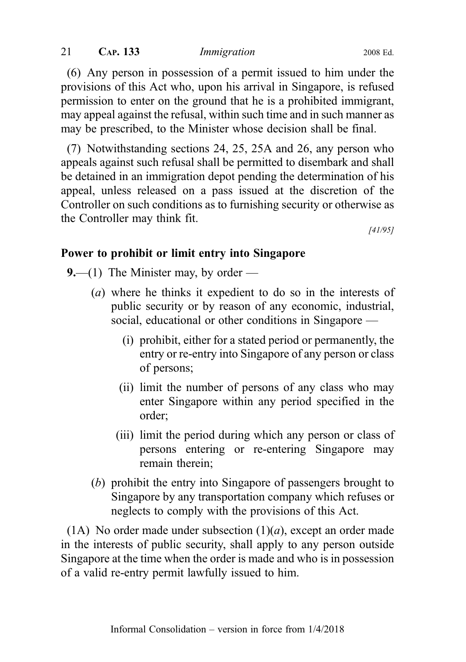(7) Notwithstanding sections 24, 25, 25A and 26, any person who appeals against such refusal shall be permitted to disembark and shall be detained in an immigration depot pending the determination of his appeal, unless released on a pass issued at the discretion of the Controller on such conditions as to furnishing security or otherwise as the Controller may think fit.

[41/95]

# Power to prohibit or limit entry into Singapore

**9.**—(1) The Minister may, by order —

- (a) where he thinks it expedient to do so in the interests of public security or by reason of any economic, industrial, social, educational or other conditions in Singapore —
	- (i) prohibit, either for a stated period or permanently, the entry or re-entry into Singapore of any person or class of persons;
	- (ii) limit the number of persons of any class who may enter Singapore within any period specified in the order;
	- (iii) limit the period during which any person or class of persons entering or re-entering Singapore may remain therein;
- (b) prohibit the entry into Singapore of passengers brought to Singapore by any transportation company which refuses or neglects to comply with the provisions of this Act.

(1A) No order made under subsection  $(1)(a)$ , except an order made in the interests of public security, shall apply to any person outside Singapore at the time when the order is made and who is in possession of a valid re-entry permit lawfully issued to him.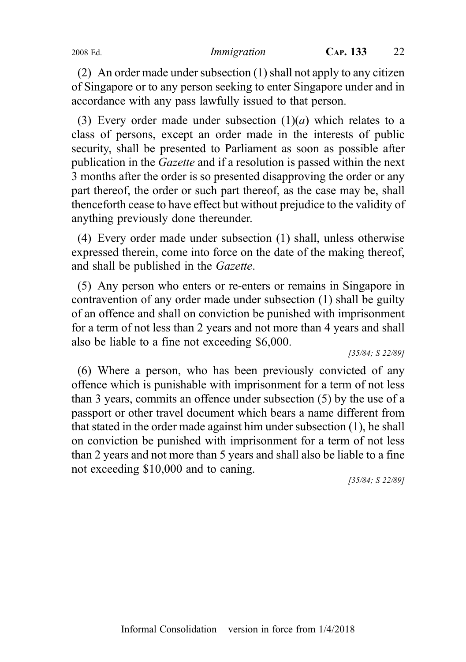(2) An order made under subsection (1) shall not apply to any citizen of Singapore or to any person seeking to enter Singapore under and in accordance with any pass lawfully issued to that person.

(3) Every order made under subsection  $(1)(a)$  which relates to a class of persons, except an order made in the interests of public security, shall be presented to Parliament as soon as possible after publication in the Gazette and if a resolution is passed within the next 3 months after the order is so presented disapproving the order or any part thereof, the order or such part thereof, as the case may be, shall thenceforth cease to have effect but without prejudice to the validity of anything previously done thereunder.

(4) Every order made under subsection (1) shall, unless otherwise expressed therein, come into force on the date of the making thereof, and shall be published in the Gazette.

(5) Any person who enters or re-enters or remains in Singapore in contravention of any order made under subsection (1) shall be guilty of an offence and shall on conviction be punished with imprisonment for a term of not less than 2 years and not more than 4 years and shall also be liable to a fine not exceeding \$6,000.

[35/84; S 22/89]

(6) Where a person, who has been previously convicted of any offence which is punishable with imprisonment for a term of not less than 3 years, commits an offence under subsection (5) by the use of a passport or other travel document which bears a name different from that stated in the order made against him under subsection (1), he shall on conviction be punished with imprisonment for a term of not less than 2 years and not more than 5 years and shall also be liable to a fine not exceeding \$10,000 and to caning.

[35/84; S 22/89]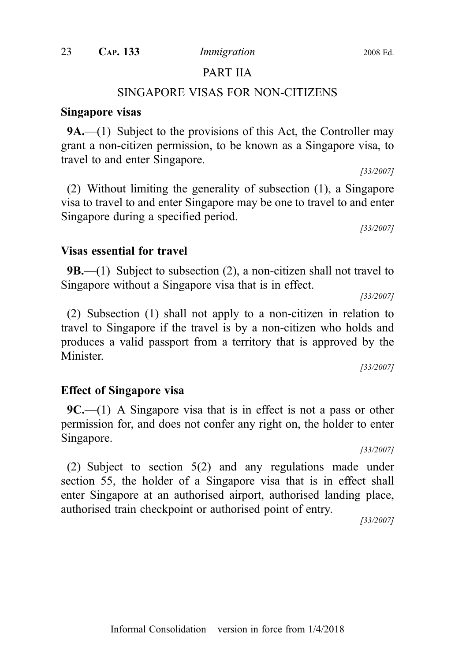### PART IIA

### SINGAPORE VISAS FOR NON-CITIZENS

#### Singapore visas

9A.—(1) Subject to the provisions of this Act, the Controller may grant a non-citizen permission, to be known as a Singapore visa, to travel to and enter Singapore.

[33/2007]

(2) Without limiting the generality of subsection (1), a Singapore visa to travel to and enter Singapore may be one to travel to and enter Singapore during a specified period.

[33/2007]

### Visas essential for travel

9B.—(1) Subject to subsection (2), a non-citizen shall not travel to Singapore without a Singapore visa that is in effect.

[33/2007]

(2) Subsection (1) shall not apply to a non-citizen in relation to travel to Singapore if the travel is by a non-citizen who holds and produces a valid passport from a territory that is approved by the **Minister** 

[33/2007]

### Effect of Singapore visa

9C.—(1) A Singapore visa that is in effect is not a pass or other permission for, and does not confer any right on, the holder to enter Singapore.

[33/2007]

(2) Subject to section 5(2) and any regulations made under section 55, the holder of a Singapore visa that is in effect shall enter Singapore at an authorised airport, authorised landing place, authorised train checkpoint or authorised point of entry.

[33/2007]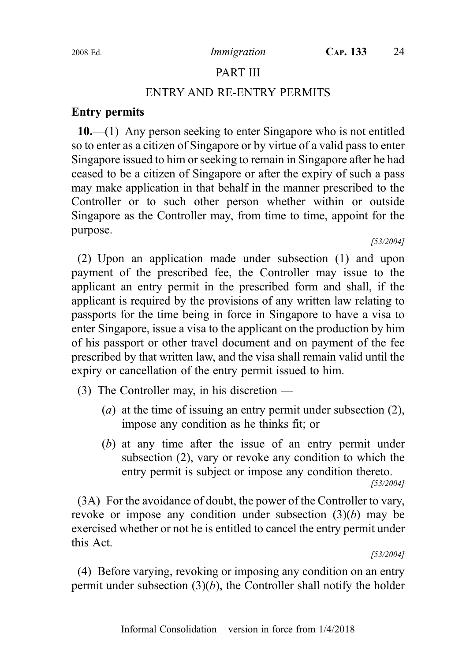# PART III

#### ENTRY AND RE-ENTRY PERMITS

#### Entry permits

10.—(1) Any person seeking to enter Singapore who is not entitled so to enter as a citizen of Singapore or by virtue of a valid pass to enter Singapore issued to him or seeking to remain in Singapore after he had ceased to be a citizen of Singapore or after the expiry of such a pass may make application in that behalf in the manner prescribed to the Controller or to such other person whether within or outside Singapore as the Controller may, from time to time, appoint for the purpose.

[53/2004]

(2) Upon an application made under subsection (1) and upon payment of the prescribed fee, the Controller may issue to the applicant an entry permit in the prescribed form and shall, if the applicant is required by the provisions of any written law relating to passports for the time being in force in Singapore to have a visa to enter Singapore, issue a visa to the applicant on the production by him of his passport or other travel document and on payment of the fee prescribed by that written law, and the visa shall remain valid until the expiry or cancellation of the entry permit issued to him.

(3) The Controller may, in his discretion —

- (a) at the time of issuing an entry permit under subsection (2), impose any condition as he thinks fit; or
- (b) at any time after the issue of an entry permit under subsection (2), vary or revoke any condition to which the entry permit is subject or impose any condition thereto.

[53/2004]

(3A) For the avoidance of doubt, the power of the Controller to vary, revoke or impose any condition under subsection  $(3)(b)$  may be exercised whether or not he is entitled to cancel the entry permit under this Act.

[53/2004]

(4) Before varying, revoking or imposing any condition on an entry permit under subsection  $(3)(b)$ , the Controller shall notify the holder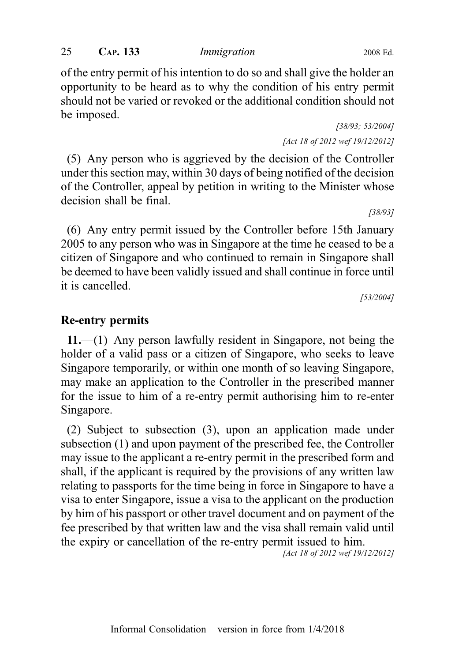25 CAP. 133 Immigration 2008 Ed.

of the entry permit of his intention to do so and shall give the holder an opportunity to be heard as to why the condition of his entry permit should not be varied or revoked or the additional condition should not be imposed.

> [38/93; 53/2004] [Act 18 of 2012 wef 19/12/2012]

(5) Any person who is aggrieved by the decision of the Controller under this section may, within 30 days of being notified of the decision of the Controller, appeal by petition in writing to the Minister whose decision shall be final.

[38/93]

(6) Any entry permit issued by the Controller before 15th January 2005 to any person who was in Singapore at the time he ceased to be a citizen of Singapore and who continued to remain in Singapore shall be deemed to have been validly issued and shall continue in force until it is cancelled.

[53/2004]

### Re-entry permits

11.—(1) Any person lawfully resident in Singapore, not being the holder of a valid pass or a citizen of Singapore, who seeks to leave Singapore temporarily, or within one month of so leaving Singapore, may make an application to the Controller in the prescribed manner for the issue to him of a re-entry permit authorising him to re-enter Singapore.

(2) Subject to subsection (3), upon an application made under subsection (1) and upon payment of the prescribed fee, the Controller may issue to the applicant a re-entry permit in the prescribed form and shall, if the applicant is required by the provisions of any written law relating to passports for the time being in force in Singapore to have a visa to enter Singapore, issue a visa to the applicant on the production by him of his passport or other travel document and on payment of the fee prescribed by that written law and the visa shall remain valid until the expiry or cancellation of the re-entry permit issued to him.

[Act 18 of 2012 wef 19/12/2012]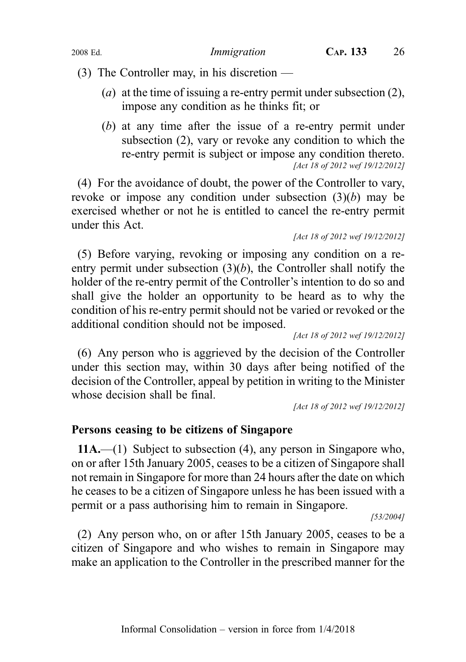(3) The Controller may, in his discretion —

- (*a*) at the time of issuing a re-entry permit under subsection  $(2)$ , impose any condition as he thinks fit; or
- (b) at any time after the issue of a re-entry permit under subsection (2), vary or revoke any condition to which the re-entry permit is subject or impose any condition thereto. [Act 18 of 2012 wef 19/12/2012]

(4) For the avoidance of doubt, the power of the Controller to vary, revoke or impose any condition under subsection  $(3)(b)$  may be exercised whether or not he is entitled to cancel the re-entry permit under this Act.

[Act 18 of 2012 wef 19/12/2012]

(5) Before varying, revoking or imposing any condition on a reentry permit under subsection  $(3)(b)$ , the Controller shall notify the holder of the re-entry permit of the Controller's intention to do so and shall give the holder an opportunity to be heard as to why the condition of his re-entry permit should not be varied or revoked or the additional condition should not be imposed.

[Act 18 of 2012 wef 19/12/2012]

(6) Any person who is aggrieved by the decision of the Controller under this section may, within 30 days after being notified of the decision of the Controller, appeal by petition in writing to the Minister whose decision shall be final.

[Act 18 of 2012 wef 19/12/2012]

# Persons ceasing to be citizens of Singapore

11A.—(1) Subject to subsection (4), any person in Singapore who, on or after 15th January 2005, ceases to be a citizen of Singapore shall not remain in Singapore for more than 24 hours after the date on which he ceases to be a citizen of Singapore unless he has been issued with a permit or a pass authorising him to remain in Singapore.

[53/2004]

(2) Any person who, on or after 15th January 2005, ceases to be a citizen of Singapore and who wishes to remain in Singapore may make an application to the Controller in the prescribed manner for the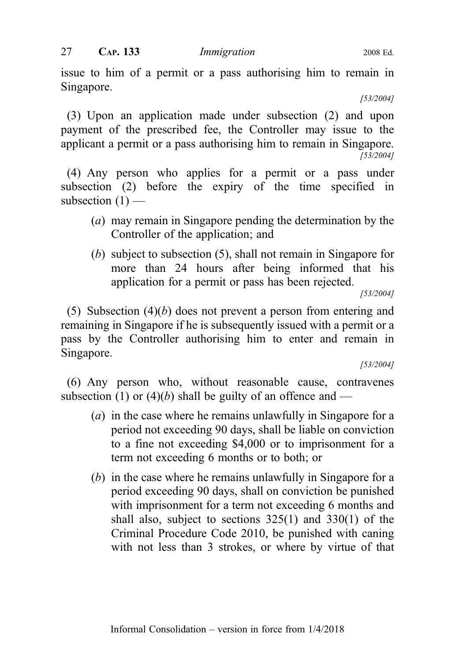issue to him of a permit or a pass authorising him to remain in Singapore.

[53/2004]

(3) Upon an application made under subsection (2) and upon payment of the prescribed fee, the Controller may issue to the applicant a permit or a pass authorising him to remain in Singapore. [53/2004]

(4) Any person who applies for a permit or a pass under subsection (2) before the expiry of the time specified in subsection  $(1)$  —

- (a) may remain in Singapore pending the determination by the Controller of the application; and
- (b) subject to subsection (5), shall not remain in Singapore for more than 24 hours after being informed that his application for a permit or pass has been rejected.

[53/2004]

(5) Subsection (4)(b) does not prevent a person from entering and remaining in Singapore if he is subsequently issued with a permit or a pass by the Controller authorising him to enter and remain in Singapore.

[53/2004]

(6) Any person who, without reasonable cause, contravenes subsection (1) or (4)(b) shall be guilty of an offence and —

- (a) in the case where he remains unlawfully in Singapore for a period not exceeding 90 days, shall be liable on conviction to a fine not exceeding \$4,000 or to imprisonment for a term not exceeding 6 months or to both; or
- (b) in the case where he remains unlawfully in Singapore for a period exceeding 90 days, shall on conviction be punished with imprisonment for a term not exceeding 6 months and shall also, subject to sections 325(1) and 330(1) of the Criminal Procedure Code 2010, be punished with caning with not less than 3 strokes, or where by virtue of that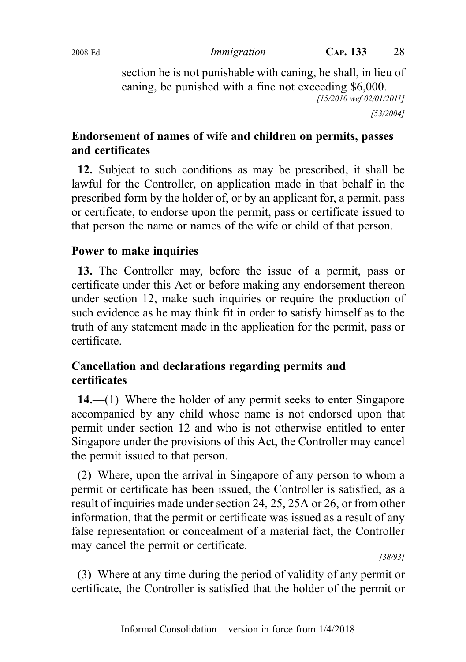section he is not punishable with caning, he shall, in lieu of caning, be punished with a fine not exceeding \$6,000. [15/2010 wef 02/01/2011]

[53/2004]

# Endorsement of names of wife and children on permits, passes and certificates

12. Subject to such conditions as may be prescribed, it shall be lawful for the Controller, on application made in that behalf in the prescribed form by the holder of, or by an applicant for, a permit, pass or certificate, to endorse upon the permit, pass or certificate issued to that person the name or names of the wife or child of that person.

# Power to make inquiries

13. The Controller may, before the issue of a permit, pass or certificate under this Act or before making any endorsement thereon under section 12, make such inquiries or require the production of such evidence as he may think fit in order to satisfy himself as to the truth of any statement made in the application for the permit, pass or certificate.

# Cancellation and declarations regarding permits and certificates

14.—(1) Where the holder of any permit seeks to enter Singapore accompanied by any child whose name is not endorsed upon that permit under section 12 and who is not otherwise entitled to enter Singapore under the provisions of this Act, the Controller may cancel the permit issued to that person.

(2) Where, upon the arrival in Singapore of any person to whom a permit or certificate has been issued, the Controller is satisfied, as a result of inquiries made under section 24, 25, 25A or 26, or from other information, that the permit or certificate was issued as a result of any false representation or concealment of a material fact, the Controller may cancel the permit or certificate.

[38/93]

(3) Where at any time during the period of validity of any permit or certificate, the Controller is satisfied that the holder of the permit or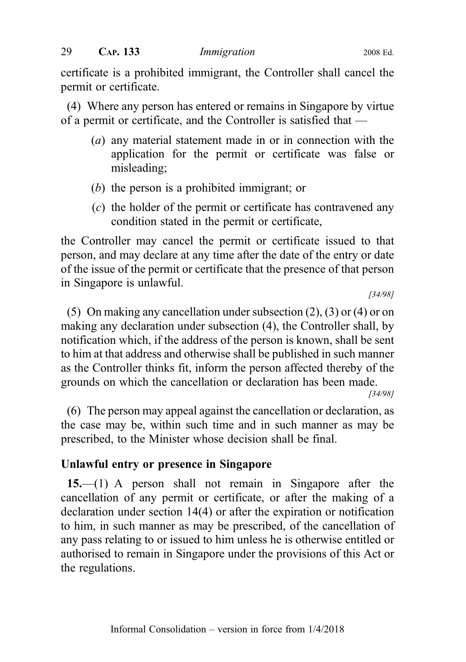certificate is a prohibited immigrant, the Controller shall cancel the permit or certificate.

(4) Where any person has entered or remains in Singapore by virtue of a permit or certificate, and the Controller is satisfied that —

- (a) any material statement made in or in connection with the application for the permit or certificate was false or misleading;
- (b) the person is a prohibited immigrant; or
- (c) the holder of the permit or certificate has contravened any condition stated in the permit or certificate,

the Controller may cancel the permit or certificate issued to that person, and may declare at any time after the date of the entry or date of the issue of the permit or certificate that the presence of that person in Singapore is unlawful.

[34/98]

(5) On making any cancellation under subsection (2), (3) or (4) or on making any declaration under subsection (4), the Controller shall, by notification which, if the address of the person is known, shall be sent to him at that address and otherwise shall be published in such manner as the Controller thinks fit, inform the person affected thereby of the grounds on which the cancellation or declaration has been made.

[34/98]

(6) The person may appeal against the cancellation or declaration, as the case may be, within such time and in such manner as may be prescribed, to the Minister whose decision shall be final.

# Unlawful entry or presence in Singapore

15.—(1) A person shall not remain in Singapore after the cancellation of any permit or certificate, or after the making of a declaration under section 14(4) or after the expiration or notification to him, in such manner as may be prescribed, of the cancellation of any pass relating to or issued to him unless he is otherwise entitled or authorised to remain in Singapore under the provisions of this Act or the regulations.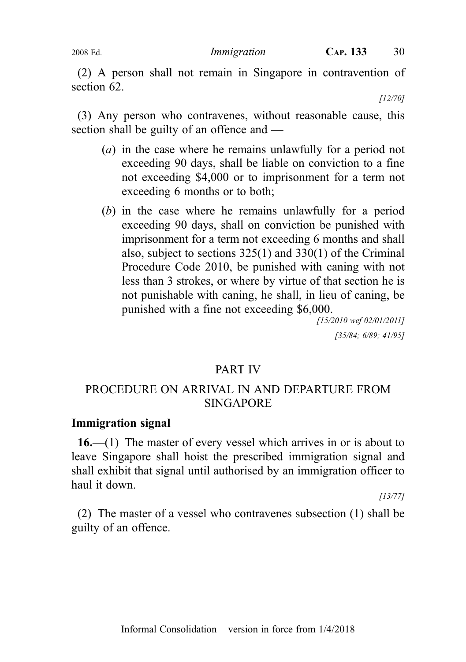(2) A person shall not remain in Singapore in contravention of section 62.

[12/70]

(3) Any person who contravenes, without reasonable cause, this section shall be guilty of an offence and —

- (a) in the case where he remains unlawfully for a period not exceeding 90 days, shall be liable on conviction to a fine not exceeding \$4,000 or to imprisonment for a term not exceeding 6 months or to both;
- (b) in the case where he remains unlawfully for a period exceeding 90 days, shall on conviction be punished with imprisonment for a term not exceeding 6 months and shall also, subject to sections 325(1) and 330(1) of the Criminal Procedure Code 2010, be punished with caning with not less than 3 strokes, or where by virtue of that section he is not punishable with caning, he shall, in lieu of caning, be punished with a fine not exceeding \$6,000.

[15/2010 wef 02/01/2011] [35/84; 6/89; 41/95]

# PART IV

# PROCEDURE ON ARRIVAL IN AND DEPARTURE FROM SINGAPORE

### Immigration signal

16.—(1) The master of every vessel which arrives in or is about to leave Singapore shall hoist the prescribed immigration signal and shall exhibit that signal until authorised by an immigration officer to haul it down.

[13/77]

(2) The master of a vessel who contravenes subsection (1) shall be guilty of an offence.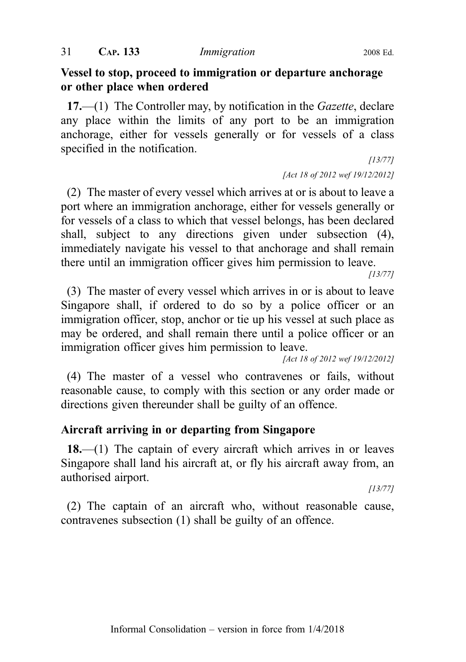31 CAP. 133 Immigration 2008 Ed.

# Vessel to stop, proceed to immigration or departure anchorage or other place when ordered

17.—(1) The Controller may, by notification in the *Gazette*, declare any place within the limits of any port to be an immigration anchorage, either for vessels generally or for vessels of a class specified in the notification.

> [13/77] [Act 18 of 2012 wef 19/12/2012]

(2) The master of every vessel which arrives at or is about to leave a port where an immigration anchorage, either for vessels generally or for vessels of a class to which that vessel belongs, has been declared shall, subject to any directions given under subsection (4), immediately navigate his vessel to that anchorage and shall remain there until an immigration officer gives him permission to leave.

(3) The master of every vessel which arrives in or is about to leave Singapore shall, if ordered to do so by a police officer or an immigration officer, stop, anchor or tie up his vessel at such place as may be ordered, and shall remain there until a police officer or an immigration officer gives him permission to leave.

[Act 18 of 2012 wef 19/12/2012]

(4) The master of a vessel who contravenes or fails, without reasonable cause, to comply with this section or any order made or directions given thereunder shall be guilty of an offence.

# Aircraft arriving in or departing from Singapore

18.—(1) The captain of every aircraft which arrives in or leaves Singapore shall land his aircraft at, or fly his aircraft away from, an authorised airport.

[13/77]

[13/77]

(2) The captain of an aircraft who, without reasonable cause, contravenes subsection (1) shall be guilty of an offence.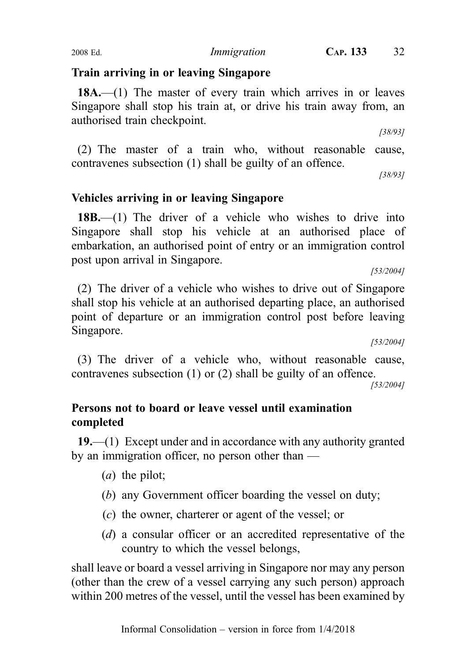Informal Consolidation – version in force from 1/4/2018

# Train arriving in or leaving Singapore

18A.—(1) The master of every train which arrives in or leaves Singapore shall stop his train at, or drive his train away from, an authorised train checkpoint.

(2) The master of a train who, without reasonable cause, contravenes subsection (1) shall be guilty of an offence.

[38/93]

[53/2004]

[53/2004]

[38/93]

#### Vehicles arriving in or leaving Singapore

18B.—(1) The driver of a vehicle who wishes to drive into Singapore shall stop his vehicle at an authorised place of embarkation, an authorised point of entry or an immigration control post upon arrival in Singapore.

(2) The driver of a vehicle who wishes to drive out of Singapore shall stop his vehicle at an authorised departing place, an authorised point of departure or an immigration control post before leaving Singapore.

(3) The driver of a vehicle who, without reasonable cause,

contravenes subsection (1) or (2) shall be guilty of an offence. [53/2004]

# Persons not to board or leave vessel until examination completed

19.—(1) Except under and in accordance with any authority granted by an immigration officer, no person other than —

- (a) the pilot;
- (b) any Government officer boarding the vessel on duty;
- (c) the owner, charterer or agent of the vessel; or
- (d) a consular officer or an accredited representative of the country to which the vessel belongs,

shall leave or board a vessel arriving in Singapore nor may any person (other than the crew of a vessel carrying any such person) approach within 200 metres of the vessel, until the vessel has been examined by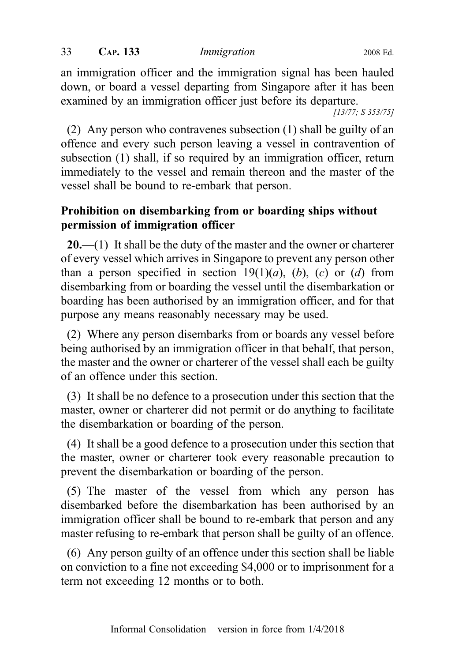an immigration officer and the immigration signal has been hauled down, or board a vessel departing from Singapore after it has been examined by an immigration officer just before its departure.

[13/77; S 353/75]

(2) Any person who contravenes subsection (1) shall be guilty of an offence and every such person leaving a vessel in contravention of subsection (1) shall, if so required by an immigration officer, return immediately to the vessel and remain thereon and the master of the vessel shall be bound to re-embark that person.

# Prohibition on disembarking from or boarding ships without permission of immigration officer

 $20$ .—(1) It shall be the duty of the master and the owner or charterer of every vessel which arrives in Singapore to prevent any person other than a person specified in section  $19(1)(a)$ , (b), (c) or (d) from disembarking from or boarding the vessel until the disembarkation or boarding has been authorised by an immigration officer, and for that purpose any means reasonably necessary may be used.

(2) Where any person disembarks from or boards any vessel before being authorised by an immigration officer in that behalf, that person, the master and the owner or charterer of the vessel shall each be guilty of an offence under this section.

(3) It shall be no defence to a prosecution under this section that the master, owner or charterer did not permit or do anything to facilitate the disembarkation or boarding of the person.

(4) It shall be a good defence to a prosecution under this section that the master, owner or charterer took every reasonable precaution to prevent the disembarkation or boarding of the person.

(5) The master of the vessel from which any person has disembarked before the disembarkation has been authorised by an immigration officer shall be bound to re-embark that person and any master refusing to re-embark that person shall be guilty of an offence.

(6) Any person guilty of an offence under this section shall be liable on conviction to a fine not exceeding \$4,000 or to imprisonment for a term not exceeding 12 months or to both.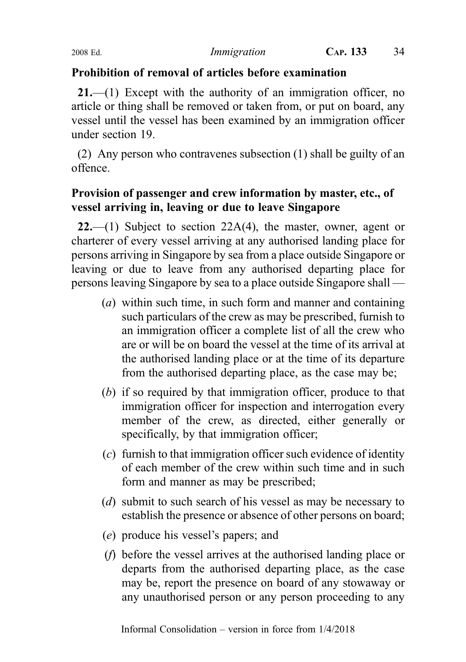# Prohibition of removal of articles before examination

21.—(1) Except with the authority of an immigration officer, no article or thing shall be removed or taken from, or put on board, any vessel until the vessel has been examined by an immigration officer under section 19.

(2) Any person who contravenes subsection (1) shall be guilty of an offence.

# Provision of passenger and crew information by master, etc., of vessel arriving in, leaving or due to leave Singapore

 $22$ .—(1) Subject to section  $22A(4)$ , the master, owner, agent or charterer of every vessel arriving at any authorised landing place for persons arriving in Singapore by sea from a place outside Singapore or leaving or due to leave from any authorised departing place for persons leaving Singapore by sea to a place outside Singapore shall —

- (a) within such time, in such form and manner and containing such particulars of the crew as may be prescribed, furnish to an immigration officer a complete list of all the crew who are or will be on board the vessel at the time of its arrival at the authorised landing place or at the time of its departure from the authorised departing place, as the case may be;
- (b) if so required by that immigration officer, produce to that immigration officer for inspection and interrogation every member of the crew, as directed, either generally or specifically, by that immigration officer;
- (c) furnish to that immigration officer such evidence of identity of each member of the crew within such time and in such form and manner as may be prescribed;
- (d) submit to such search of his vessel as may be necessary to establish the presence or absence of other persons on board;
- (e) produce his vessel's papers; and
- (f) before the vessel arrives at the authorised landing place or departs from the authorised departing place, as the case may be, report the presence on board of any stowaway or any unauthorised person or any person proceeding to any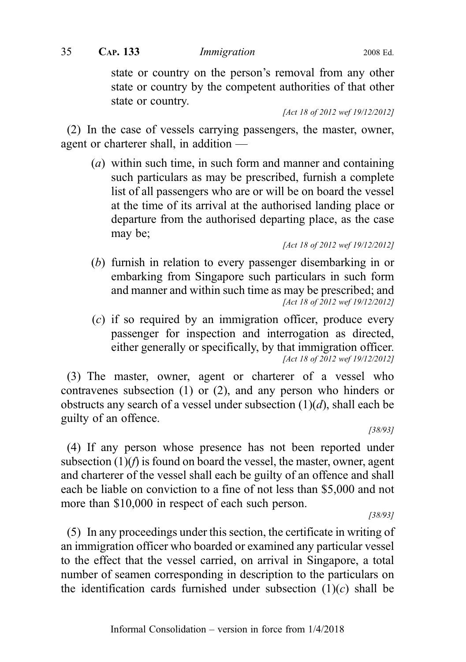state or country on the person's removal from any other state or country by the competent authorities of that other state or country.

[Act 18 of 2012 wef 19/12/2012]

(2) In the case of vessels carrying passengers, the master, owner, agent or charterer shall, in addition —

(a) within such time, in such form and manner and containing such particulars as may be prescribed, furnish a complete list of all passengers who are or will be on board the vessel at the time of its arrival at the authorised landing place or departure from the authorised departing place, as the case may be;

[Act 18 of 2012 wef 19/12/2012]

- (b) furnish in relation to every passenger disembarking in or embarking from Singapore such particulars in such form and manner and within such time as may be prescribed; and [Act 18 of 2012 wef 19/12/2012]
- (c) if so required by an immigration officer, produce every passenger for inspection and interrogation as directed, either generally or specifically, by that immigration officer. [Act 18 of 2012 wef 19/12/2012]

(3) The master, owner, agent or charterer of a vessel who contravenes subsection (1) or (2), and any person who hinders or obstructs any search of a vessel under subsection  $(1)(d)$ , shall each be guilty of an offence.

[38/93]

(4) If any person whose presence has not been reported under subsection  $(1)(f)$  is found on board the vessel, the master, owner, agent and charterer of the vessel shall each be guilty of an offence and shall each be liable on conviction to a fine of not less than \$5,000 and not more than \$10,000 in respect of each such person.

[38/93]

(5) In any proceedings under this section, the certificate in writing of an immigration officer who boarded or examined any particular vessel to the effect that the vessel carried, on arrival in Singapore, a total number of seamen corresponding in description to the particulars on the identification cards furnished under subsection  $(1)(c)$  shall be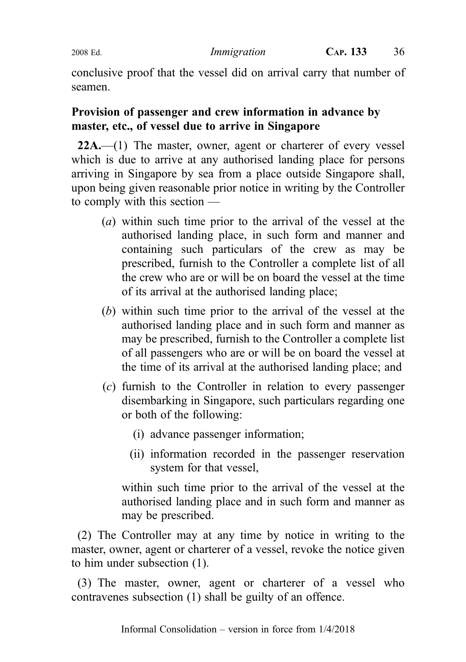conclusive proof that the vessel did on arrival carry that number of seamen.

# Provision of passenger and crew information in advance by master, etc., of vessel due to arrive in Singapore

22A.—(1) The master, owner, agent or charterer of every vessel which is due to arrive at any authorised landing place for persons arriving in Singapore by sea from a place outside Singapore shall, upon being given reasonable prior notice in writing by the Controller to comply with this section —

- (a) within such time prior to the arrival of the vessel at the authorised landing place, in such form and manner and containing such particulars of the crew as may be prescribed, furnish to the Controller a complete list of all the crew who are or will be on board the vessel at the time of its arrival at the authorised landing place;
- (b) within such time prior to the arrival of the vessel at the authorised landing place and in such form and manner as may be prescribed, furnish to the Controller a complete list of all passengers who are or will be on board the vessel at the time of its arrival at the authorised landing place; and
- (c) furnish to the Controller in relation to every passenger disembarking in Singapore, such particulars regarding one or both of the following:
	- (i) advance passenger information;
	- (ii) information recorded in the passenger reservation system for that vessel,

within such time prior to the arrival of the vessel at the authorised landing place and in such form and manner as may be prescribed.

(2) The Controller may at any time by notice in writing to the master, owner, agent or charterer of a vessel, revoke the notice given to him under subsection (1).

(3) The master, owner, agent or charterer of a vessel who contravenes subsection (1) shall be guilty of an offence.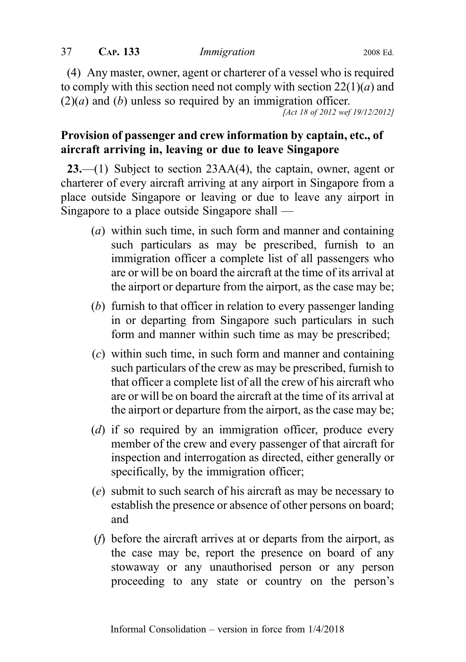(4) Any master, owner, agent or charterer of a vessel who is required to comply with this section need not comply with section  $22(1)(a)$  and  $(2)(a)$  and  $(b)$  unless so required by an immigration officer. [Act 18 of 2012 wef 19/12/2012]

# Provision of passenger and crew information by captain, etc., of aircraft arriving in, leaving or due to leave Singapore

23.—(1) Subject to section 23AA(4), the captain, owner, agent or charterer of every aircraft arriving at any airport in Singapore from a place outside Singapore or leaving or due to leave any airport in Singapore to a place outside Singapore shall —

- (a) within such time, in such form and manner and containing such particulars as may be prescribed, furnish to an immigration officer a complete list of all passengers who are or will be on board the aircraft at the time of its arrival at the airport or departure from the airport, as the case may be;
- (b) furnish to that officer in relation to every passenger landing in or departing from Singapore such particulars in such form and manner within such time as may be prescribed;
- (c) within such time, in such form and manner and containing such particulars of the crew as may be prescribed, furnish to that officer a complete list of all the crew of his aircraft who are or will be on board the aircraft at the time of its arrival at the airport or departure from the airport, as the case may be;
- (d) if so required by an immigration officer, produce every member of the crew and every passenger of that aircraft for inspection and interrogation as directed, either generally or specifically, by the immigration officer;
- (e) submit to such search of his aircraft as may be necessary to establish the presence or absence of other persons on board; and
- (f) before the aircraft arrives at or departs from the airport, as the case may be, report the presence on board of any stowaway or any unauthorised person or any person proceeding to any state or country on the person's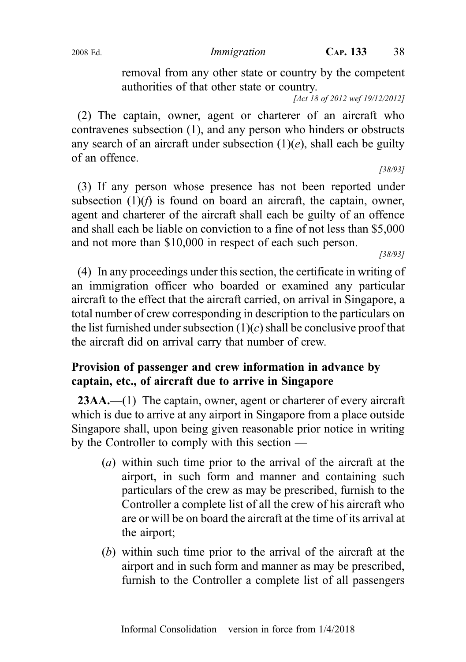removal from any other state or country by the competent authorities of that other state or country.

[Act 18 of 2012 wef 19/12/2012]

(2) The captain, owner, agent or charterer of an aircraft who contravenes subsection (1), and any person who hinders or obstructs any search of an aircraft under subsection  $(1)(e)$ , shall each be guilty of an offence.

(3) If any person whose presence has not been reported under subsection  $(1)(f)$  is found on board an aircraft, the captain, owner, agent and charterer of the aircraft shall each be guilty of an offence and shall each be liable on conviction to a fine of not less than \$5,000 and not more than \$10,000 in respect of each such person.

[38/93]

[38/93]

(4) In any proceedings under this section, the certificate in writing of an immigration officer who boarded or examined any particular aircraft to the effect that the aircraft carried, on arrival in Singapore, a total number of crew corresponding in description to the particulars on the list furnished under subsection  $(1)(c)$  shall be conclusive proof that the aircraft did on arrival carry that number of crew.

# Provision of passenger and crew information in advance by captain, etc., of aircraft due to arrive in Singapore

23AA.—(1) The captain, owner, agent or charterer of every aircraft which is due to arrive at any airport in Singapore from a place outside Singapore shall, upon being given reasonable prior notice in writing by the Controller to comply with this section —

- (a) within such time prior to the arrival of the aircraft at the airport, in such form and manner and containing such particulars of the crew as may be prescribed, furnish to the Controller a complete list of all the crew of his aircraft who are or will be on board the aircraft at the time of its arrival at the airport;
- (b) within such time prior to the arrival of the aircraft at the airport and in such form and manner as may be prescribed, furnish to the Controller a complete list of all passengers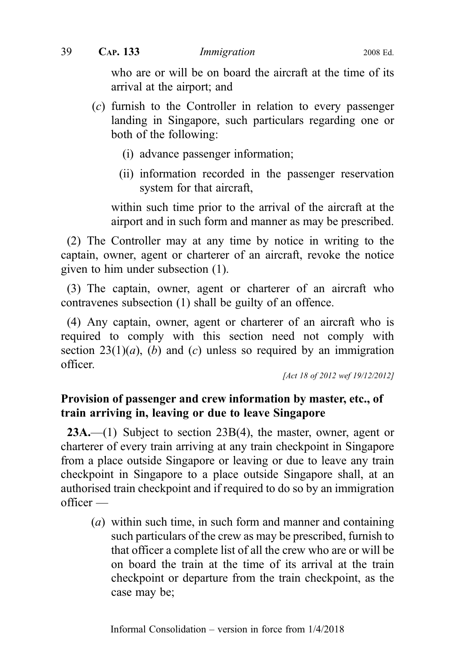who are or will be on board the aircraft at the time of its arrival at the airport; and

- (c) furnish to the Controller in relation to every passenger landing in Singapore, such particulars regarding one or both of the following:
	- (i) advance passenger information;
	- (ii) information recorded in the passenger reservation system for that aircraft,

within such time prior to the arrival of the aircraft at the airport and in such form and manner as may be prescribed.

(2) The Controller may at any time by notice in writing to the captain, owner, agent or charterer of an aircraft, revoke the notice given to him under subsection (1).

(3) The captain, owner, agent or charterer of an aircraft who contravenes subsection (1) shall be guilty of an offence.

(4) Any captain, owner, agent or charterer of an aircraft who is required to comply with this section need not comply with section  $23(1)(a)$ , (b) and (c) unless so required by an immigration officer.

[Act 18 of 2012 wef 19/12/2012]

#### Provision of passenger and crew information by master, etc., of train arriving in, leaving or due to leave Singapore

23A.—(1) Subject to section 23B(4), the master, owner, agent or charterer of every train arriving at any train checkpoint in Singapore from a place outside Singapore or leaving or due to leave any train checkpoint in Singapore to a place outside Singapore shall, at an authorised train checkpoint and if required to do so by an immigration officer —

(a) within such time, in such form and manner and containing such particulars of the crew as may be prescribed, furnish to that officer a complete list of all the crew who are or will be on board the train at the time of its arrival at the train checkpoint or departure from the train checkpoint, as the case may be;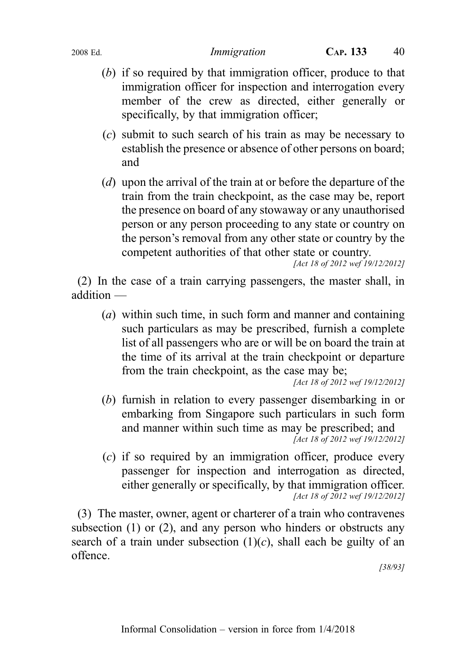- (b) if so required by that immigration officer, produce to that immigration officer for inspection and interrogation every member of the crew as directed, either generally or specifically, by that immigration officer;
- (c) submit to such search of his train as may be necessary to establish the presence or absence of other persons on board; and
- (d) upon the arrival of the train at or before the departure of the train from the train checkpoint, as the case may be, report the presence on board of any stowaway or any unauthorised person or any person proceeding to any state or country on the person's removal from any other state or country by the competent authorities of that other state or country.

[Act 18 of 2012 wef 19/12/2012]

(2) In the case of a train carrying passengers, the master shall, in addition —

(a) within such time, in such form and manner and containing such particulars as may be prescribed, furnish a complete list of all passengers who are or will be on board the train at the time of its arrival at the train checkpoint or departure from the train checkpoint, as the case may be;

[Act 18 of 2012 wef 19/12/2012]

- (b) furnish in relation to every passenger disembarking in or embarking from Singapore such particulars in such form and manner within such time as may be prescribed; and [Act 18 of 2012 wef 19/12/2012]
- (c) if so required by an immigration officer, produce every passenger for inspection and interrogation as directed, either generally or specifically, by that immigration officer. [Act 18 of 2012 wef 19/12/2012]

(3) The master, owner, agent or charterer of a train who contravenes subsection (1) or (2), and any person who hinders or obstructs any search of a train under subsection  $(1)(c)$ , shall each be guilty of an offence.

[38/93]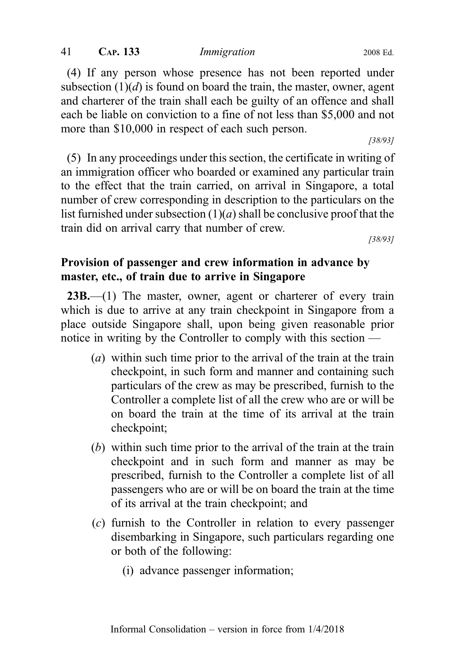(4) If any person whose presence has not been reported under subsection  $(1)(d)$  is found on board the train, the master, owner, agent and charterer of the train shall each be guilty of an offence and shall each be liable on conviction to a fine of not less than \$5,000 and not more than \$10,000 in respect of each such person.

[38/93]

(5) In any proceedings under this section, the certificate in writing of an immigration officer who boarded or examined any particular train to the effect that the train carried, on arrival in Singapore, a total number of crew corresponding in description to the particulars on the list furnished under subsection  $(1)(a)$  shall be conclusive proof that the train did on arrival carry that number of crew.

[38/93]

# Provision of passenger and crew information in advance by master, etc., of train due to arrive in Singapore

23B.—(1) The master, owner, agent or charterer of every train which is due to arrive at any train checkpoint in Singapore from a place outside Singapore shall, upon being given reasonable prior notice in writing by the Controller to comply with this section —

- (a) within such time prior to the arrival of the train at the train checkpoint, in such form and manner and containing such particulars of the crew as may be prescribed, furnish to the Controller a complete list of all the crew who are or will be on board the train at the time of its arrival at the train checkpoint;
- (b) within such time prior to the arrival of the train at the train checkpoint and in such form and manner as may be prescribed, furnish to the Controller a complete list of all passengers who are or will be on board the train at the time of its arrival at the train checkpoint; and
- (c) furnish to the Controller in relation to every passenger disembarking in Singapore, such particulars regarding one or both of the following:
	- (i) advance passenger information;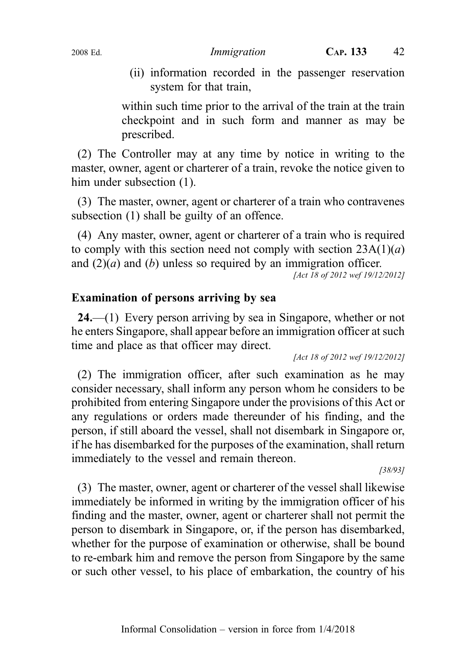(ii) information recorded in the passenger reservation system for that train,

within such time prior to the arrival of the train at the train checkpoint and in such form and manner as may be prescribed.

(2) The Controller may at any time by notice in writing to the master, owner, agent or charterer of a train, revoke the notice given to him under subsection  $(1)$ .

(3) The master, owner, agent or charterer of a train who contravenes subsection (1) shall be guilty of an offence.

(4) Any master, owner, agent or charterer of a train who is required to comply with this section need not comply with section  $23A(1)(a)$ and  $(2)(a)$  and  $(b)$  unless so required by an immigration officer.

[Act 18 of 2012 wef 19/12/2012]

#### Examination of persons arriving by sea

24.—(1) Every person arriving by sea in Singapore, whether or not he enters Singapore, shall appear before an immigration officer at such time and place as that officer may direct.

[Act 18 of 2012 wef 19/12/2012]

(2) The immigration officer, after such examination as he may consider necessary, shall inform any person whom he considers to be prohibited from entering Singapore under the provisions of this Act or any regulations or orders made thereunder of his finding, and the person, if still aboard the vessel, shall not disembark in Singapore or, if he has disembarked for the purposes of the examination, shall return immediately to the vessel and remain thereon.

[38/93]

(3) The master, owner, agent or charterer of the vessel shall likewise immediately be informed in writing by the immigration officer of his finding and the master, owner, agent or charterer shall not permit the person to disembark in Singapore, or, if the person has disembarked, whether for the purpose of examination or otherwise, shall be bound to re-embark him and remove the person from Singapore by the same or such other vessel, to his place of embarkation, the country of his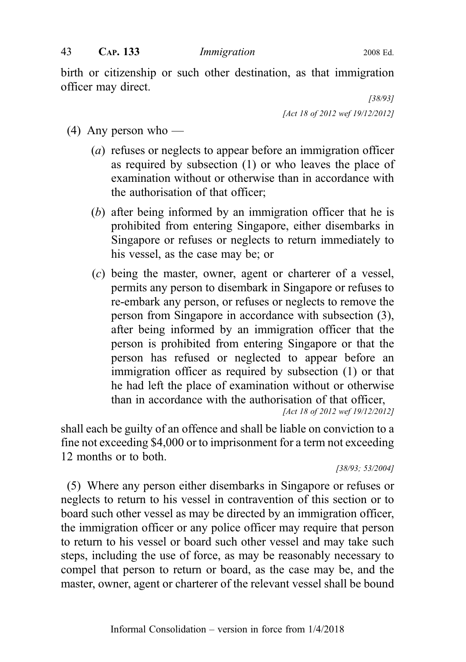birth or citizenship or such other destination, as that immigration officer may direct.

> [38/93] [Act 18 of 2012 wef 19/12/2012]

- $(4)$  Any person who
	- (a) refuses or neglects to appear before an immigration officer as required by subsection (1) or who leaves the place of examination without or otherwise than in accordance with the authorisation of that officer;
	- (b) after being informed by an immigration officer that he is prohibited from entering Singapore, either disembarks in Singapore or refuses or neglects to return immediately to his vessel, as the case may be; or
	- (c) being the master, owner, agent or charterer of a vessel, permits any person to disembark in Singapore or refuses to re-embark any person, or refuses or neglects to remove the person from Singapore in accordance with subsection (3), after being informed by an immigration officer that the person is prohibited from entering Singapore or that the person has refused or neglected to appear before an immigration officer as required by subsection (1) or that he had left the place of examination without or otherwise than in accordance with the authorisation of that officer,

[Act 18 of 2012 wef 19/12/2012]

shall each be guilty of an offence and shall be liable on conviction to a fine not exceeding \$4,000 or to imprisonment for a term not exceeding 12 months or to both.

[38/93; 53/2004]

(5) Where any person either disembarks in Singapore or refuses or neglects to return to his vessel in contravention of this section or to board such other vessel as may be directed by an immigration officer, the immigration officer or any police officer may require that person to return to his vessel or board such other vessel and may take such steps, including the use of force, as may be reasonably necessary to compel that person to return or board, as the case may be, and the master, owner, agent or charterer of the relevant vessel shall be bound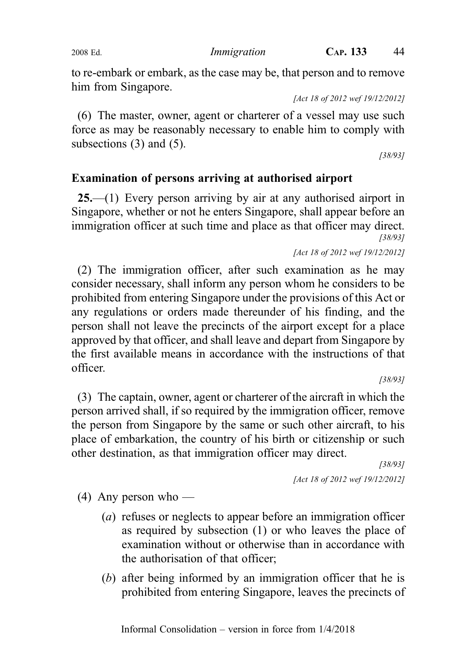to re-embark or embark, as the case may be, that person and to remove him from Singapore.

(6) The master, owner, agent or charterer of a vessel may use such force as may be reasonably necessary to enable him to comply with subsections (3) and (5).

[38/93]

# Examination of persons arriving at authorised airport

25.—(1) Every person arriving by air at any authorised airport in Singapore, whether or not he enters Singapore, shall appear before an immigration officer at such time and place as that officer may direct. [38/93]

[Act 18 of 2012 wef 19/12/2012]

(2) The immigration officer, after such examination as he may consider necessary, shall inform any person whom he considers to be prohibited from entering Singapore under the provisions of this Act or any regulations or orders made thereunder of his finding, and the person shall not leave the precincts of the airport except for a place approved by that officer, and shall leave and depart from Singapore by the first available means in accordance with the instructions of that officer.

[38/93]

(3) The captain, owner, agent or charterer of the aircraft in which the person arrived shall, if so required by the immigration officer, remove the person from Singapore by the same or such other aircraft, to his place of embarkation, the country of his birth or citizenship or such other destination, as that immigration officer may direct.

> [38/93] [Act 18 of 2012 wef 19/12/2012]

 $(4)$  Any person who —

- (a) refuses or neglects to appear before an immigration officer as required by subsection (1) or who leaves the place of examination without or otherwise than in accordance with the authorisation of that officer;
- (b) after being informed by an immigration officer that he is prohibited from entering Singapore, leaves the precincts of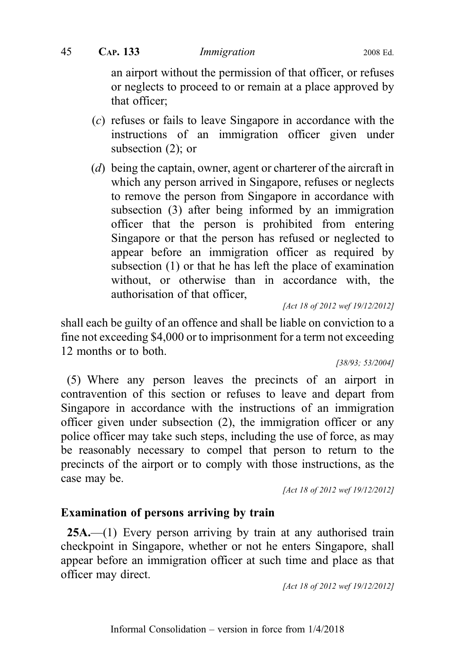an airport without the permission of that officer, or refuses or neglects to proceed to or remain at a place approved by that officer;

- (c) refuses or fails to leave Singapore in accordance with the instructions of an immigration officer given under subsection (2): or
- (d) being the captain, owner, agent or charterer of the aircraft in which any person arrived in Singapore, refuses or neglects to remove the person from Singapore in accordance with subsection (3) after being informed by an immigration officer that the person is prohibited from entering Singapore or that the person has refused or neglected to appear before an immigration officer as required by subsection (1) or that he has left the place of examination without, or otherwise than in accordance with, the authorisation of that officer,

[Act 18 of 2012 wef 19/12/2012]

shall each be guilty of an offence and shall be liable on conviction to a fine not exceeding \$4,000 or to imprisonment for a term not exceeding 12 months or to both.

[38/93; 53/2004]

(5) Where any person leaves the precincts of an airport in contravention of this section or refuses to leave and depart from Singapore in accordance with the instructions of an immigration officer given under subsection (2), the immigration officer or any police officer may take such steps, including the use of force, as may be reasonably necessary to compel that person to return to the precincts of the airport or to comply with those instructions, as the case may be.

[Act 18 of 2012 wef 19/12/2012]

#### Examination of persons arriving by train

25A.—(1) Every person arriving by train at any authorised train checkpoint in Singapore, whether or not he enters Singapore, shall appear before an immigration officer at such time and place as that officer may direct.

[Act 18 of 2012 wef 19/12/2012]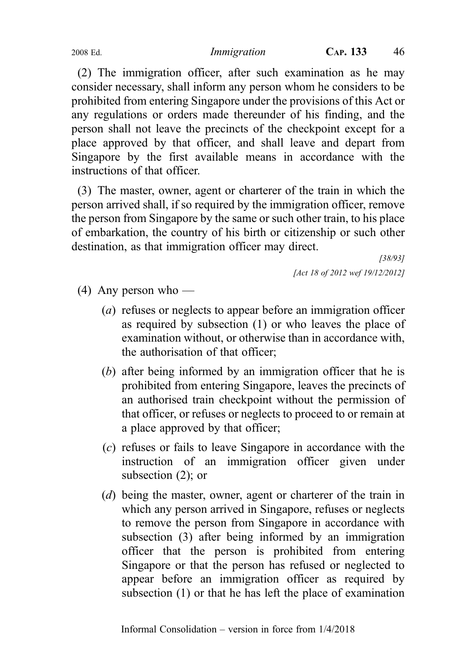(2) The immigration officer, after such examination as he may consider necessary, shall inform any person whom he considers to be prohibited from entering Singapore under the provisions of this Act or any regulations or orders made thereunder of his finding, and the person shall not leave the precincts of the checkpoint except for a place approved by that officer, and shall leave and depart from Singapore by the first available means in accordance with the instructions of that officer.

(3) The master, owner, agent or charterer of the train in which the person arrived shall, if so required by the immigration officer, remove the person from Singapore by the same or such other train, to his place of embarkation, the country of his birth or citizenship or such other destination, as that immigration officer may direct.

> [38/93] [Act 18 of 2012 wef 19/12/2012]

- (4) Any person who
	- (a) refuses or neglects to appear before an immigration officer as required by subsection (1) or who leaves the place of examination without, or otherwise than in accordance with, the authorisation of that officer;
	- (b) after being informed by an immigration officer that he is prohibited from entering Singapore, leaves the precincts of an authorised train checkpoint without the permission of that officer, or refuses or neglects to proceed to or remain at a place approved by that officer;
	- (c) refuses or fails to leave Singapore in accordance with the instruction of an immigration officer given under subsection (2); or
	- (d) being the master, owner, agent or charterer of the train in which any person arrived in Singapore, refuses or neglects to remove the person from Singapore in accordance with subsection (3) after being informed by an immigration officer that the person is prohibited from entering Singapore or that the person has refused or neglected to appear before an immigration officer as required by subsection (1) or that he has left the place of examination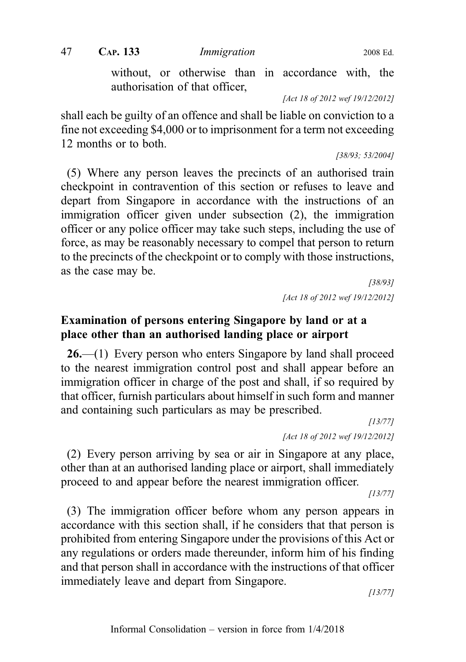47 CAP. 133 Immigration 2008 Ed.

without, or otherwise than in accordance with, the authorisation of that officer,

[Act 18 of 2012 wef 19/12/2012]

shall each be guilty of an offence and shall be liable on conviction to a fine not exceeding \$4,000 or to imprisonment for a term not exceeding 12 months or to both.

[38/93; 53/2004]

(5) Where any person leaves the precincts of an authorised train checkpoint in contravention of this section or refuses to leave and depart from Singapore in accordance with the instructions of an immigration officer given under subsection (2), the immigration officer or any police officer may take such steps, including the use of force, as may be reasonably necessary to compel that person to return to the precincts of the checkpoint or to comply with those instructions, as the case may be.

> [38/93] [Act 18 of 2012 wef 19/12/2012]

# Examination of persons entering Singapore by land or at a place other than an authorised landing place or airport

26.—(1) Every person who enters Singapore by land shall proceed to the nearest immigration control post and shall appear before an immigration officer in charge of the post and shall, if so required by that officer, furnish particulars about himself in such form and manner and containing such particulars as may be prescribed.

[13/77] [Act 18 of 2012 wef 19/12/2012]

(2) Every person arriving by sea or air in Singapore at any place, other than at an authorised landing place or airport, shall immediately proceed to and appear before the nearest immigration officer.

 $[13/77]$ 

(3) The immigration officer before whom any person appears in accordance with this section shall, if he considers that that person is prohibited from entering Singapore under the provisions of this Act or any regulations or orders made thereunder, inform him of his finding and that person shall in accordance with the instructions of that officer immediately leave and depart from Singapore.

[13/77]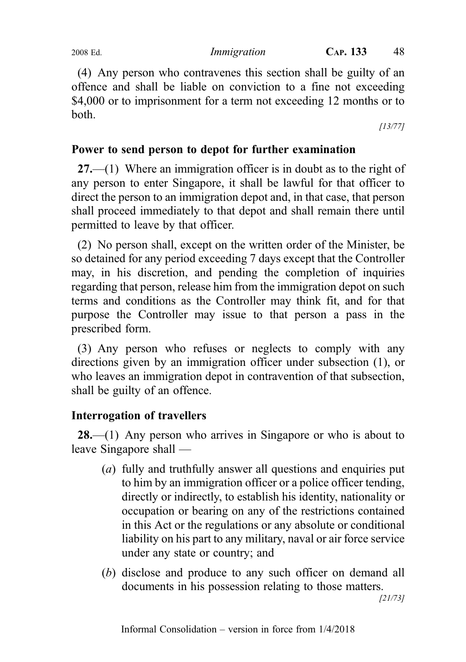(4) Any person who contravenes this section shall be guilty of an offence and shall be liable on conviction to a fine not exceeding \$4,000 or to imprisonment for a term not exceeding 12 months or to both.

[13/77]

#### Power to send person to depot for further examination

27.—(1) Where an immigration officer is in doubt as to the right of any person to enter Singapore, it shall be lawful for that officer to direct the person to an immigration depot and, in that case, that person shall proceed immediately to that depot and shall remain there until permitted to leave by that officer.

(2) No person shall, except on the written order of the Minister, be so detained for any period exceeding 7 days except that the Controller may, in his discretion, and pending the completion of inquiries regarding that person, release him from the immigration depot on such terms and conditions as the Controller may think fit, and for that purpose the Controller may issue to that person a pass in the prescribed form.

(3) Any person who refuses or neglects to comply with any directions given by an immigration officer under subsection (1), or who leaves an immigration depot in contravention of that subsection, shall be guilty of an offence.

# Interrogation of travellers

**28.**—(1) Any person who arrives in Singapore or who is about to leave Singapore shall —

- (a) fully and truthfully answer all questions and enquiries put to him by an immigration officer or a police officer tending, directly or indirectly, to establish his identity, nationality or occupation or bearing on any of the restrictions contained in this Act or the regulations or any absolute or conditional liability on his part to any military, naval or air force service under any state or country; and
- (b) disclose and produce to any such officer on demand all documents in his possession relating to those matters.

[21/73]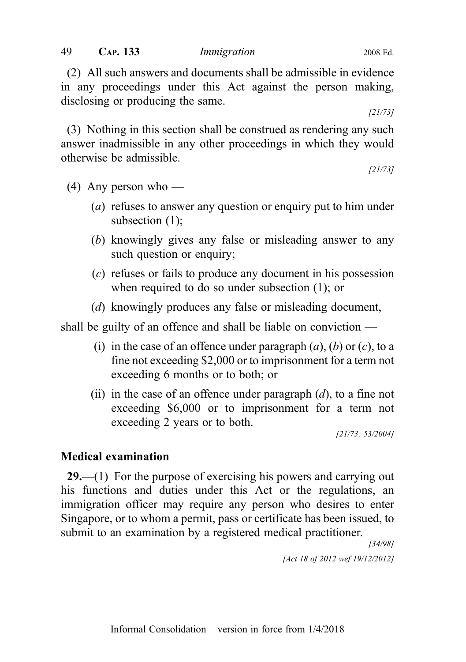(2) All such answers and documents shall be admissible in evidence in any proceedings under this Act against the person making, disclosing or producing the same.

[21/73]

[21/73]

(3) Nothing in this section shall be construed as rendering any such answer inadmissible in any other proceedings in which they would otherwise be admissible.

(4) Any person who —

- (a) refuses to answer any question or enquiry put to him under subsection (1);
- (b) knowingly gives any false or misleading answer to any such question or enquiry;
- (c) refuses or fails to produce any document in his possession when required to do so under subsection (1); or
- (d) knowingly produces any false or misleading document,

shall be guilty of an offence and shall be liable on conviction —

- (i) in the case of an offence under paragraph  $(a)$ ,  $(b)$  or  $(c)$ , to a fine not exceeding \$2,000 or to imprisonment for a term not exceeding 6 months or to both; or
- (ii) in the case of an offence under paragraph  $(d)$ , to a fine not exceeding \$6,000 or to imprisonment for a term not exceeding 2 years or to both.

[21/73; 53/2004]

# Medical examination

29.—(1) For the purpose of exercising his powers and carrying out his functions and duties under this Act or the regulations, an immigration officer may require any person who desires to enter Singapore, or to whom a permit, pass or certificate has been issued, to submit to an examination by a registered medical practitioner.

[34/98] [Act 18 of 2012 wef 19/12/2012]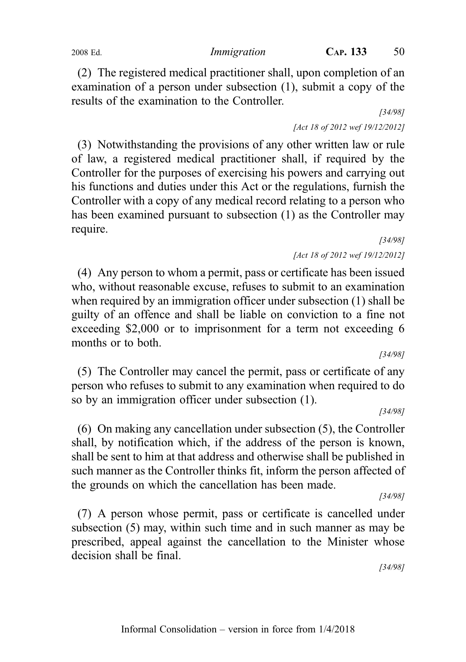(2) The registered medical practitioner shall, upon completion of an examination of a person under subsection (1), submit a copy of the results of the examination to the Controller.

> [34/98] [Act 18 of 2012 wef 19/12/2012]

(3) Notwithstanding the provisions of any other written law or rule of law, a registered medical practitioner shall, if required by the Controller for the purposes of exercising his powers and carrying out his functions and duties under this Act or the regulations, furnish the Controller with a copy of any medical record relating to a person who has been examined pursuant to subsection (1) as the Controller may require.

> [34/98] [Act 18 of 2012 wef 19/12/2012]

(4) Any person to whom a permit, pass or certificate has been issued who, without reasonable excuse, refuses to submit to an examination when required by an immigration officer under subsection (1) shall be guilty of an offence and shall be liable on conviction to a fine not exceeding \$2,000 or to imprisonment for a term not exceeding 6 months or to both.

[34/98] (5) The Controller may cancel the permit, pass or certificate of any person who refuses to submit to any examination when required to do

[34/98]

(6) On making any cancellation under subsection (5), the Controller shall, by notification which, if the address of the person is known, shall be sent to him at that address and otherwise shall be published in such manner as the Controller thinks fit, inform the person affected of the grounds on which the cancellation has been made.

so by an immigration officer under subsection (1).

[34/98]

(7) A person whose permit, pass or certificate is cancelled under subsection (5) may, within such time and in such manner as may be prescribed, appeal against the cancellation to the Minister whose decision shall be final.

[34/98]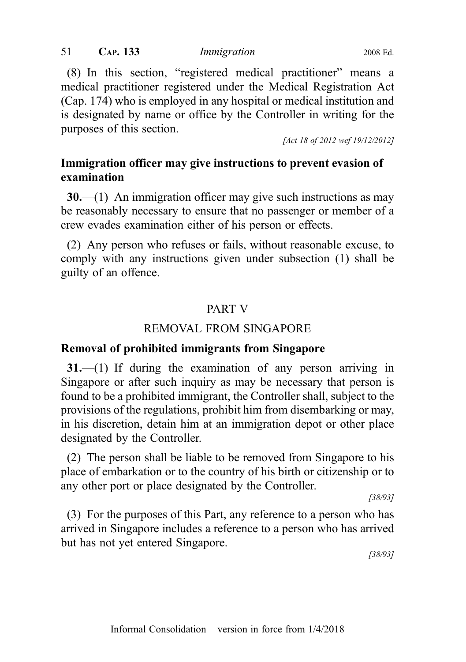(8) In this section, "registered medical practitioner" means a medical practitioner registered under the Medical Registration Act (Cap. 174) who is employed in any hospital or medical institution and is designated by name or office by the Controller in writing for the purposes of this section.

[Act 18 of 2012 wef 19/12/2012]

# Immigration officer may give instructions to prevent evasion of examination

30.—(1) An immigration officer may give such instructions as may be reasonably necessary to ensure that no passenger or member of a crew evades examination either of his person or effects.

(2) Any person who refuses or fails, without reasonable excuse, to comply with any instructions given under subsection (1) shall be guilty of an offence.

# PART V

# REMOVAL FROM SINGAPORE

# Removal of prohibited immigrants from Singapore

31.—(1) If during the examination of any person arriving in Singapore or after such inquiry as may be necessary that person is found to be a prohibited immigrant, the Controller shall, subject to the provisions of the regulations, prohibit him from disembarking or may, in his discretion, detain him at an immigration depot or other place designated by the Controller.

(2) The person shall be liable to be removed from Singapore to his place of embarkation or to the country of his birth or citizenship or to any other port or place designated by the Controller.

[38/93]

(3) For the purposes of this Part, any reference to a person who has arrived in Singapore includes a reference to a person who has arrived but has not yet entered Singapore.

[38/93]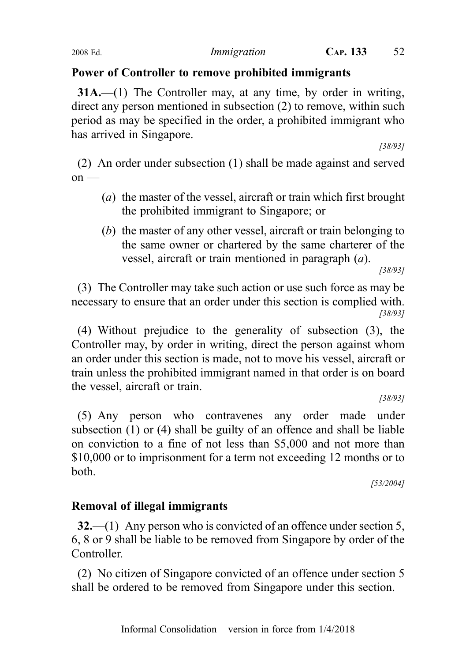#### Power of Controller to remove prohibited immigrants

31A.—(1) The Controller may, at any time, by order in writing, direct any person mentioned in subsection (2) to remove, within such period as may be specified in the order, a prohibited immigrant who has arrived in Singapore.

[38/93]

(2) An order under subsection (1) shall be made against and served  $on$  —

- (a) the master of the vessel, aircraft or train which first brought the prohibited immigrant to Singapore; or
- (b) the master of any other vessel, aircraft or train belonging to the same owner or chartered by the same charterer of the vessel, aircraft or train mentioned in paragraph (a).

[38/93]

(3) The Controller may take such action or use such force as may be necessary to ensure that an order under this section is complied with. [38/93]

(4) Without prejudice to the generality of subsection (3), the Controller may, by order in writing, direct the person against whom an order under this section is made, not to move his vessel, aircraft or train unless the prohibited immigrant named in that order is on board the vessel, aircraft or train.

[38/93]

(5) Any person who contravenes any order made under subsection (1) or (4) shall be guilty of an offence and shall be liable on conviction to a fine of not less than \$5,000 and not more than \$10,000 or to imprisonment for a term not exceeding 12 months or to both.

[53/2004]

# Removal of illegal immigrants

32.—(1) Any person who is convicted of an offence under section 5, 6, 8 or 9 shall be liable to be removed from Singapore by order of the Controller.

(2) No citizen of Singapore convicted of an offence under section 5 shall be ordered to be removed from Singapore under this section.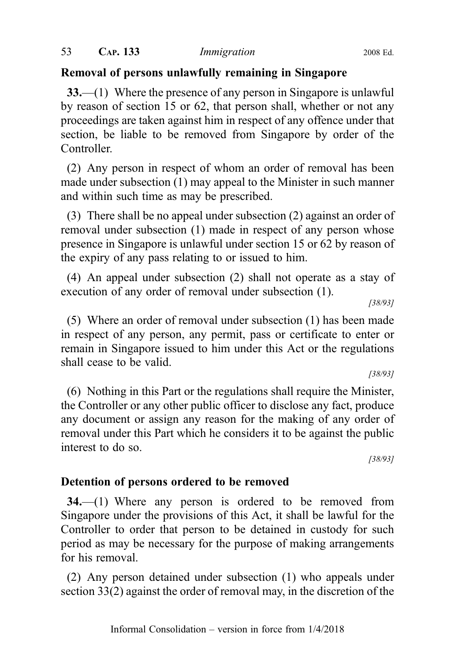#### Removal of persons unlawfully remaining in Singapore

33.—(1) Where the presence of any person in Singapore is unlawful by reason of section 15 or 62, that person shall, whether or not any proceedings are taken against him in respect of any offence under that section, be liable to be removed from Singapore by order of the Controller.

(2) Any person in respect of whom an order of removal has been made under subsection (1) may appeal to the Minister in such manner and within such time as may be prescribed.

(3) There shall be no appeal under subsection (2) against an order of removal under subsection (1) made in respect of any person whose presence in Singapore is unlawful under section 15 or 62 by reason of the expiry of any pass relating to or issued to him.

(4) An appeal under subsection (2) shall not operate as a stay of execution of any order of removal under subsection (1).

[38/93]

(5) Where an order of removal under subsection (1) has been made in respect of any person, any permit, pass or certificate to enter or remain in Singapore issued to him under this Act or the regulations shall cease to be valid.

[38/93]

(6) Nothing in this Part or the regulations shall require the Minister, the Controller or any other public officer to disclose any fact, produce any document or assign any reason for the making of any order of removal under this Part which he considers it to be against the public interest to do so.

[38/93]

#### Detention of persons ordered to be removed

34.—(1) Where any person is ordered to be removed from Singapore under the provisions of this Act, it shall be lawful for the Controller to order that person to be detained in custody for such period as may be necessary for the purpose of making arrangements for his removal.

(2) Any person detained under subsection (1) who appeals under section 33(2) against the order of removal may, in the discretion of the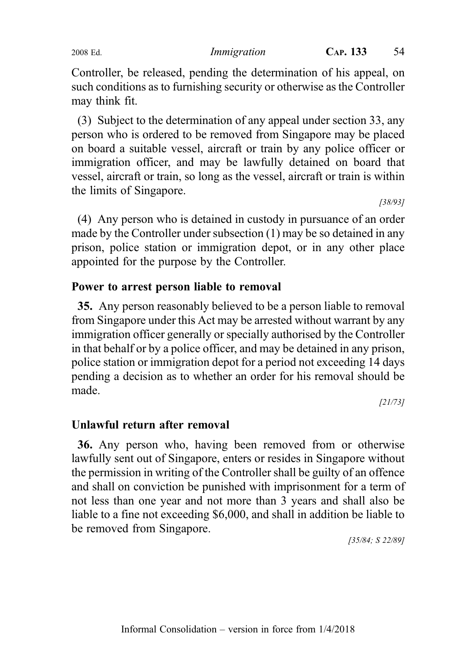Controller, be released, pending the determination of his appeal, on such conditions as to furnishing security or otherwise as the Controller may think fit.

(3) Subject to the determination of any appeal under section 33, any person who is ordered to be removed from Singapore may be placed on board a suitable vessel, aircraft or train by any police officer or immigration officer, and may be lawfully detained on board that vessel, aircraft or train, so long as the vessel, aircraft or train is within the limits of Singapore.

[38/93]

(4) Any person who is detained in custody in pursuance of an order made by the Controller under subsection (1) may be so detained in any prison, police station or immigration depot, or in any other place appointed for the purpose by the Controller.

#### Power to arrest person liable to removal

35. Any person reasonably believed to be a person liable to removal from Singapore under this Act may be arrested without warrant by any immigration officer generally or specially authorised by the Controller in that behalf or by a police officer, and may be detained in any prison, police station or immigration depot for a period not exceeding 14 days pending a decision as to whether an order for his removal should be made.

[21/73]

#### Unlawful return after removal

36. Any person who, having been removed from or otherwise lawfully sent out of Singapore, enters or resides in Singapore without the permission in writing of the Controller shall be guilty of an offence and shall on conviction be punished with imprisonment for a term of not less than one year and not more than 3 years and shall also be liable to a fine not exceeding \$6,000, and shall in addition be liable to be removed from Singapore.

[35/84; S 22/89]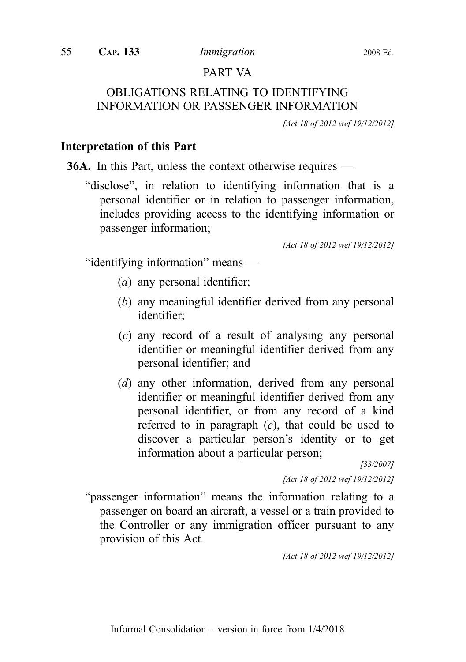#### PART VA

# OBLIGATIONS RELATING TO IDENTIFYING INFORMATION OR PASSENGER INFORMATION

[Act 18 of 2012 wef 19/12/2012]

#### Interpretation of this Part

36A. In this Part, unless the context otherwise requires —

"disclose", in relation to identifying information that is a personal identifier or in relation to passenger information, includes providing access to the identifying information or passenger information;

[Act 18 of 2012 wef 19/12/2012]

"identifying information" means —

- (a) any personal identifier;
- (b) any meaningful identifier derived from any personal identifier;
- (c) any record of a result of analysing any personal identifier or meaningful identifier derived from any personal identifier; and
- (d) any other information, derived from any personal identifier or meaningful identifier derived from any personal identifier, or from any record of a kind referred to in paragraph  $(c)$ , that could be used to discover a particular person's identity or to get information about a particular person;

[33/2007] [Act 18 of 2012 wef 19/12/2012]

"passenger information" means the information relating to a passenger on board an aircraft, a vessel or a train provided to the Controller or any immigration officer pursuant to any provision of this Act.

[Act 18 of 2012 wef 19/12/2012]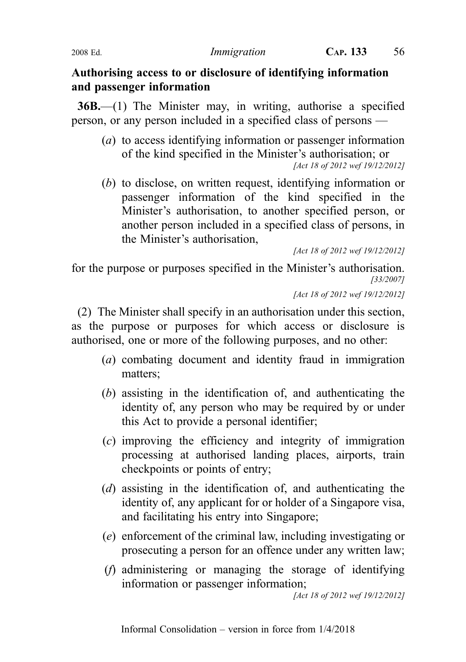#### Authorising access to or disclosure of identifying information and passenger information

36B.—(1) The Minister may, in writing, authorise a specified person, or any person included in a specified class of persons —

- (a) to access identifying information or passenger information of the kind specified in the Minister's authorisation; or [Act 18 of 2012 wef 19/12/2012]
- (b) to disclose, on written request, identifying information or passenger information of the kind specified in the Minister's authorisation, to another specified person, or another person included in a specified class of persons, in the Minister's authorisation,

[Act 18 of 2012 wef 19/12/2012]

for the purpose or purposes specified in the Minister's authorisation. [33/2007]

[Act 18 of 2012 wef 19/12/2012]

(2) The Minister shall specify in an authorisation under this section, as the purpose or purposes for which access or disclosure is authorised, one or more of the following purposes, and no other:

- (a) combating document and identity fraud in immigration matters;
- (b) assisting in the identification of, and authenticating the identity of, any person who may be required by or under this Act to provide a personal identifier;
- (c) improving the efficiency and integrity of immigration processing at authorised landing places, airports, train checkpoints or points of entry;
- (d) assisting in the identification of, and authenticating the identity of, any applicant for or holder of a Singapore visa, and facilitating his entry into Singapore;
- (e) enforcement of the criminal law, including investigating or prosecuting a person for an offence under any written law;
- (f) administering or managing the storage of identifying information or passenger information;

[Act 18 of 2012 wef 19/12/2012]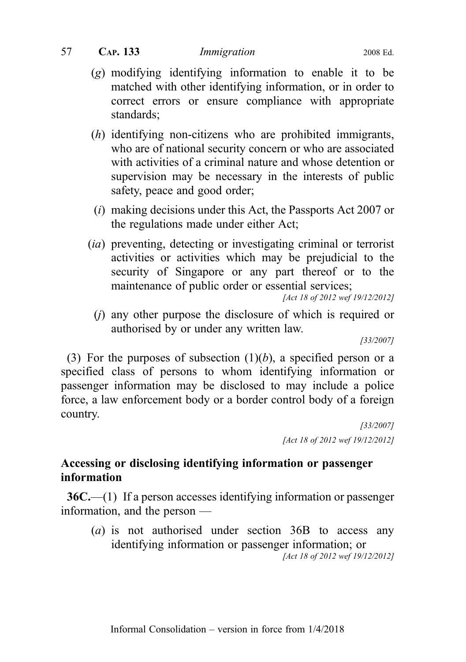- (g) modifying identifying information to enable it to be matched with other identifying information, or in order to correct errors or ensure compliance with appropriate standards;
- (h) identifying non-citizens who are prohibited immigrants, who are of national security concern or who are associated with activities of a criminal nature and whose detention or supervision may be necessary in the interests of public safety, peace and good order;
- (i) making decisions under this Act, the Passports Act 2007 or the regulations made under either Act;
- (ia) preventing, detecting or investigating criminal or terrorist activities or activities which may be prejudicial to the security of Singapore or any part thereof or to the maintenance of public order or essential services;

[Act 18 of 2012 wef 19/12/2012]

(j) any other purpose the disclosure of which is required or authorised by or under any written law.

[33/2007]

(3) For the purposes of subsection  $(1)(b)$ , a specified person or a specified class of persons to whom identifying information or passenger information may be disclosed to may include a police force, a law enforcement body or a border control body of a foreign country.

> [33/2007] [Act 18 of 2012 wef 19/12/2012]

# Accessing or disclosing identifying information or passenger information

36C.—(1) If a person accesses identifying information or passenger information, and the person —

(a) is not authorised under section 36B to access any identifying information or passenger information; or [Act 18 of 2012 wef 19/12/2012]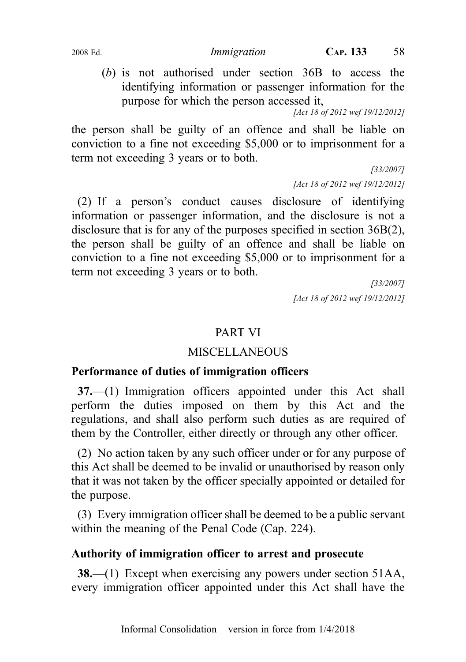(b) is not authorised under section 36B to access the identifying information or passenger information for the purpose for which the person accessed it,

[Act 18 of 2012 wef 19/12/2012]

the person shall be guilty of an offence and shall be liable on conviction to a fine not exceeding \$5,000 or to imprisonment for a term not exceeding 3 years or to both.

[33/2007] [Act 18 of 2012 wef 19/12/2012]

(2) If a person's conduct causes disclosure of identifying information or passenger information, and the disclosure is not a disclosure that is for any of the purposes specified in section 36B(2), the person shall be guilty of an offence and shall be liable on conviction to a fine not exceeding \$5,000 or to imprisonment for a term not exceeding 3 years or to both.

[33/2007] [Act 18 of 2012 wef 19/12/2012]

# PART VI

# **MISCELLANEOUS**

# Performance of duties of immigration officers

37.—(1) Immigration officers appointed under this Act shall perform the duties imposed on them by this Act and the regulations, and shall also perform such duties as are required of them by the Controller, either directly or through any other officer.

(2) No action taken by any such officer under or for any purpose of this Act shall be deemed to be invalid or unauthorised by reason only that it was not taken by the officer specially appointed or detailed for the purpose.

(3) Every immigration officer shall be deemed to be a public servant within the meaning of the Penal Code (Cap. 224).

# Authority of immigration officer to arrest and prosecute

38.—(1) Except when exercising any powers under section 51AA, every immigration officer appointed under this Act shall have the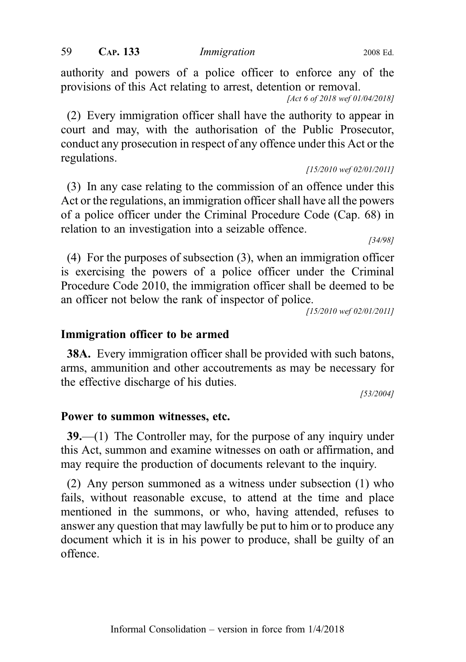authority and powers of a police officer to enforce any of the provisions of this Act relating to arrest, detention or removal.

[Act 6 of 2018 wef 01/04/2018]

(2) Every immigration officer shall have the authority to appear in court and may, with the authorisation of the Public Prosecutor, conduct any prosecution in respect of any offence under this Act or the regulations.

#### [15/2010 wef 02/01/2011]

(3) In any case relating to the commission of an offence under this Act or the regulations, an immigration officer shall have all the powers of a police officer under the Criminal Procedure Code (Cap. 68) in relation to an investigation into a seizable offence.

[34/98]

(4) For the purposes of subsection (3), when an immigration officer is exercising the powers of a police officer under the Criminal Procedure Code 2010, the immigration officer shall be deemed to be an officer not below the rank of inspector of police.

[15/2010 wef 02/01/2011]

#### Immigration officer to be armed

38A. Every immigration officer shall be provided with such batons, arms, ammunition and other accoutrements as may be necessary for the effective discharge of his duties.

[53/2004]

#### Power to summon witnesses, etc.

39.—(1) The Controller may, for the purpose of any inquiry under this Act, summon and examine witnesses on oath or affirmation, and may require the production of documents relevant to the inquiry.

(2) Any person summoned as a witness under subsection (1) who fails, without reasonable excuse, to attend at the time and place mentioned in the summons, or who, having attended, refuses to answer any question that may lawfully be put to him or to produce any document which it is in his power to produce, shall be guilty of an offence.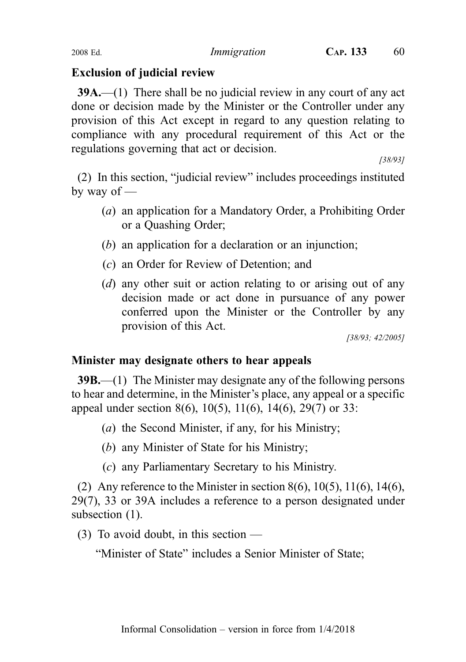# Exclusion of judicial review

39A.—(1) There shall be no judicial review in any court of any act done or decision made by the Minister or the Controller under any provision of this Act except in regard to any question relating to compliance with any procedural requirement of this Act or the regulations governing that act or decision.

[38/93]

(2) In this section, "judicial review" includes proceedings instituted by way of  $-$ 

- (a) an application for a Mandatory Order, a Prohibiting Order or a Quashing Order;
- (b) an application for a declaration or an injunction;
- (c) an Order for Review of Detention; and
- (d) any other suit or action relating to or arising out of any decision made or act done in pursuance of any power conferred upon the Minister or the Controller by any provision of this Act.

[38/93; 42/2005]

# Minister may designate others to hear appeals

39B.—(1) The Minister may designate any of the following persons to hear and determine, in the Minister's place, any appeal or a specific appeal under section 8(6), 10(5), 11(6), 14(6), 29(7) or 33:

- (a) the Second Minister, if any, for his Ministry;
- (b) any Minister of State for his Ministry;
- (c) any Parliamentary Secretary to his Ministry.

(2) Any reference to the Minister in section 8(6),  $10(5)$ ,  $11(6)$ ,  $14(6)$ , 29(7), 33 or 39A includes a reference to a person designated under subsection (1).

(3) To avoid doubt, in this section —

"Minister of State" includes a Senior Minister of State;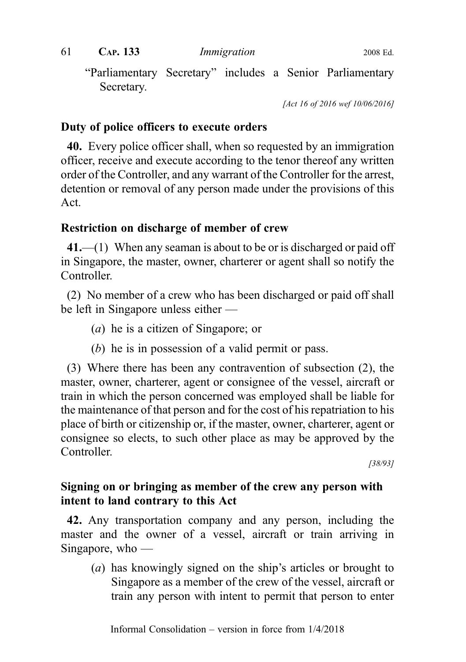"Parliamentary Secretary" includes a Senior Parliamentary Secretary.

[Act 16 of 2016 wef 10/06/2016]

#### Duty of police officers to execute orders

40. Every police officer shall, when so requested by an immigration officer, receive and execute according to the tenor thereof any written order of the Controller, and any warrant of the Controller for the arrest, detention or removal of any person made under the provisions of this Act.

# Restriction on discharge of member of crew

41.—(1) When any seaman is about to be or is discharged or paid off in Singapore, the master, owner, charterer or agent shall so notify the Controller.

(2) No member of a crew who has been discharged or paid off shall be left in Singapore unless either —

- (a) he is a citizen of Singapore; or
- (b) he is in possession of a valid permit or pass.

(3) Where there has been any contravention of subsection (2), the master, owner, charterer, agent or consignee of the vessel, aircraft or train in which the person concerned was employed shall be liable for the maintenance of that person and for the cost of his repatriation to his place of birth or citizenship or, if the master, owner, charterer, agent or consignee so elects, to such other place as may be approved by the Controller.

[38/93]

# Signing on or bringing as member of the crew any person with intent to land contrary to this Act

42. Any transportation company and any person, including the master and the owner of a vessel, aircraft or train arriving in Singapore, who —

(a) has knowingly signed on the ship's articles or brought to Singapore as a member of the crew of the vessel, aircraft or train any person with intent to permit that person to enter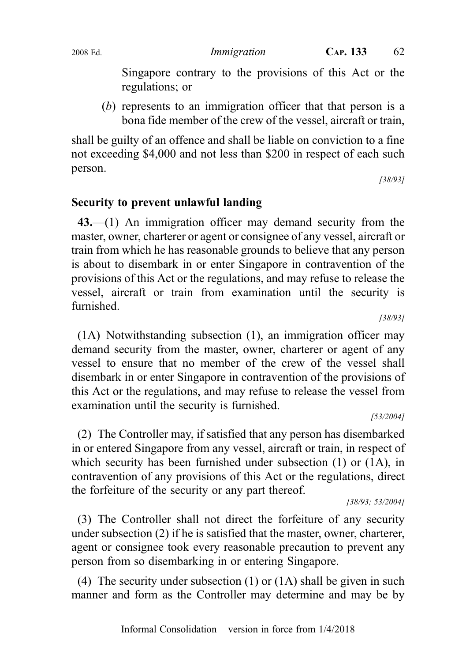Singapore contrary to the provisions of this Act or the regulations; or

(b) represents to an immigration officer that that person is a bona fide member of the crew of the vessel, aircraft or train,

shall be guilty of an offence and shall be liable on conviction to a fine not exceeding \$4,000 and not less than \$200 in respect of each such person.

[38/93]

#### Security to prevent unlawful landing

43.—(1) An immigration officer may demand security from the master, owner, charterer or agent or consignee of any vessel, aircraft or train from which he has reasonable grounds to believe that any person is about to disembark in or enter Singapore in contravention of the provisions of this Act or the regulations, and may refuse to release the vessel, aircraft or train from examination until the security is furnished.

[38/93]

(1A) Notwithstanding subsection (1), an immigration officer may demand security from the master, owner, charterer or agent of any vessel to ensure that no member of the crew of the vessel shall disembark in or enter Singapore in contravention of the provisions of this Act or the regulations, and may refuse to release the vessel from examination until the security is furnished.

[53/2004]

(2) The Controller may, if satisfied that any person has disembarked in or entered Singapore from any vessel, aircraft or train, in respect of which security has been furnished under subsection (1) or (1A), in contravention of any provisions of this Act or the regulations, direct the forfeiture of the security or any part thereof.

[38/93; 53/2004]

(3) The Controller shall not direct the forfeiture of any security under subsection (2) if he is satisfied that the master, owner, charterer, agent or consignee took every reasonable precaution to prevent any person from so disembarking in or entering Singapore.

(4) The security under subsection  $(1)$  or  $(1A)$  shall be given in such manner and form as the Controller may determine and may be by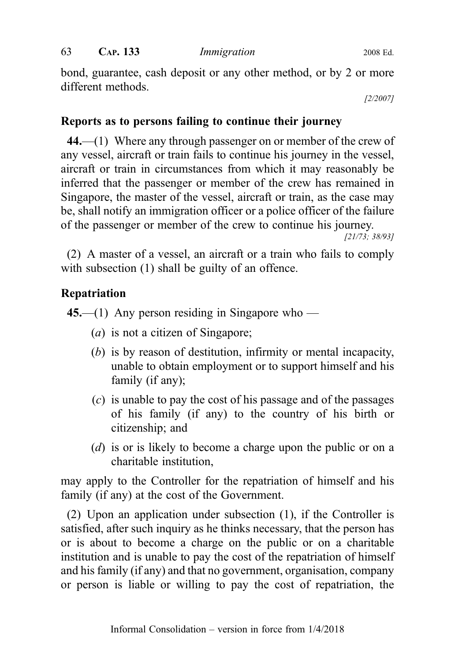bond, guarantee, cash deposit or any other method, or by 2 or more different methods.

[2/2007]

#### Reports as to persons failing to continue their journey

44.—(1) Where any through passenger on or member of the crew of any vessel, aircraft or train fails to continue his journey in the vessel, aircraft or train in circumstances from which it may reasonably be inferred that the passenger or member of the crew has remained in Singapore, the master of the vessel, aircraft or train, as the case may be, shall notify an immigration officer or a police officer of the failure of the passenger or member of the crew to continue his journey.

[21/73; 38/93]

(2) A master of a vessel, an aircraft or a train who fails to comply with subsection (1) shall be guilty of an offence.

# Repatriation

45.—(1) Any person residing in Singapore who —

- (a) is not a citizen of Singapore;
- (b) is by reason of destitution, infirmity or mental incapacity, unable to obtain employment or to support himself and his family (if any);
- (c) is unable to pay the cost of his passage and of the passages of his family (if any) to the country of his birth or citizenship; and
- (d) is or is likely to become a charge upon the public or on a charitable institution,

may apply to the Controller for the repatriation of himself and his family (if any) at the cost of the Government.

(2) Upon an application under subsection (1), if the Controller is satisfied, after such inquiry as he thinks necessary, that the person has or is about to become a charge on the public or on a charitable institution and is unable to pay the cost of the repatriation of himself and his family (if any) and that no government, organisation, company or person is liable or willing to pay the cost of repatriation, the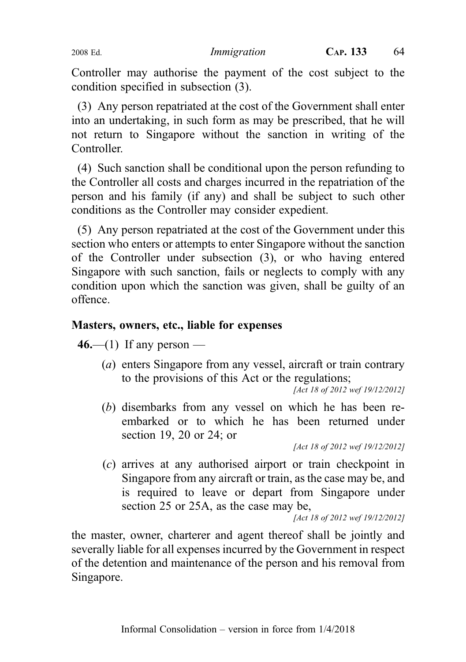Controller may authorise the payment of the cost subject to the condition specified in subsection (3).

(3) Any person repatriated at the cost of the Government shall enter into an undertaking, in such form as may be prescribed, that he will not return to Singapore without the sanction in writing of the **Controller** 

(4) Such sanction shall be conditional upon the person refunding to the Controller all costs and charges incurred in the repatriation of the person and his family (if any) and shall be subject to such other conditions as the Controller may consider expedient.

(5) Any person repatriated at the cost of the Government under this section who enters or attempts to enter Singapore without the sanction of the Controller under subsection (3), or who having entered Singapore with such sanction, fails or neglects to comply with any condition upon which the sanction was given, shall be guilty of an offence.

#### Masters, owners, etc., liable for expenses

 $46$ —(1) If any person —

(a) enters Singapore from any vessel, aircraft or train contrary to the provisions of this Act or the regulations;

[Act 18 of 2012 wef 19/12/2012]

(b) disembarks from any vessel on which he has been reembarked or to which he has been returned under section 19, 20 or 24; or

[Act 18 of 2012 wef 19/12/2012]

(c) arrives at any authorised airport or train checkpoint in Singapore from any aircraft or train, as the case may be, and is required to leave or depart from Singapore under section 25 or 25A, as the case may be,

[Act 18 of 2012 wef 19/12/2012]

the master, owner, charterer and agent thereof shall be jointly and severally liable for all expenses incurred by the Government in respect of the detention and maintenance of the person and his removal from Singapore.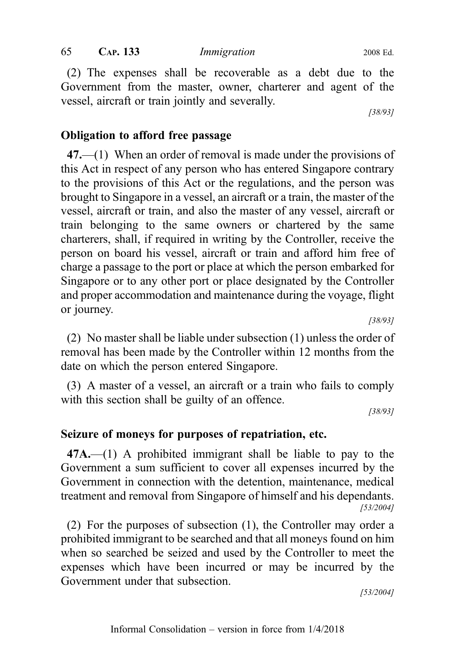(2) The expenses shall be recoverable as a debt due to the Government from the master, owner, charterer and agent of the vessel, aircraft or train jointly and severally.

[38/93]

#### Obligation to afford free passage

47.—(1) When an order of removal is made under the provisions of this Act in respect of any person who has entered Singapore contrary to the provisions of this Act or the regulations, and the person was brought to Singapore in a vessel, an aircraft or a train, the master of the vessel, aircraft or train, and also the master of any vessel, aircraft or train belonging to the same owners or chartered by the same charterers, shall, if required in writing by the Controller, receive the person on board his vessel, aircraft or train and afford him free of charge a passage to the port or place at which the person embarked for Singapore or to any other port or place designated by the Controller and proper accommodation and maintenance during the voyage, flight or journey.

[38/93]

(2) No master shall be liable under subsection (1) unless the order of removal has been made by the Controller within 12 months from the date on which the person entered Singapore.

(3) A master of a vessel, an aircraft or a train who fails to comply with this section shall be guilty of an offence.

[38/93]

# Seizure of moneys for purposes of repatriation, etc.

 $47A$ .—(1) A prohibited immigrant shall be liable to pay to the Government a sum sufficient to cover all expenses incurred by the Government in connection with the detention, maintenance, medical treatment and removal from Singapore of himself and his dependants. [53/2004]

(2) For the purposes of subsection (1), the Controller may order a prohibited immigrant to be searched and that all moneys found on him when so searched be seized and used by the Controller to meet the expenses which have been incurred or may be incurred by the Government under that subsection.

[53/2004]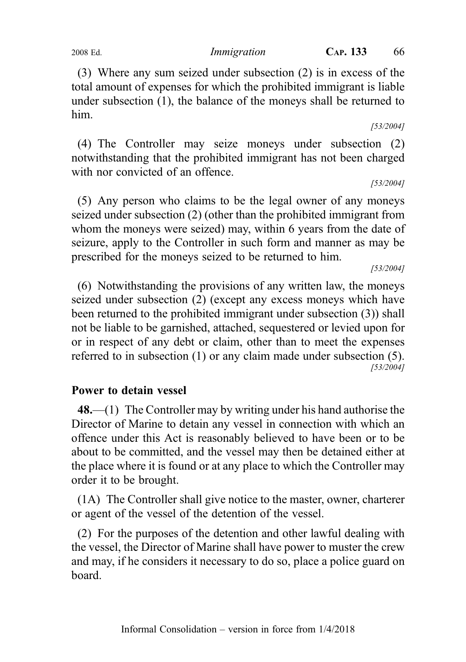(3) Where any sum seized under subsection (2) is in excess of the total amount of expenses for which the prohibited immigrant is liable under subsection (1), the balance of the moneys shall be returned to him.

[53/2004]

(4) The Controller may seize moneys under subsection (2) notwithstanding that the prohibited immigrant has not been charged with nor convicted of an offence.

[53/2004]

(5) Any person who claims to be the legal owner of any moneys seized under subsection (2) (other than the prohibited immigrant from whom the moneys were seized) may, within 6 years from the date of seizure, apply to the Controller in such form and manner as may be prescribed for the moneys seized to be returned to him.

[53/2004]

(6) Notwithstanding the provisions of any written law, the moneys seized under subsection (2) (except any excess moneys which have been returned to the prohibited immigrant under subsection (3)) shall not be liable to be garnished, attached, sequestered or levied upon for or in respect of any debt or claim, other than to meet the expenses referred to in subsection (1) or any claim made under subsection (5). [53/2004]

#### Power to detain vessel

48.—(1) The Controller may by writing under his hand authorise the Director of Marine to detain any vessel in connection with which an offence under this Act is reasonably believed to have been or to be about to be committed, and the vessel may then be detained either at the place where it is found or at any place to which the Controller may order it to be brought.

(1A) The Controller shall give notice to the master, owner, charterer or agent of the vessel of the detention of the vessel.

(2) For the purposes of the detention and other lawful dealing with the vessel, the Director of Marine shall have power to muster the crew and may, if he considers it necessary to do so, place a police guard on board.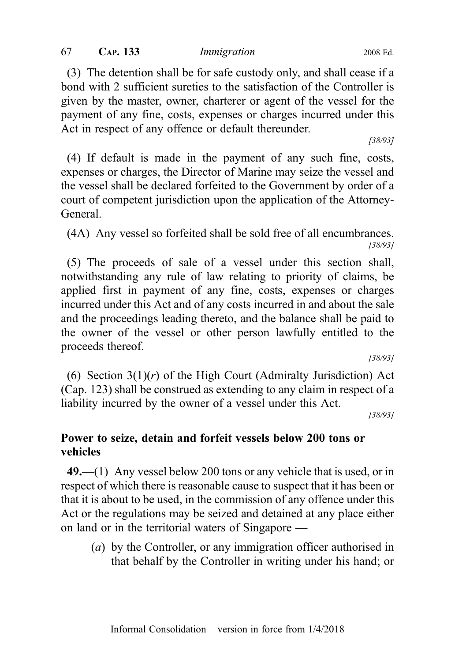(3) The detention shall be for safe custody only, and shall cease if a bond with 2 sufficient sureties to the satisfaction of the Controller is given by the master, owner, charterer or agent of the vessel for the payment of any fine, costs, expenses or charges incurred under this Act in respect of any offence or default thereunder.

[38/93]

(4) If default is made in the payment of any such fine, costs, expenses or charges, the Director of Marine may seize the vessel and the vessel shall be declared forfeited to the Government by order of a court of competent jurisdiction upon the application of the Attorney-General.

(4A) Any vessel so forfeited shall be sold free of all encumbrances. [38/93]

(5) The proceeds of sale of a vessel under this section shall, notwithstanding any rule of law relating to priority of claims, be applied first in payment of any fine, costs, expenses or charges incurred under this Act and of any costs incurred in and about the sale and the proceedings leading thereto, and the balance shall be paid to the owner of the vessel or other person lawfully entitled to the proceeds thereof.

[38/93]

(6) Section  $3(1)(r)$  of the High Court (Admiralty Jurisdiction) Act (Cap. 123) shall be construed as extending to any claim in respect of a liability incurred by the owner of a vessel under this Act.

[38/93]

# Power to seize, detain and forfeit vessels below 200 tons or vehicles

 $49$ .—(1) Any vessel below 200 tons or any vehicle that is used, or in respect of which there is reasonable cause to suspect that it has been or that it is about to be used, in the commission of any offence under this Act or the regulations may be seized and detained at any place either on land or in the territorial waters of Singapore —

(a) by the Controller, or any immigration officer authorised in that behalf by the Controller in writing under his hand; or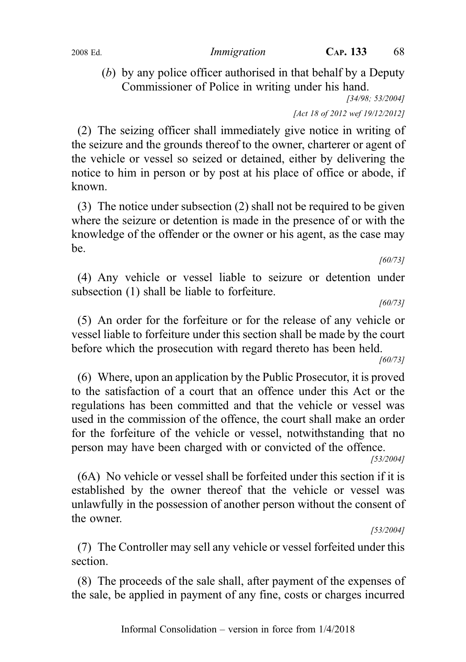(b) by any police officer authorised in that behalf by a Deputy Commissioner of Police in writing under his hand.

[34/98; 53/2004]

[Act 18 of 2012 wef 19/12/2012]

(2) The seizing officer shall immediately give notice in writing of the seizure and the grounds thereof to the owner, charterer or agent of the vehicle or vessel so seized or detained, either by delivering the notice to him in person or by post at his place of office or abode, if known.

(3) The notice under subsection (2) shall not be required to be given where the seizure or detention is made in the presence of or with the knowledge of the offender or the owner or his agent, as the case may be.

(4) Any vehicle or vessel liable to seizure or detention under subsection (1) shall be liable to forfeiture.

[60/73]

[60/73]

(5) An order for the forfeiture or for the release of any vehicle or vessel liable to forfeiture under this section shall be made by the court before which the prosecution with regard thereto has been held.

[60/73]

(6) Where, upon an application by the Public Prosecutor, it is proved to the satisfaction of a court that an offence under this Act or the regulations has been committed and that the vehicle or vessel was used in the commission of the offence, the court shall make an order for the forfeiture of the vehicle or vessel, notwithstanding that no person may have been charged with or convicted of the offence.

[53/2004]

(6A) No vehicle or vessel shall be forfeited under this section if it is established by the owner thereof that the vehicle or vessel was unlawfully in the possession of another person without the consent of the owner.

[53/2004]

(7) The Controller may sell any vehicle or vessel forfeited under this section.

(8) The proceeds of the sale shall, after payment of the expenses of the sale, be applied in payment of any fine, costs or charges incurred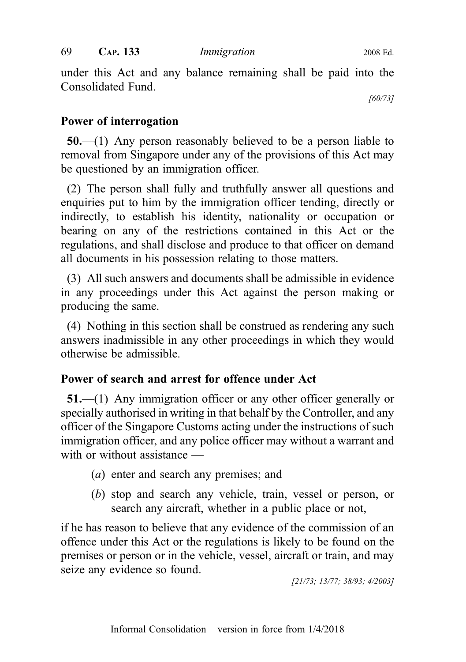under this Act and any balance remaining shall be paid into the Consolidated Fund.

[60/73]

#### Power of interrogation

50.—(1) Any person reasonably believed to be a person liable to removal from Singapore under any of the provisions of this Act may be questioned by an immigration officer.

(2) The person shall fully and truthfully answer all questions and enquiries put to him by the immigration officer tending, directly or indirectly, to establish his identity, nationality or occupation or bearing on any of the restrictions contained in this Act or the regulations, and shall disclose and produce to that officer on demand all documents in his possession relating to those matters.

(3) All such answers and documents shall be admissible in evidence in any proceedings under this Act against the person making or producing the same.

(4) Nothing in this section shall be construed as rendering any such answers inadmissible in any other proceedings in which they would otherwise be admissible.

#### Power of search and arrest for offence under Act

51.—(1) Any immigration officer or any other officer generally or specially authorised in writing in that behalf by the Controller, and any officer of the Singapore Customs acting under the instructions of such immigration officer, and any police officer may without a warrant and with or without assistance —

- (a) enter and search any premises; and
- (b) stop and search any vehicle, train, vessel or person, or search any aircraft, whether in a public place or not,

if he has reason to believe that any evidence of the commission of an offence under this Act or the regulations is likely to be found on the premises or person or in the vehicle, vessel, aircraft or train, and may seize any evidence so found.

[21/73; 13/77; 38/93; 4/2003]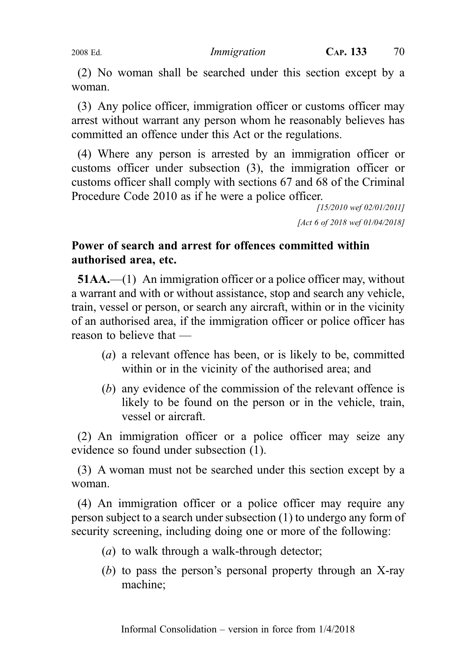(2) No woman shall be searched under this section except by a woman.

(3) Any police officer, immigration officer or customs officer may arrest without warrant any person whom he reasonably believes has committed an offence under this Act or the regulations.

(4) Where any person is arrested by an immigration officer or customs officer under subsection (3), the immigration officer or customs officer shall comply with sections 67 and 68 of the Criminal Procedure Code 2010 as if he were a police officer.

> [15/2010 wef 02/01/2011] [Act 6 of 2018 wef 01/04/2018]

# Power of search and arrest for offences committed within authorised area, etc.

51AA.—(1) An immigration officer or a police officer may, without a warrant and with or without assistance, stop and search any vehicle, train, vessel or person, or search any aircraft, within or in the vicinity of an authorised area, if the immigration officer or police officer has reason to believe that —

- (a) a relevant offence has been, or is likely to be, committed within or in the vicinity of the authorised area; and
- (b) any evidence of the commission of the relevant offence is likely to be found on the person or in the vehicle, train, vessel or aircraft.

(2) An immigration officer or a police officer may seize any evidence so found under subsection (1).

(3) A woman must not be searched under this section except by a woman.

(4) An immigration officer or a police officer may require any person subject to a search under subsection (1) to undergo any form of security screening, including doing one or more of the following:

- (*a*) to walk through a walk-through detector;
- $(b)$  to pass the person's personal property through an X-ray machine;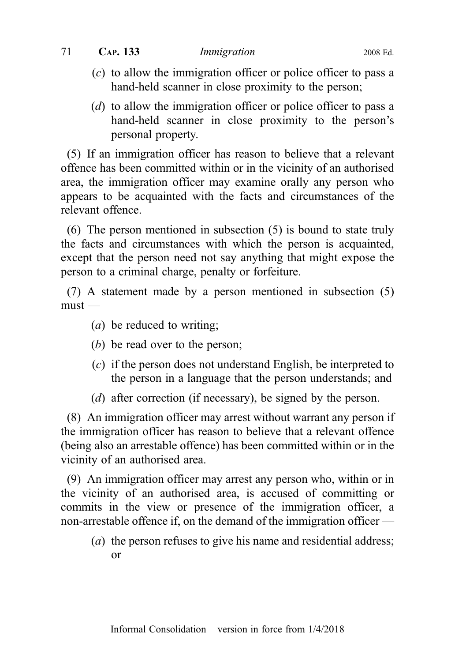- (c) to allow the immigration officer or police officer to pass a hand-held scanner in close proximity to the person;
- (d) to allow the immigration officer or police officer to pass a hand-held scanner in close proximity to the person's personal property.

(5) If an immigration officer has reason to believe that a relevant offence has been committed within or in the vicinity of an authorised area, the immigration officer may examine orally any person who appears to be acquainted with the facts and circumstances of the relevant offence.

(6) The person mentioned in subsection (5) is bound to state truly the facts and circumstances with which the person is acquainted, except that the person need not say anything that might expose the person to a criminal charge, penalty or forfeiture.

(7) A statement made by a person mentioned in subsection (5)  $must -$ 

- (a) be reduced to writing;
- (b) be read over to the person;
- (c) if the person does not understand English, be interpreted to the person in a language that the person understands; and
- (*d*) after correction (if necessary), be signed by the person.

(8) An immigration officer may arrest without warrant any person if the immigration officer has reason to believe that a relevant offence (being also an arrestable offence) has been committed within or in the vicinity of an authorised area.

(9) An immigration officer may arrest any person who, within or in the vicinity of an authorised area, is accused of committing or commits in the view or presence of the immigration officer, a non-arrestable offence if, on the demand of the immigration officer —

(a) the person refuses to give his name and residential address; or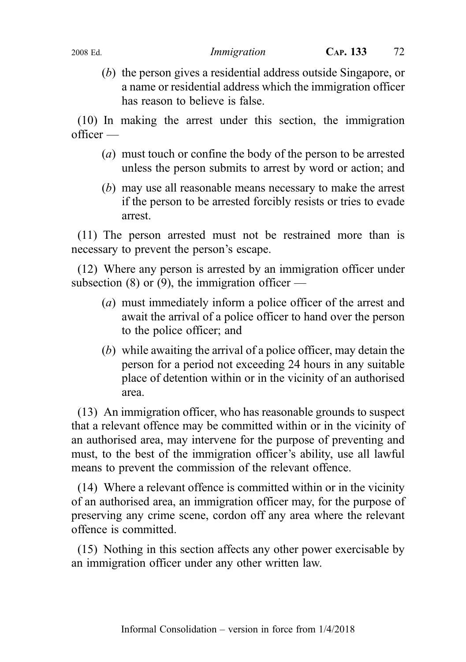(b) the person gives a residential address outside Singapore, or a name or residential address which the immigration officer has reason to believe is false.

(10) In making the arrest under this section, the immigration officer —

- (a) must touch or confine the body of the person to be arrested unless the person submits to arrest by word or action; and
- (b) may use all reasonable means necessary to make the arrest if the person to be arrested forcibly resists or tries to evade arrest.

(11) The person arrested must not be restrained more than is necessary to prevent the person's escape.

(12) Where any person is arrested by an immigration officer under subsection  $(8)$  or  $(9)$ , the immigration officer —

- (a) must immediately inform a police officer of the arrest and await the arrival of a police officer to hand over the person to the police officer; and
- (b) while awaiting the arrival of a police officer, may detain the person for a period not exceeding 24 hours in any suitable place of detention within or in the vicinity of an authorised area.

(13) An immigration officer, who has reasonable grounds to suspect that a relevant offence may be committed within or in the vicinity of an authorised area, may intervene for the purpose of preventing and must, to the best of the immigration officer's ability, use all lawful means to prevent the commission of the relevant offence.

(14) Where a relevant offence is committed within or in the vicinity of an authorised area, an immigration officer may, for the purpose of preserving any crime scene, cordon off any area where the relevant offence is committed.

(15) Nothing in this section affects any other power exercisable by an immigration officer under any other written law.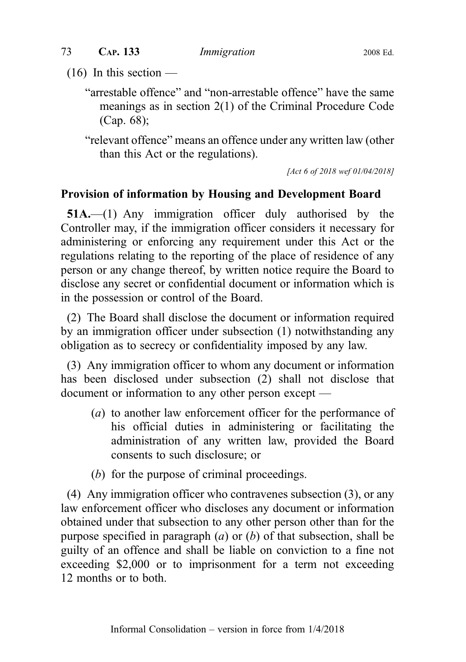$(16)$  In this section —

"arrestable offence" and "non-arrestable offence" have the same meanings as in section 2(1) of the Criminal Procedure Code (Cap. 68);

"relevant offence" means an offence under any written law (other than this Act or the regulations).

[Act 6 of 2018 wef 01/04/2018]

#### Provision of information by Housing and Development Board

51A.—(1) Any immigration officer duly authorised by the Controller may, if the immigration officer considers it necessary for administering or enforcing any requirement under this Act or the regulations relating to the reporting of the place of residence of any person or any change thereof, by written notice require the Board to disclose any secret or confidential document or information which is in the possession or control of the Board.

(2) The Board shall disclose the document or information required by an immigration officer under subsection (1) notwithstanding any obligation as to secrecy or confidentiality imposed by any law.

(3) Any immigration officer to whom any document or information has been disclosed under subsection (2) shall not disclose that document or information to any other person except —

- (a) to another law enforcement officer for the performance of his official duties in administering or facilitating the administration of any written law, provided the Board consents to such disclosure; or
- (b) for the purpose of criminal proceedings.

(4) Any immigration officer who contravenes subsection (3), or any law enforcement officer who discloses any document or information obtained under that subsection to any other person other than for the purpose specified in paragraph  $(a)$  or  $(b)$  of that subsection, shall be guilty of an offence and shall be liable on conviction to a fine not exceeding \$2,000 or to imprisonment for a term not exceeding 12 months or to both.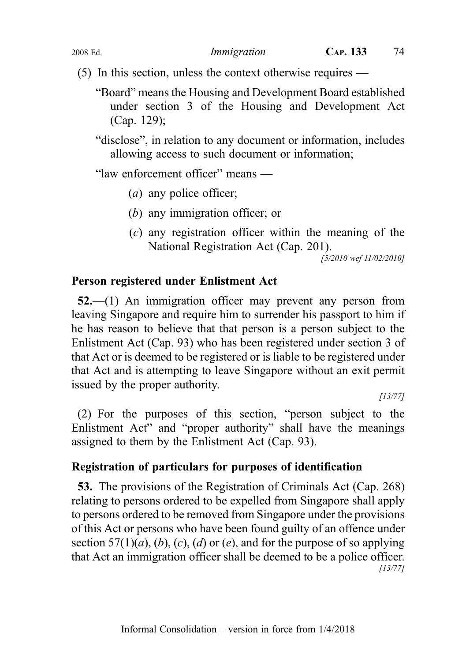(5) In this section, unless the context otherwise requires —

"Board" means the Housing and Development Board established under section 3 of the Housing and Development Act (Cap. 129);

"disclose", in relation to any document or information, includes allowing access to such document or information;

"law enforcement officer" means —

- (a) any police officer;
- (b) any immigration officer; or
- (c) any registration officer within the meaning of the National Registration Act (Cap. 201).

[5/2010 wef 11/02/2010]

## Person registered under Enlistment Act

52.—(1) An immigration officer may prevent any person from leaving Singapore and require him to surrender his passport to him if he has reason to believe that that person is a person subject to the Enlistment Act (Cap. 93) who has been registered under section 3 of that Act or is deemed to be registered or is liable to be registered under that Act and is attempting to leave Singapore without an exit permit issued by the proper authority.

[13/77]

(2) For the purposes of this section, "person subject to the Enlistment Act" and "proper authority" shall have the meanings assigned to them by the Enlistment Act (Cap. 93).

# Registration of particulars for purposes of identification

53. The provisions of the Registration of Criminals Act (Cap. 268) relating to persons ordered to be expelled from Singapore shall apply to persons ordered to be removed from Singapore under the provisions of this Act or persons who have been found guilty of an offence under section 57(1)(*a*), (*b*), (*c*), (*d*) or (*e*), and for the purpose of so applying that Act an immigration officer shall be deemed to be a police officer. [13/77]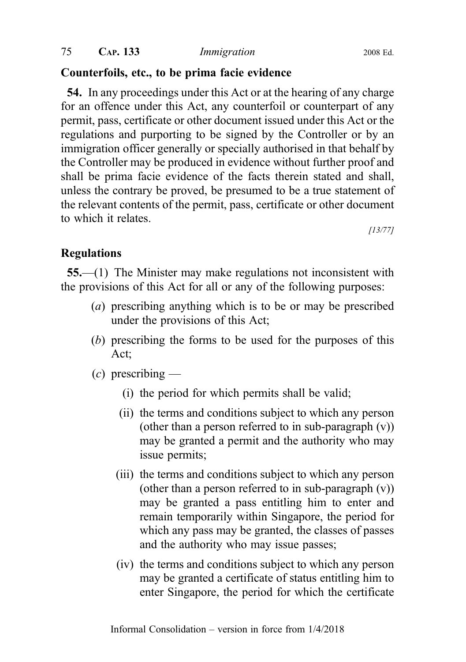#### Counterfoils, etc., to be prima facie evidence

54. In any proceedings under this Act or at the hearing of any charge for an offence under this Act, any counterfoil or counterpart of any permit, pass, certificate or other document issued under this Act or the regulations and purporting to be signed by the Controller or by an immigration officer generally or specially authorised in that behalf by the Controller may be produced in evidence without further proof and shall be prima facie evidence of the facts therein stated and shall, unless the contrary be proved, be presumed to be a true statement of the relevant contents of the permit, pass, certificate or other document to which it relates.

[13/77]

#### Regulations

55.—(1) The Minister may make regulations not inconsistent with the provisions of this Act for all or any of the following purposes:

- (a) prescribing anything which is to be or may be prescribed under the provisions of this Act;
- (b) prescribing the forms to be used for the purposes of this Act;
- $(c)$  prescribing
	- (i) the period for which permits shall be valid;
	- (ii) the terms and conditions subject to which any person (other than a person referred to in sub-paragraph  $(v)$ ) may be granted a permit and the authority who may issue permits;
	- (iii) the terms and conditions subject to which any person (other than a person referred to in sub-paragraph  $(v)$ ) may be granted a pass entitling him to enter and remain temporarily within Singapore, the period for which any pass may be granted, the classes of passes and the authority who may issue passes;
	- (iv) the terms and conditions subject to which any person may be granted a certificate of status entitling him to enter Singapore, the period for which the certificate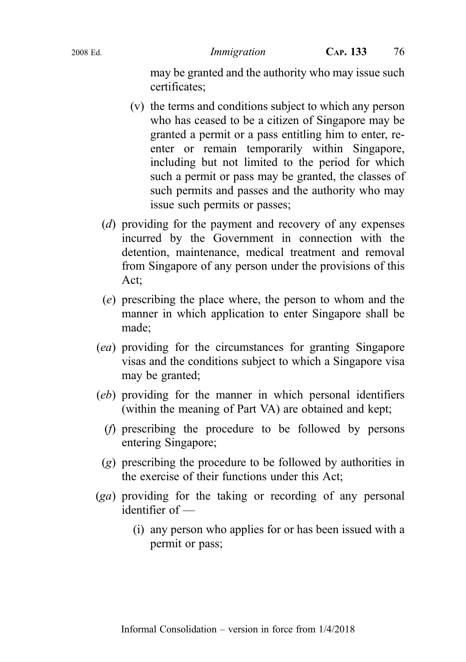may be granted and the authority who may issue such certificates;

- (v) the terms and conditions subject to which any person who has ceased to be a citizen of Singapore may be granted a permit or a pass entitling him to enter, reenter or remain temporarily within Singapore, including but not limited to the period for which such a permit or pass may be granted, the classes of such permits and passes and the authority who may issue such permits or passes;
- (d) providing for the payment and recovery of any expenses incurred by the Government in connection with the detention, maintenance, medical treatment and removal from Singapore of any person under the provisions of this Act;
- (e) prescribing the place where, the person to whom and the manner in which application to enter Singapore shall be made;
- (ea) providing for the circumstances for granting Singapore visas and the conditions subject to which a Singapore visa may be granted;
- (eb) providing for the manner in which personal identifiers (within the meaning of Part VA) are obtained and kept;
	- (f) prescribing the procedure to be followed by persons entering Singapore;
- (g) prescribing the procedure to be followed by authorities in the exercise of their functions under this Act;
- (ga) providing for the taking or recording of any personal identifier of —
	- (i) any person who applies for or has been issued with a permit or pass;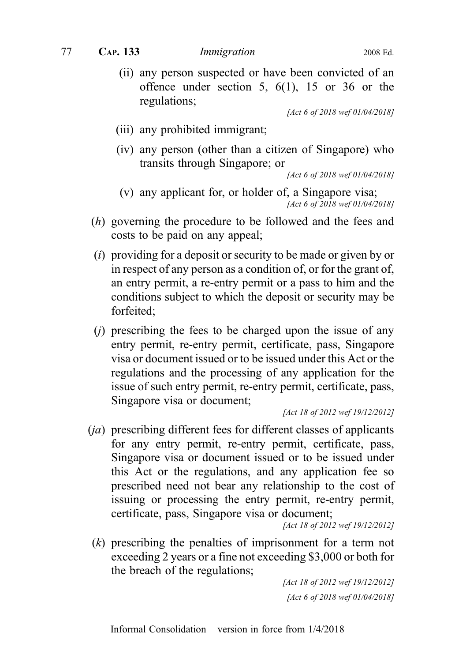77 CAP. 133 Immigration 2008 Ed.

(ii) any person suspected or have been convicted of an offence under section 5, 6(1), 15 or 36 or the regulations;

[Act 6 of 2018 wef 01/04/2018]

- (iii) any prohibited immigrant;
- (iv) any person (other than a citizen of Singapore) who transits through Singapore; or

[Act 6 of 2018 wef 01/04/2018]

- (v) any applicant for, or holder of, a Singapore visa; [Act 6 of 2018 wef 01/04/2018]
- (h) governing the procedure to be followed and the fees and costs to be paid on any appeal;
- (i) providing for a deposit or security to be made or given by or in respect of any person as a condition of, or for the grant of, an entry permit, a re-entry permit or a pass to him and the conditions subject to which the deposit or security may be forfeited;
- $(i)$  prescribing the fees to be charged upon the issue of any entry permit, re-entry permit, certificate, pass, Singapore visa or document issued or to be issued under this Act or the regulations and the processing of any application for the issue of such entry permit, re-entry permit, certificate, pass, Singapore visa or document;

[Act 18 of 2012 wef 19/12/2012]

(ja) prescribing different fees for different classes of applicants for any entry permit, re-entry permit, certificate, pass, Singapore visa or document issued or to be issued under this Act or the regulations, and any application fee so prescribed need not bear any relationship to the cost of issuing or processing the entry permit, re-entry permit, certificate, pass, Singapore visa or document;

[Act 18 of 2012 wef 19/12/2012]

(k) prescribing the penalties of imprisonment for a term not exceeding 2 years or a fine not exceeding \$3,000 or both for the breach of the regulations;

> [Act 18 of 2012 wef 19/12/2012] [Act 6 of 2018 wef 01/04/2018]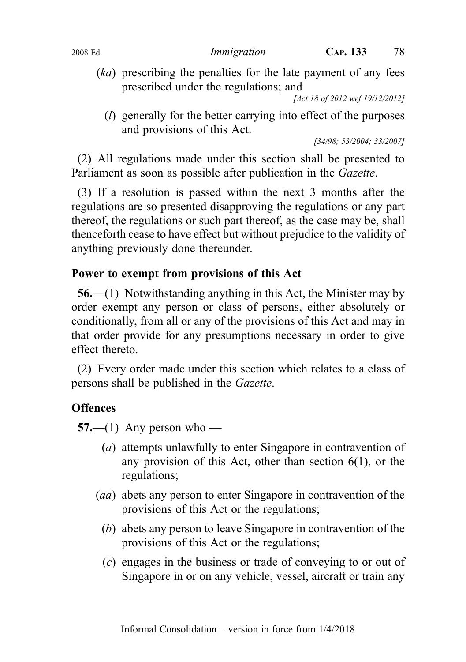(ka) prescribing the penalties for the late payment of any fees prescribed under the regulations; and

[Act 18 of 2012 wef 19/12/2012]

(l) generally for the better carrying into effect of the purposes and provisions of this Act.

[34/98; 53/2004; 33/2007]

(2) All regulations made under this section shall be presented to Parliament as soon as possible after publication in the Gazette.

(3) If a resolution is passed within the next 3 months after the regulations are so presented disapproving the regulations or any part thereof, the regulations or such part thereof, as the case may be, shall thenceforth cease to have effect but without prejudice to the validity of anything previously done thereunder.

### Power to exempt from provisions of this Act

56.—(1) Notwithstanding anything in this Act, the Minister may by order exempt any person or class of persons, either absolutely or conditionally, from all or any of the provisions of this Act and may in that order provide for any presumptions necessary in order to give effect thereto.

(2) Every order made under this section which relates to a class of persons shall be published in the Gazette.

### **Offences**

 $57$ —(1) Any person who —

- (a) attempts unlawfully to enter Singapore in contravention of any provision of this Act, other than section  $6(1)$ , or the regulations;
- (aa) abets any person to enter Singapore in contravention of the provisions of this Act or the regulations;
	- (b) abets any person to leave Singapore in contravention of the provisions of this Act or the regulations;
	- (c) engages in the business or trade of conveying to or out of Singapore in or on any vehicle, vessel, aircraft or train any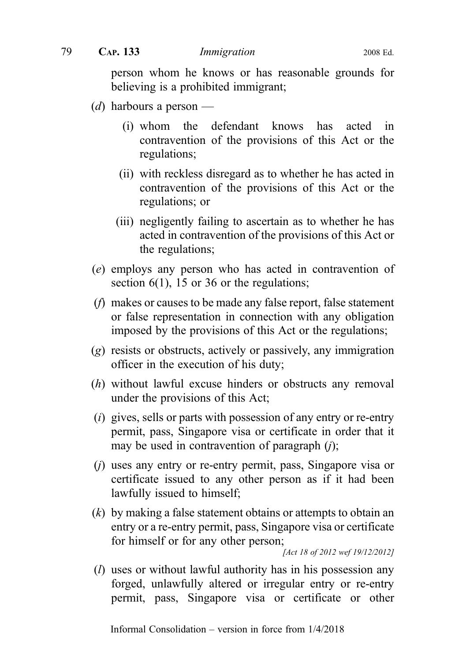person whom he knows or has reasonable grounds for believing is a prohibited immigrant;

- (*d*) harbours a person
	- (i) whom the defendant knows has acted in contravention of the provisions of this Act or the regulations;
	- (ii) with reckless disregard as to whether he has acted in contravention of the provisions of this Act or the regulations; or
	- (iii) negligently failing to ascertain as to whether he has acted in contravention of the provisions of this Act or the regulations;
- (e) employs any person who has acted in contravention of section  $6(1)$ , 15 or 36 or the regulations;
- (f) makes or causes to be made any false report, false statement or false representation in connection with any obligation imposed by the provisions of this Act or the regulations;
- (g) resists or obstructs, actively or passively, any immigration officer in the execution of his duty;
- (h) without lawful excuse hinders or obstructs any removal under the provisions of this Act;
- (i) gives, sells or parts with possession of any entry or re-entry permit, pass, Singapore visa or certificate in order that it may be used in contravention of paragraph  $(i)$ ;
- (j) uses any entry or re-entry permit, pass, Singapore visa or certificate issued to any other person as if it had been lawfully issued to himself;
- (k) by making a false statement obtains or attempts to obtain an entry or a re-entry permit, pass, Singapore visa or certificate for himself or for any other person;

[Act 18 of 2012 wef 19/12/2012]

(l) uses or without lawful authority has in his possession any forged, unlawfully altered or irregular entry or re-entry permit, pass, Singapore visa or certificate or other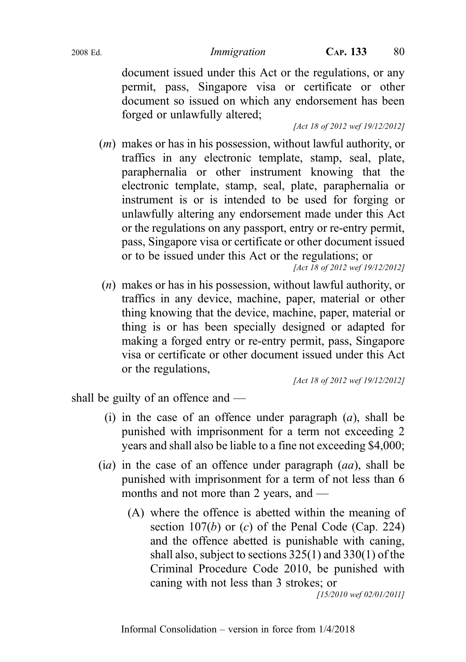document issued under this Act or the regulations, or any permit, pass, Singapore visa or certificate or other document so issued on which any endorsement has been forged or unlawfully altered;

[Act 18 of 2012 wef 19/12/2012]

- (m) makes or has in his possession, without lawful authority, or traffics in any electronic template, stamp, seal, plate, paraphernalia or other instrument knowing that the electronic template, stamp, seal, plate, paraphernalia or instrument is or is intended to be used for forging or unlawfully altering any endorsement made under this Act or the regulations on any passport, entry or re-entry permit, pass, Singapore visa or certificate or other document issued or to be issued under this Act or the regulations; or [Act 18 of 2012 wef 19/12/2012]
- (n) makes or has in his possession, without lawful authority, or traffics in any device, machine, paper, material or other thing knowing that the device, machine, paper, material or thing is or has been specially designed or adapted for making a forged entry or re-entry permit, pass, Singapore visa or certificate or other document issued under this Act or the regulations,

[Act 18 of 2012 wef 19/12/2012]

shall be guilty of an offence and —

- (i) in the case of an offence under paragraph  $(a)$ , shall be punished with imprisonment for a term not exceeding 2 years and shall also be liable to a fine not exceeding \$4,000;
- $(ia)$  in the case of an offence under paragraph  $(aa)$ , shall be punished with imprisonment for a term of not less than 6 months and not more than 2 years, and —
	- (A) where the offence is abetted within the meaning of section 107(b) or  $(c)$  of the Penal Code (Cap. 224) and the offence abetted is punishable with caning, shall also, subject to sections 325(1) and 330(1) of the Criminal Procedure Code 2010, be punished with caning with not less than 3 strokes; or

[15/2010 wef 02/01/2011]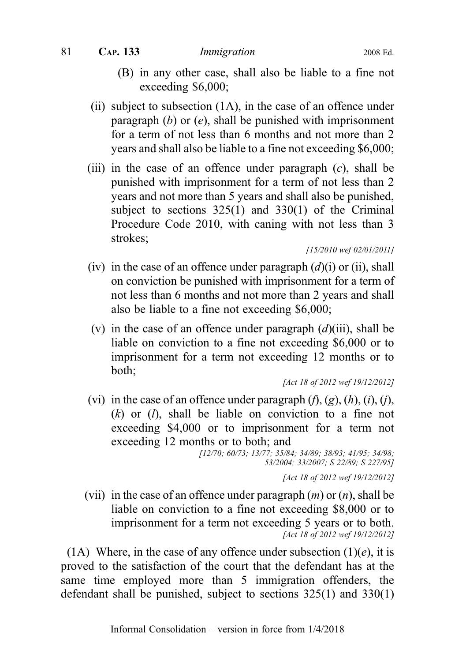81 **CAP. 133** Immigration 2008 Ed.

- (B) in any other case, shall also be liable to a fine not exceeding \$6,000;
- (ii) subject to subsection (1A), in the case of an offence under paragraph  $(b)$  or  $(e)$ , shall be punished with imprisonment for a term of not less than 6 months and not more than 2 years and shall also be liable to a fine not exceeding \$6,000;
- (iii) in the case of an offence under paragraph  $(c)$ , shall be punished with imprisonment for a term of not less than 2 years and not more than 5 years and shall also be punished, subject to sections 325(1) and 330(1) of the Criminal Procedure Code 2010, with caning with not less than 3 strokes;

[15/2010 wef 02/01/2011]

- (iv) in the case of an offence under paragraph  $(d)(i)$  or (ii), shall on conviction be punished with imprisonment for a term of not less than 6 months and not more than 2 years and shall also be liable to a fine not exceeding \$6,000;
- (v) in the case of an offence under paragraph  $(d)(iii)$ , shall be liable on conviction to a fine not exceeding \$6,000 or to imprisonment for a term not exceeding 12 months or to both;

[Act 18 of 2012 wef 19/12/2012]

(vi) in the case of an offence under paragraph  $(f)$ ,  $(g)$ ,  $(h)$ ,  $(i)$ ,  $(j)$ ,  $(k)$  or  $(l)$ , shall be liable on conviction to a fine not exceeding \$4,000 or to imprisonment for a term not exceeding 12 months or to both; and

(vii) in the case of an offence under paragraph  $(m)$  or  $(n)$ , shall be liable on conviction to a fine not exceeding \$8,000 or to imprisonment for a term not exceeding 5 years or to both. [Act 18 of 2012 wef 19/12/2012]

(1A) Where, in the case of any offence under subsection  $(1)(e)$ , it is proved to the satisfaction of the court that the defendant has at the same time employed more than 5 immigration offenders, the defendant shall be punished, subject to sections 325(1) and 330(1)

<sup>[12/70; 60/73; 13/77; 35/84; 34/89; 38/93; 41/95; 34/98;</sup> 53/2004; 33/2007; S 22/89; S 227/95]

<sup>[</sup>Act 18 of 2012 wef 19/12/2012]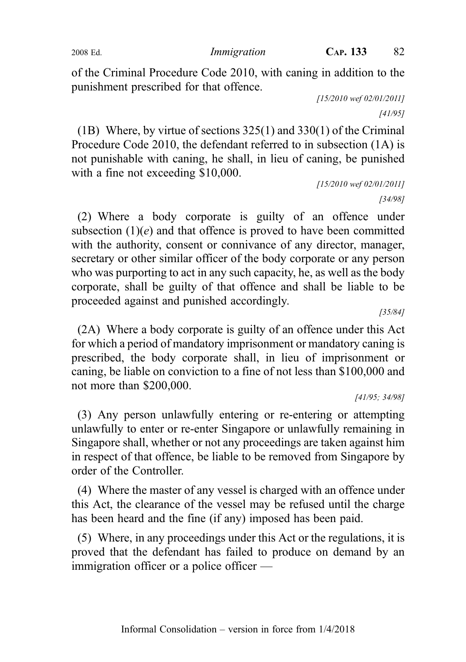of the Criminal Procedure Code 2010, with caning in addition to the punishment prescribed for that offence.

[15/2010 wef 02/01/2011] [41/95]

(1B) Where, by virtue of sections 325(1) and 330(1) of the Criminal Procedure Code 2010, the defendant referred to in subsection (1A) is not punishable with caning, he shall, in lieu of caning, be punished with a fine not exceeding \$10,000.

> [15/2010 wef 02/01/2011] [34/98]

(2) Where a body corporate is guilty of an offence under subsection  $(1)(e)$  and that offence is proved to have been committed with the authority, consent or connivance of any director, manager, secretary or other similar officer of the body corporate or any person who was purporting to act in any such capacity, he, as well as the body corporate, shall be guilty of that offence and shall be liable to be proceeded against and punished accordingly.

[35/84]

(2A) Where a body corporate is guilty of an offence under this Act for which a period of mandatory imprisonment or mandatory caning is prescribed, the body corporate shall, in lieu of imprisonment or caning, be liable on conviction to a fine of not less than \$100,000 and not more than \$200,000.

[41/95; 34/98]

(3) Any person unlawfully entering or re-entering or attempting unlawfully to enter or re-enter Singapore or unlawfully remaining in Singapore shall, whether or not any proceedings are taken against him in respect of that offence, be liable to be removed from Singapore by order of the Controller.

(4) Where the master of any vessel is charged with an offence under this Act, the clearance of the vessel may be refused until the charge has been heard and the fine (if any) imposed has been paid.

(5) Where, in any proceedings under this Act or the regulations, it is proved that the defendant has failed to produce on demand by an immigration officer or a police officer —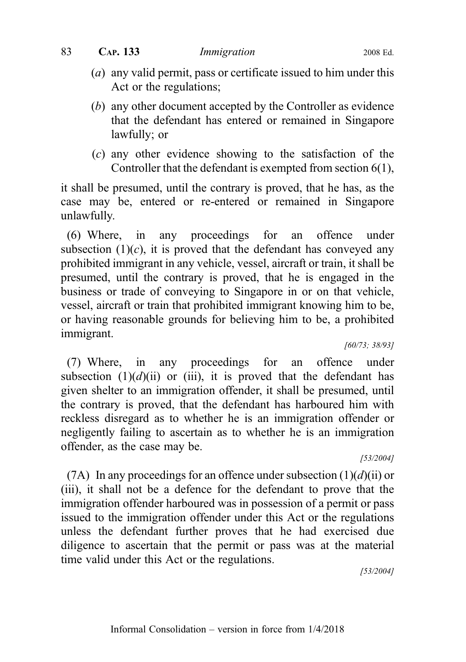- (a) any valid permit, pass or certificate issued to him under this Act or the regulations;
- (b) any other document accepted by the Controller as evidence that the defendant has entered or remained in Singapore lawfully; or
- (c) any other evidence showing to the satisfaction of the Controller that the defendant is exempted from section 6(1),

it shall be presumed, until the contrary is proved, that he has, as the case may be, entered or re-entered or remained in Singapore unlawfully.

(6) Where, in any proceedings for an offence under subsection  $(1)(c)$ , it is proved that the defendant has conveyed any prohibited immigrant in any vehicle, vessel, aircraft or train, it shall be presumed, until the contrary is proved, that he is engaged in the business or trade of conveying to Singapore in or on that vehicle, vessel, aircraft or train that prohibited immigrant knowing him to be, or having reasonable grounds for believing him to be, a prohibited immigrant.

[60/73; 38/93]

(7) Where, in any proceedings for an offence under subsection  $(1)(d)(ii)$  or (iii), it is proved that the defendant has given shelter to an immigration offender, it shall be presumed, until the contrary is proved, that the defendant has harboured him with reckless disregard as to whether he is an immigration offender or negligently failing to ascertain as to whether he is an immigration offender, as the case may be.

[53/2004]

(7A) In any proceedings for an offence under subsection  $(1)(d)(ii)$  or (iii), it shall not be a defence for the defendant to prove that the immigration offender harboured was in possession of a permit or pass issued to the immigration offender under this Act or the regulations unless the defendant further proves that he had exercised due diligence to ascertain that the permit or pass was at the material time valid under this Act or the regulations.

[53/2004]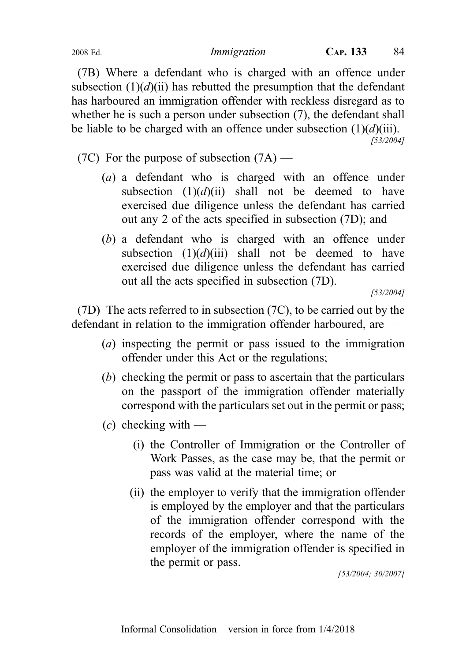(7B) Where a defendant who is charged with an offence under subsection  $(1)(d)(ii)$  has rebutted the presumption that the defendant has harboured an immigration offender with reckless disregard as to whether he is such a person under subsection (7), the defendant shall be liable to be charged with an offence under subsection  $(1)(d)(iii)$ . [53/2004]

(7C) For the purpose of subsection  $(7A)$  —

- (a) a defendant who is charged with an offence under subsection  $(1)(d)(ii)$  shall not be deemed to have exercised due diligence unless the defendant has carried out any 2 of the acts specified in subsection (7D); and
- (b) a defendant who is charged with an offence under subsection  $(1)(d)(iii)$  shall not be deemed to have exercised due diligence unless the defendant has carried out all the acts specified in subsection (7D).

[53/2004]

(7D) The acts referred to in subsection (7C), to be carried out by the defendant in relation to the immigration offender harboured, are —

- (a) inspecting the permit or pass issued to the immigration offender under this Act or the regulations;
- (b) checking the permit or pass to ascertain that the particulars on the passport of the immigration offender materially correspond with the particulars set out in the permit or pass;
- $(c)$  checking with
	- (i) the Controller of Immigration or the Controller of Work Passes, as the case may be, that the permit or pass was valid at the material time; or
	- (ii) the employer to verify that the immigration offender is employed by the employer and that the particulars of the immigration offender correspond with the records of the employer, where the name of the employer of the immigration offender is specified in the permit or pass.

[53/2004; 30/2007]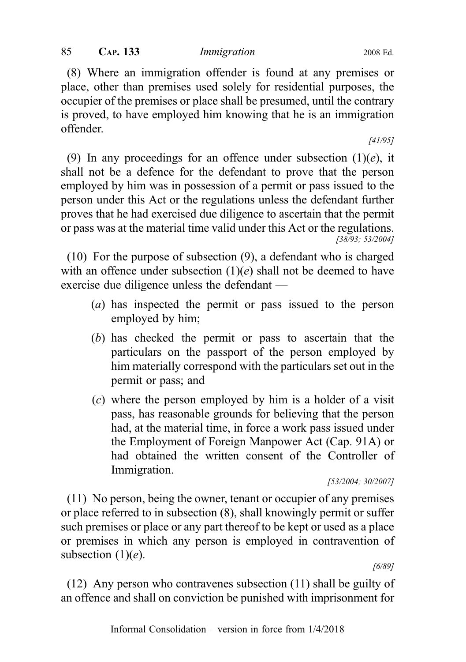(8) Where an immigration offender is found at any premises or place, other than premises used solely for residential purposes, the occupier of the premises or place shall be presumed, until the contrary is proved, to have employed him knowing that he is an immigration offender.

[41/95]

(9) In any proceedings for an offence under subsection  $(1)(e)$ , it shall not be a defence for the defendant to prove that the person employed by him was in possession of a permit or pass issued to the person under this Act or the regulations unless the defendant further proves that he had exercised due diligence to ascertain that the permit or pass was at the material time valid under this Act or the regulations. [38/93; 53/2004]

(10) For the purpose of subsection (9), a defendant who is charged with an offence under subsection  $(1)(e)$  shall not be deemed to have exercise due diligence unless the defendant —

- (a) has inspected the permit or pass issued to the person employed by him;
- (b) has checked the permit or pass to ascertain that the particulars on the passport of the person employed by him materially correspond with the particulars set out in the permit or pass; and
- (c) where the person employed by him is a holder of a visit pass, has reasonable grounds for believing that the person had, at the material time, in force a work pass issued under the Employment of Foreign Manpower Act (Cap. 91A) or had obtained the written consent of the Controller of Immigration.

[53/2004; 30/2007]

(11) No person, being the owner, tenant or occupier of any premises or place referred to in subsection (8), shall knowingly permit or suffer such premises or place or any part thereof to be kept or used as a place or premises in which any person is employed in contravention of subsection  $(1)(e)$ .

[6/89]

(12) Any person who contravenes subsection (11) shall be guilty of an offence and shall on conviction be punished with imprisonment for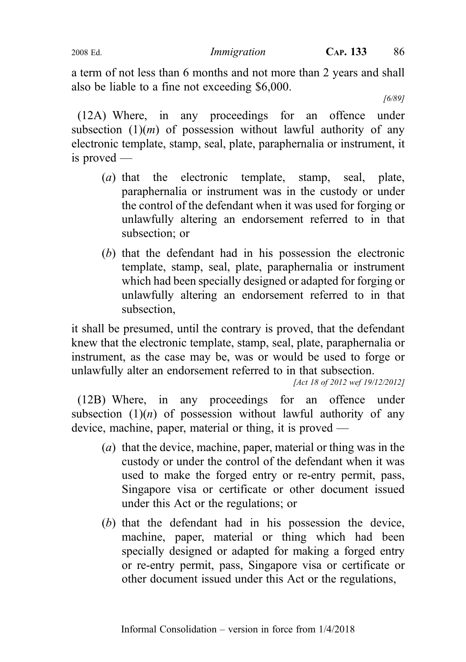a term of not less than 6 months and not more than 2 years and shall also be liable to a fine not exceeding \$6,000.

[6/89]

(12A) Where, in any proceedings for an offence under subsection  $(1)(m)$  of possession without lawful authority of any electronic template, stamp, seal, plate, paraphernalia or instrument, it is proved —

- (a) that the electronic template, stamp, seal, plate, paraphernalia or instrument was in the custody or under the control of the defendant when it was used for forging or unlawfully altering an endorsement referred to in that subsection; or
- (b) that the defendant had in his possession the electronic template, stamp, seal, plate, paraphernalia or instrument which had been specially designed or adapted for forging or unlawfully altering an endorsement referred to in that subsection,

it shall be presumed, until the contrary is proved, that the defendant knew that the electronic template, stamp, seal, plate, paraphernalia or instrument, as the case may be, was or would be used to forge or unlawfully alter an endorsement referred to in that subsection.

[Act 18 of 2012 wef 19/12/2012]

(12B) Where, in any proceedings for an offence under subsection  $(1)(n)$  of possession without lawful authority of any device, machine, paper, material or thing, it is proved —

- (a) that the device, machine, paper, material or thing was in the custody or under the control of the defendant when it was used to make the forged entry or re-entry permit, pass, Singapore visa or certificate or other document issued under this Act or the regulations; or
- (b) that the defendant had in his possession the device, machine, paper, material or thing which had been specially designed or adapted for making a forged entry or re-entry permit, pass, Singapore visa or certificate or other document issued under this Act or the regulations,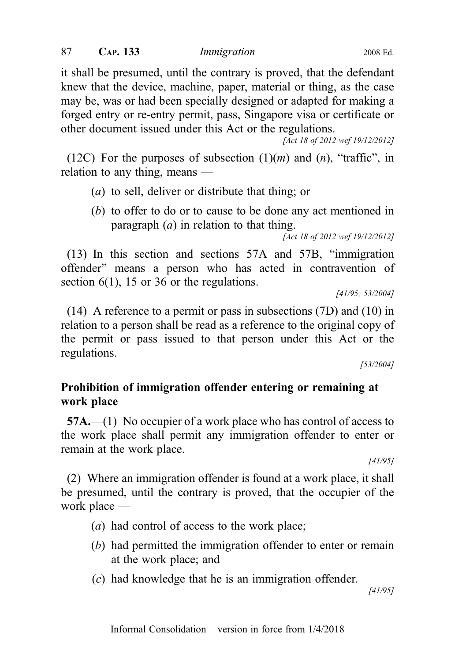it shall be presumed, until the contrary is proved, that the defendant knew that the device, machine, paper, material or thing, as the case may be, was or had been specially designed or adapted for making a forged entry or re-entry permit, pass, Singapore visa or certificate or other document issued under this Act or the regulations.

[Act 18 of 2012 wef 19/12/2012]

(12C) For the purposes of subsection  $(1)(m)$  and  $(n)$ , "traffic", in relation to any thing, means —

- (a) to sell, deliver or distribute that thing; or
- (b) to offer to do or to cause to be done any act mentioned in paragraph  $(a)$  in relation to that thing.

[Act 18 of 2012 wef 19/12/2012]

(13) In this section and sections 57A and 57B, "immigration offender" means a person who has acted in contravention of section  $6(1)$ , 15 or 36 or the regulations.

[41/95; 53/2004]

(14) A reference to a permit or pass in subsections (7D) and (10) in relation to a person shall be read as a reference to the original copy of the permit or pass issued to that person under this Act or the regulations.

[53/2004]

### Prohibition of immigration offender entering or remaining at work place

57A.—(1) No occupier of a work place who has control of access to the work place shall permit any immigration offender to enter or remain at the work place.

[41/95]

(2) Where an immigration offender is found at a work place, it shall be presumed, until the contrary is proved, that the occupier of the work place —

- (a) had control of access to the work place;
- (b) had permitted the immigration offender to enter or remain at the work place; and
- (c) had knowledge that he is an immigration offender.

[41/95]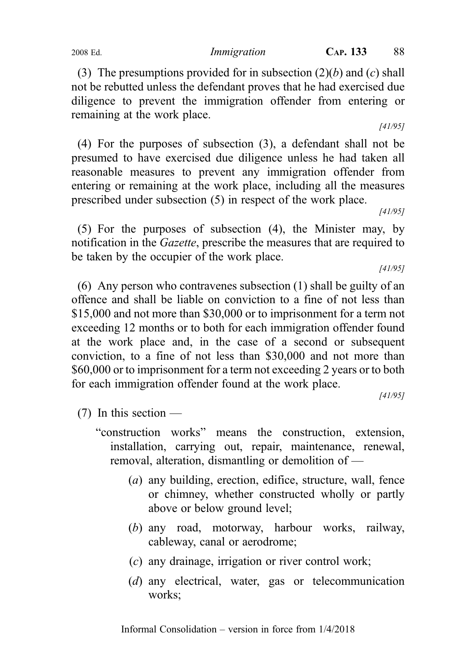(3) The presumptions provided for in subsection  $(2)(b)$  and  $(c)$  shall not be rebutted unless the defendant proves that he had exercised due diligence to prevent the immigration offender from entering or remaining at the work place.

[41/95]

(4) For the purposes of subsection (3), a defendant shall not be presumed to have exercised due diligence unless he had taken all reasonable measures to prevent any immigration offender from entering or remaining at the work place, including all the measures prescribed under subsection (5) in respect of the work place.

[41/95]

(5) For the purposes of subsection (4), the Minister may, by notification in the Gazette, prescribe the measures that are required to be taken by the occupier of the work place.

[41/95]

(6) Any person who contravenes subsection (1) shall be guilty of an offence and shall be liable on conviction to a fine of not less than \$15,000 and not more than \$30,000 or to imprisonment for a term not exceeding 12 months or to both for each immigration offender found at the work place and, in the case of a second or subsequent conviction, to a fine of not less than \$30,000 and not more than \$60,000 or to imprisonment for a term not exceeding 2 years or to both for each immigration offender found at the work place.

[41/95]

- $(7)$  In this section
	- "construction works" means the construction, extension, installation, carrying out, repair, maintenance, renewal, removal, alteration, dismantling or demolition of —
		- (a) any building, erection, edifice, structure, wall, fence or chimney, whether constructed wholly or partly above or below ground level;
		- (b) any road, motorway, harbour works, railway, cableway, canal or aerodrome;
		- (c) any drainage, irrigation or river control work;
		- (d) any electrical, water, gas or telecommunication works;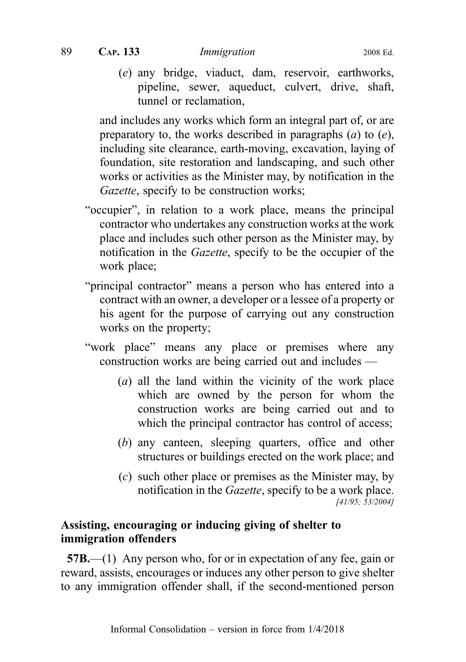(e) any bridge, viaduct, dam, reservoir, earthworks, pipeline, sewer, aqueduct, culvert, drive, shaft, tunnel or reclamation,

and includes any works which form an integral part of, or are preparatory to, the works described in paragraphs  $(a)$  to  $(e)$ , including site clearance, earth-moving, excavation, laying of foundation, site restoration and landscaping, and such other works or activities as the Minister may, by notification in the Gazette, specify to be construction works;

- "occupier", in relation to a work place, means the principal contractor who undertakes any construction works at the work place and includes such other person as the Minister may, by notification in the Gazette, specify to be the occupier of the work place;
- "principal contractor" means a person who has entered into a contract with an owner, a developer or a lessee of a property or his agent for the purpose of carrying out any construction works on the property;
- "work place" means any place or premises where any construction works are being carried out and includes —
	- (a) all the land within the vicinity of the work place which are owned by the person for whom the construction works are being carried out and to which the principal contractor has control of access;
	- (b) any canteen, sleeping quarters, office and other structures or buildings erected on the work place; and
	- (c) such other place or premises as the Minister may, by notification in the Gazette, specify to be a work place. [41/95; 53/2004]

#### Assisting, encouraging or inducing giving of shelter to immigration offenders

57B.—(1) Any person who, for or in expectation of any fee, gain or reward, assists, encourages or induces any other person to give shelter to any immigration offender shall, if the second-mentioned person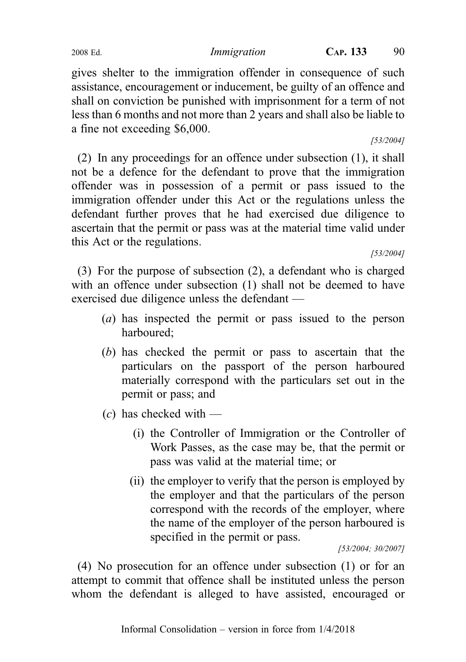gives shelter to the immigration offender in consequence of such assistance, encouragement or inducement, be guilty of an offence and shall on conviction be punished with imprisonment for a term of not less than 6 months and not more than 2 years and shall also be liable to a fine not exceeding \$6,000.

[53/2004]

(2) In any proceedings for an offence under subsection (1), it shall not be a defence for the defendant to prove that the immigration offender was in possession of a permit or pass issued to the immigration offender under this Act or the regulations unless the defendant further proves that he had exercised due diligence to ascertain that the permit or pass was at the material time valid under this Act or the regulations.

[53/2004]

(3) For the purpose of subsection (2), a defendant who is charged with an offence under subsection (1) shall not be deemed to have exercised due diligence unless the defendant —

- (a) has inspected the permit or pass issued to the person harboured;
- (b) has checked the permit or pass to ascertain that the particulars on the passport of the person harboured materially correspond with the particulars set out in the permit or pass; and
- $(c)$  has checked with
	- (i) the Controller of Immigration or the Controller of Work Passes, as the case may be, that the permit or pass was valid at the material time; or
	- (ii) the employer to verify that the person is employed by the employer and that the particulars of the person correspond with the records of the employer, where the name of the employer of the person harboured is specified in the permit or pass.

[53/2004; 30/2007]

(4) No prosecution for an offence under subsection (1) or for an attempt to commit that offence shall be instituted unless the person whom the defendant is alleged to have assisted, encouraged or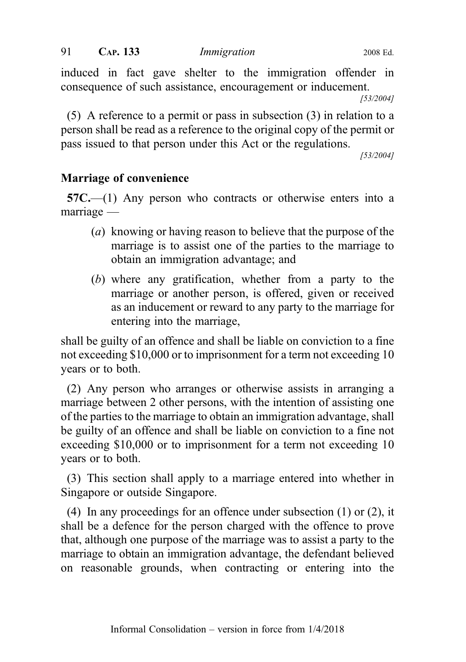induced in fact gave shelter to the immigration offender in consequence of such assistance, encouragement or inducement.

[53/2004]

(5) A reference to a permit or pass in subsection (3) in relation to a person shall be read as a reference to the original copy of the permit or pass issued to that person under this Act or the regulations.

[53/2004]

#### Marriage of convenience

57C.—(1) Any person who contracts or otherwise enters into a marriage —

- (a) knowing or having reason to believe that the purpose of the marriage is to assist one of the parties to the marriage to obtain an immigration advantage; and
- (b) where any gratification, whether from a party to the marriage or another person, is offered, given or received as an inducement or reward to any party to the marriage for entering into the marriage,

shall be guilty of an offence and shall be liable on conviction to a fine not exceeding \$10,000 or to imprisonment for a term not exceeding 10 years or to both.

(2) Any person who arranges or otherwise assists in arranging a marriage between 2 other persons, with the intention of assisting one of the parties to the marriage to obtain an immigration advantage, shall be guilty of an offence and shall be liable on conviction to a fine not exceeding \$10,000 or to imprisonment for a term not exceeding 10 years or to both.

(3) This section shall apply to a marriage entered into whether in Singapore or outside Singapore.

(4) In any proceedings for an offence under subsection (1) or (2), it shall be a defence for the person charged with the offence to prove that, although one purpose of the marriage was to assist a party to the marriage to obtain an immigration advantage, the defendant believed on reasonable grounds, when contracting or entering into the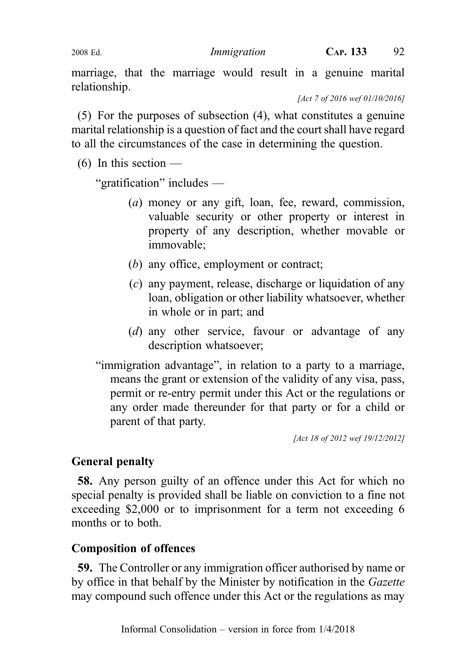Informal Consolidation – version in force from 1/4/2018

marriage, that the marriage would result in a genuine marital relationship.

[Act 7 of 2016 wef 01/10/2016]

(5) For the purposes of subsection (4), what constitutes a genuine marital relationship is a question of fact and the court shall have regard to all the circumstances of the case in determining the question.

 $(6)$  In this section —

"gratification" includes —

- (a) money or any gift, loan, fee, reward, commission, valuable security or other property or interest in property of any description, whether movable or immovable;
- (b) any office, employment or contract;
- (c) any payment, release, discharge or liquidation of any loan, obligation or other liability whatsoever, whether in whole or in part; and
- (d) any other service, favour or advantage of any description whatsoever;

"immigration advantage", in relation to a party to a marriage, means the grant or extension of the validity of any visa, pass, permit or re-entry permit under this Act or the regulations or any order made thereunder for that party or for a child or parent of that party.

[Act 18 of 2012 wef 19/12/2012]

# General penalty

58. Any person guilty of an offence under this Act for which no special penalty is provided shall be liable on conviction to a fine not exceeding \$2,000 or to imprisonment for a term not exceeding 6 months or to both.

# Composition of offences

59. The Controller or any immigration officer authorised by name or by office in that behalf by the Minister by notification in the Gazette may compound such offence under this Act or the regulations as may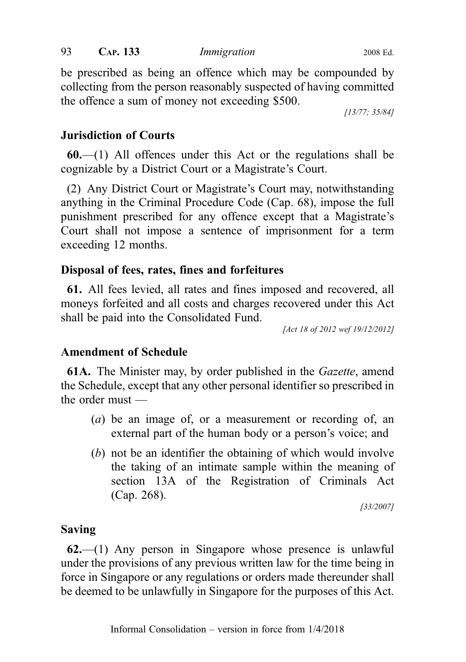be prescribed as being an offence which may be compounded by collecting from the person reasonably suspected of having committed the offence a sum of money not exceeding \$500.

[13/77; 35/84]

### Jurisdiction of Courts

 $60$ —(1) All offences under this Act or the regulations shall be cognizable by a District Court or a Magistrate's Court.

(2) Any District Court or Magistrate's Court may, notwithstanding anything in the Criminal Procedure Code (Cap. 68), impose the full punishment prescribed for any offence except that a Magistrate's Court shall not impose a sentence of imprisonment for a term exceeding 12 months.

## Disposal of fees, rates, fines and forfeitures

61. All fees levied, all rates and fines imposed and recovered, all moneys forfeited and all costs and charges recovered under this Act shall be paid into the Consolidated Fund.

[Act 18 of 2012 wef 19/12/2012]

# Amendment of Schedule

61A. The Minister may, by order published in the Gazette, amend the Schedule, except that any other personal identifier so prescribed in the order must —

- (a) be an image of, or a measurement or recording of, an external part of the human body or a person's voice; and
- (b) not be an identifier the obtaining of which would involve the taking of an intimate sample within the meaning of section 13A of the Registration of Criminals Act (Cap. 268).

[33/2007]

### Saving

 $62$ —(1) Any person in Singapore whose presence is unlawful under the provisions of any previous written law for the time being in force in Singapore or any regulations or orders made thereunder shall be deemed to be unlawfully in Singapore for the purposes of this Act.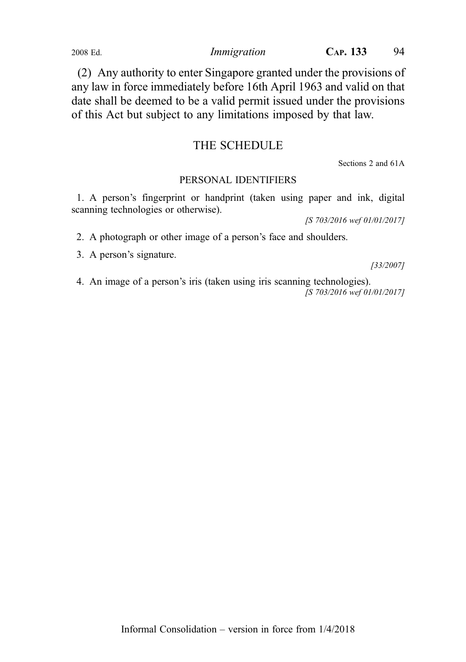(2) Any authority to enter Singapore granted under the provisions of any law in force immediately before 16th April 1963 and valid on that date shall be deemed to be a valid permit issued under the provisions of this Act but subject to any limitations imposed by that law.

#### THE SCHEDULE

Sections 2 and 61A

#### PERSONAL IDENTIFIERS

1. A person's fingerprint or handprint (taken using paper and ink, digital scanning technologies or otherwise).

[S 703/2016 wef 01/01/2017]

- 2. A photograph or other image of a person's face and shoulders.
- 3. A person's signature.

[33/2007]

4. An image of a person's iris (taken using iris scanning technologies). [S 703/2016 wef 01/01/2017]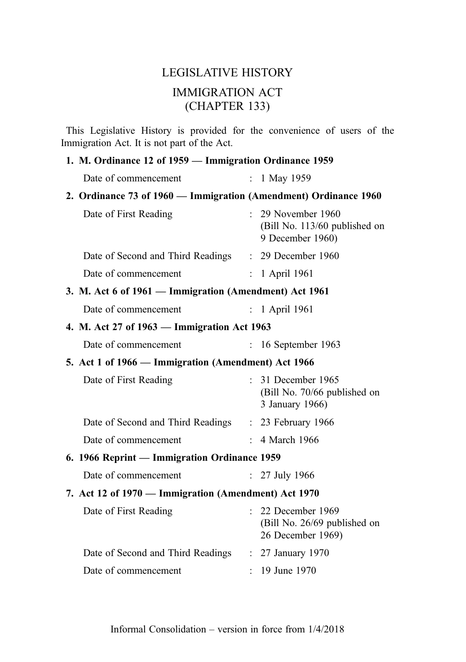# LEGISLATIVE HISTORY IMMIGRATION ACT (CHAPTER 133)

This Legislative History is provided for the convenience of users of the Immigration Act. It is not part of the Act.

#### 1. M. Ordinance 12 of 1959 — Immigration Ordinance 1959

| Date of commencement                                             |                           | : 1 May 1959                                                              |
|------------------------------------------------------------------|---------------------------|---------------------------------------------------------------------------|
| 2. Ordinance 73 of 1960 - Immigration (Amendment) Ordinance 1960 |                           |                                                                           |
| Date of First Reading                                            |                           | $: 29$ November 1960<br>(Bill No. 113/60 published on<br>9 December 1960) |
| Date of Second and Third Readings : 29 December 1960             |                           |                                                                           |
| Date of commencement                                             |                           | : 1 April 1961                                                            |
| 3. M. Act 6 of 1961 - Immigration (Amendment) Act 1961           |                           |                                                                           |
| Date of commencement                                             | $\mathbb{R}^{\mathbb{Z}}$ | 1 April 1961                                                              |
| 4. M. Act 27 of 1963 — Immigration Act 1963                      |                           |                                                                           |
| Date of commencement                                             |                           | 16 September 1963                                                         |
| 5. Act 1 of 1966 — Immigration (Amendment) Act 1966              |                           |                                                                           |
| Date of First Reading                                            |                           | : 31 December 1965<br>(Bill No. 70/66 published on<br>3 January 1966)     |
| Date of Second and Third Readings : 23 February 1966             |                           |                                                                           |
| Date of commencement                                             |                           | $\therefore$ 4 March 1966                                                 |
| 6. 1966 Reprint - Immigration Ordinance 1959                     |                           |                                                                           |
| Date of commencement                                             |                           | 27 July 1966                                                              |
| 7. Act 12 of 1970 — Immigration (Amendment) Act 1970             |                           |                                                                           |
| Date of First Reading                                            |                           | : 22 December 1969<br>(Bill No. 26/69 published on<br>26 December 1969)   |
| Date of Second and Third Readings : 27 January 1970              |                           |                                                                           |
| Date of commencement                                             |                           | 19 June 1970                                                              |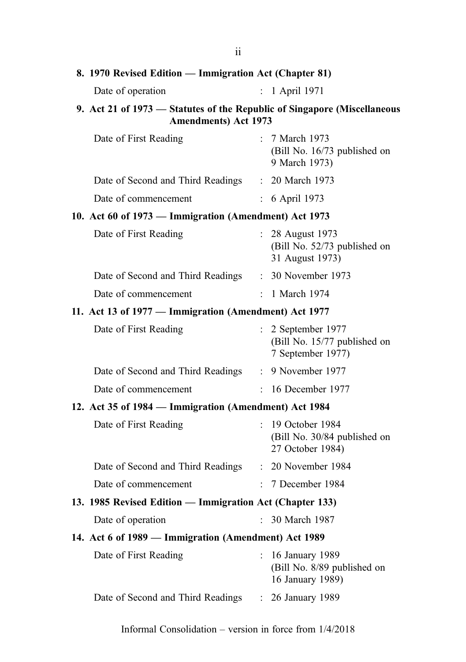| 8. 1970 Revised Edition — Immigration Act (Chapter 81)                                                  |                                                                                      |  |  |
|---------------------------------------------------------------------------------------------------------|--------------------------------------------------------------------------------------|--|--|
| Date of operation                                                                                       | : 1 April 1971                                                                       |  |  |
| 9. Act 21 of 1973 – Statutes of the Republic of Singapore (Miscellaneous<br><b>Amendments) Act 1973</b> |                                                                                      |  |  |
| Date of First Reading                                                                                   | : 7 March 1973<br>(Bill No. 16/73 published on<br>9 March 1973)                      |  |  |
| Date of Second and Third Readings : 20 March 1973                                                       |                                                                                      |  |  |
| Date of commencement                                                                                    | : 6 April 1973                                                                       |  |  |
| 10. Act 60 of 1973 — Immigration (Amendment) Act 1973                                                   |                                                                                      |  |  |
| Date of First Reading                                                                                   | : 28 August 1973<br>(Bill No. 52/73 published on<br>31 August 1973)                  |  |  |
| Date of Second and Third Readings                                                                       | : 30 November 1973                                                                   |  |  |
| Date of commencement                                                                                    | : 1 March 1974                                                                       |  |  |
| 11. Act 13 of 1977 - Immigration (Amendment) Act 1977                                                   |                                                                                      |  |  |
| Date of First Reading                                                                                   | 2 September 1977<br>(Bill No. 15/77 published on<br>7 September 1977)                |  |  |
| Date of Second and Third Readings : 9 November 1977                                                     |                                                                                      |  |  |
| Date of commencement                                                                                    | : 16 December 1977                                                                   |  |  |
| 12. Act 35 of 1984 — Immigration (Amendment) Act 1984                                                   |                                                                                      |  |  |
| Date of First Reading                                                                                   | : 19 October 1984<br>(Bill No. 30/84 published on<br>27 October 1984)                |  |  |
| Date of Second and Third Readings                                                                       | : 20 November 1984                                                                   |  |  |
| Date of commencement                                                                                    | : 7 December 1984                                                                    |  |  |
| 13. 1985 Revised Edition — Immigration Act (Chapter 133)                                                |                                                                                      |  |  |
| Date of operation                                                                                       | : 30 March 1987                                                                      |  |  |
| 14. Act 6 of 1989 - Immigration (Amendment) Act 1989                                                    |                                                                                      |  |  |
| Date of First Reading                                                                                   | 16 January 1989<br>$\ddot{\cdot}$<br>(Bill No. 8/89 published on<br>16 January 1989) |  |  |
| Date of Second and Third Readings :                                                                     | 26 January 1989                                                                      |  |  |

Informal Consolidation – version in force from 1/4/2018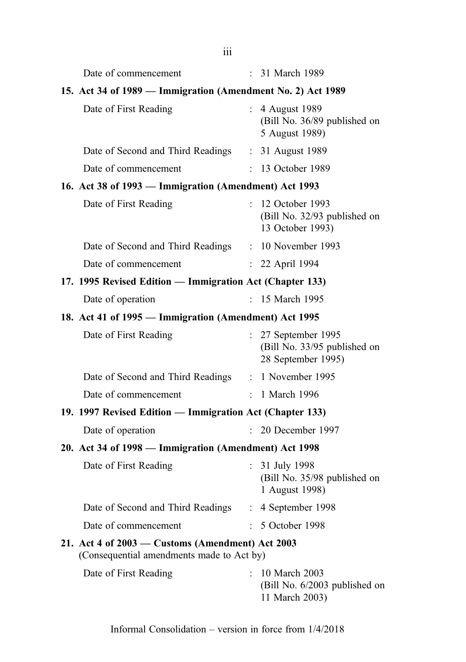|                                                       | Date of commencement                                                                          |                | : 31 March 1989                                                           |
|-------------------------------------------------------|-----------------------------------------------------------------------------------------------|----------------|---------------------------------------------------------------------------|
|                                                       | 15. Act 34 of 1989 – Immigration (Amendment No. 2) Act 1989                                   |                |                                                                           |
|                                                       | Date of First Reading                                                                         |                | : 4 August 1989<br>(Bill No. 36/89 published on<br>5 August 1989)         |
|                                                       | Date of Second and Third Readings : 31 August 1989                                            |                |                                                                           |
|                                                       | Date of commencement                                                                          |                | : 13 October 1989                                                         |
|                                                       | 16. Act 38 of 1993 — Immigration (Amendment) Act 1993                                         |                |                                                                           |
|                                                       | Date of First Reading                                                                         |                | : 12 October 1993<br>(Bill No. 32/93 published on<br>13 October 1993)     |
|                                                       | Date of Second and Third Readings : 10 November 1993                                          |                |                                                                           |
|                                                       | Date of commencement                                                                          |                | $: 22$ April 1994                                                         |
|                                                       | 17. 1995 Revised Edition - Immigration Act (Chapter 133)                                      |                |                                                                           |
|                                                       | Date of operation                                                                             |                | : 15 March 1995                                                           |
| 18. Act 41 of 1995 - Immigration (Amendment) Act 1995 |                                                                                               |                |                                                                           |
|                                                       | Date of First Reading                                                                         |                | : 27 September 1995<br>(Bill No. 33/95 published on<br>28 September 1995) |
|                                                       | Date of Second and Third Readings : 1 November 1995                                           |                |                                                                           |
|                                                       | Date of commencement                                                                          |                | : 1 March 1996                                                            |
|                                                       | 19. 1997 Revised Edition - Immigration Act (Chapter 133)                                      |                |                                                                           |
|                                                       | Date of operation                                                                             | $\ddot{\cdot}$ | 20 December 1997                                                          |
|                                                       | 20. Act 34 of 1998 - Immigration (Amendment) Act 1998                                         |                |                                                                           |
|                                                       | Date of First Reading                                                                         |                | : 31 July 1998<br>(Bill No. 35/98 published on<br>1 August 1998)          |
|                                                       | Date of Second and Third Readings                                                             | $\ddot{\cdot}$ | 4 September 1998                                                          |
|                                                       | Date of commencement                                                                          | ÷.             | 5 October 1998                                                            |
|                                                       | 21. Act 4 of 2003 – Customs (Amendment) Act 2003<br>(Consequential amendments made to Act by) |                |                                                                           |
|                                                       | Date of First Reading                                                                         | ÷.             | 10 March 2003<br>(Bill No. 6/2003 published on<br>11 March 2003)          |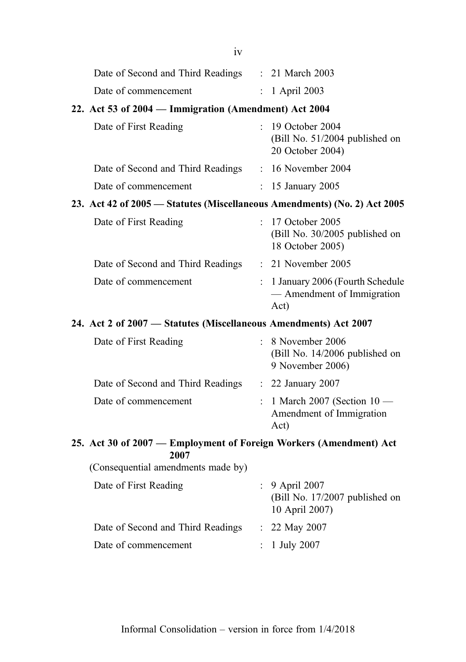| Date of Second and Third Readings : 21 March 2003                         |                           |                                                                           |
|---------------------------------------------------------------------------|---------------------------|---------------------------------------------------------------------------|
| Date of commencement                                                      |                           | $: 1$ April 2003                                                          |
| 22. Act 53 of 2004 - Immigration (Amendment) Act 2004                     |                           |                                                                           |
| Date of First Reading                                                     |                           | : 19 October 2004<br>(Bill No. 51/2004 published on<br>20 October 2004)   |
| Date of Second and Third Readings                                         |                           | : 16 November 2004                                                        |
| Date of commencement                                                      |                           | : 15 January 2005                                                         |
| 23. Act 42 of 2005 – Statutes (Miscellaneous Amendments) (No. 2) Act 2005 |                           |                                                                           |
| Date of First Reading                                                     |                           | : 17 October 2005<br>(Bill No. 30/2005 published on<br>18 October 2005)   |
| Date of Second and Third Readings                                         |                           | $: 21$ November 2005                                                      |
| Date of commencement                                                      |                           | 1 January 2006 (Fourth Schedule<br>— Amendment of Immigration<br>Act)     |
| 24. Act 2 of 2007 – Statutes (Miscellaneous Amendments) Act 2007          |                           |                                                                           |
| Date of First Reading                                                     |                           | $: 8$ November 2006<br>(Bill No. 14/2006 published on<br>9 November 2006) |
| Date of Second and Third Readings                                         |                           | : 22 January 2007                                                         |
| Date of commencement                                                      |                           | $: 1$ March 2007 (Section $10$ —<br>Amendment of Immigration<br>Act)      |
| 25. Act 30 of 2007 - Employment of Foreign Workers (Amendment) Act        |                           |                                                                           |
| 2007<br>(Consequential amendments made by)                                |                           |                                                                           |
| Date of First Reading                                                     |                           | 9 April 2007<br>(Bill No. 17/2007 published on<br>10 April 2007)          |
| Date of Second and Third Readings                                         | $\mathbb{R}^{\mathbb{Z}}$ | 22 May 2007                                                               |
| Date of commencement                                                      |                           | 1 July 2007                                                               |
|                                                                           |                           |                                                                           |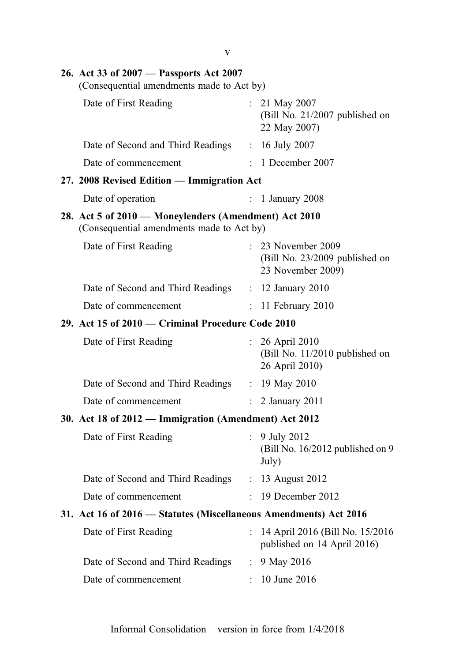| 26. Act 33 of 2007 - Passports Act 2007<br>(Consequential amendments made to Act by)               |                |                                                                           |  |
|----------------------------------------------------------------------------------------------------|----------------|---------------------------------------------------------------------------|--|
| Date of First Reading                                                                              |                | : $21$ May 2007<br>(Bill No. 21/2007 published on<br>22 May 2007)         |  |
| Date of Second and Third Readings : 16 July 2007                                                   |                |                                                                           |  |
| Date of commencement                                                                               |                | $\therefore$ 1 December 2007                                              |  |
| 27. 2008 Revised Edition - Immigration Act                                                         |                |                                                                           |  |
| Date of operation                                                                                  |                | $: 1$ January 2008                                                        |  |
| 28. Act 5 of 2010 - Moneylenders (Amendment) Act 2010<br>(Consequential amendments made to Act by) |                |                                                                           |  |
| Date of First Reading                                                                              |                | : 23 November 2009<br>(Bill No. 23/2009 published on<br>23 November 2009) |  |
| Date of Second and Third Readings : 12 January 2010                                                |                |                                                                           |  |
| Date of commencement                                                                               |                | $: 11$ February 2010                                                      |  |
| 29. Act 15 of 2010 - Criminal Procedure Code 2010                                                  |                |                                                                           |  |
| Date of First Reading                                                                              |                | $: 26$ April 2010<br>(Bill No. 11/2010 published on<br>26 April 2010)     |  |
| Date of Second and Third Readings : 19 May 2010                                                    |                |                                                                           |  |
| Date of commencement                                                                               |                | $\therefore$ 2 January 2011                                               |  |
| 30. Act 18 of 2012 - Immigration (Amendment) Act 2012                                              |                |                                                                           |  |
| Date of First Reading                                                                              | $\ddot{\cdot}$ | 9 July 2012<br>(Bill No. 16/2012 published on 9<br>July)                  |  |
| Date of Second and Third Readings : 13 August 2012                                                 |                |                                                                           |  |
| Date of commencement                                                                               | $\ddot{\cdot}$ | 19 December 2012                                                          |  |
| 31. Act 16 of 2016 - Statutes (Miscellaneous Amendments) Act 2016                                  |                |                                                                           |  |
| Date of First Reading                                                                              | $\mathbf{r}$   | 14 April 2016 (Bill No. 15/2016)<br>published on 14 April 2016)           |  |
| Date of Second and Third Readings                                                                  |                | : $9$ May 2016                                                            |  |
| Date of commencement                                                                               |                | 10 June 2016                                                              |  |